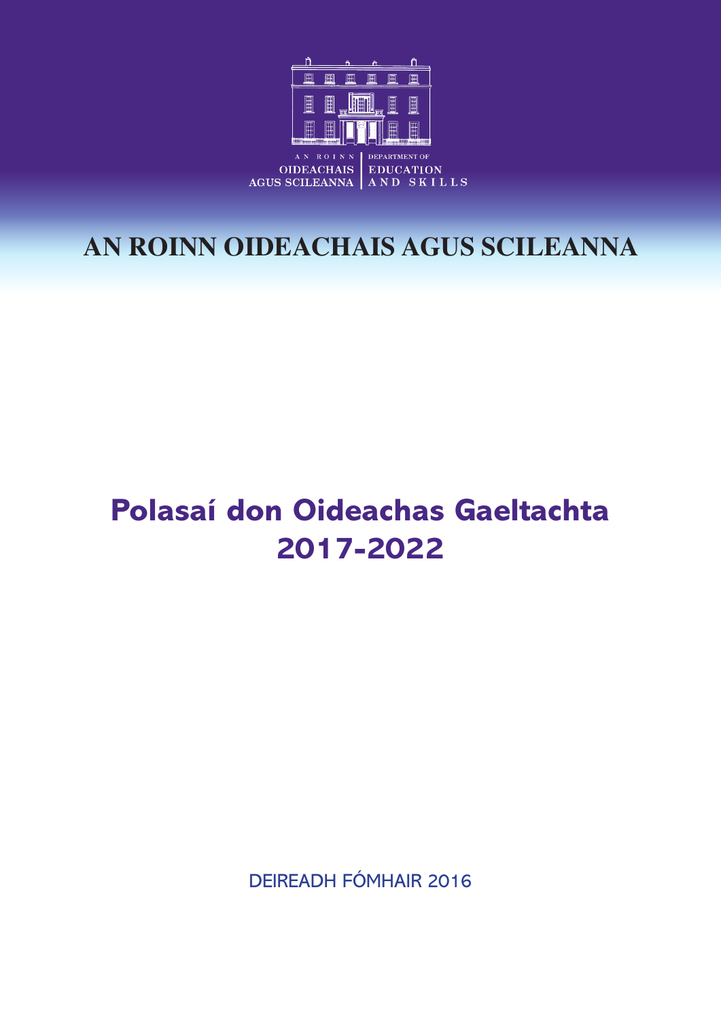

## **AN ROINN OIDEACHAIS AGUS SCILEANNA**

# **Polasaí don Oideachas Gaeltachta 2017-2022**

DEIREADH FÓMHAIR 2016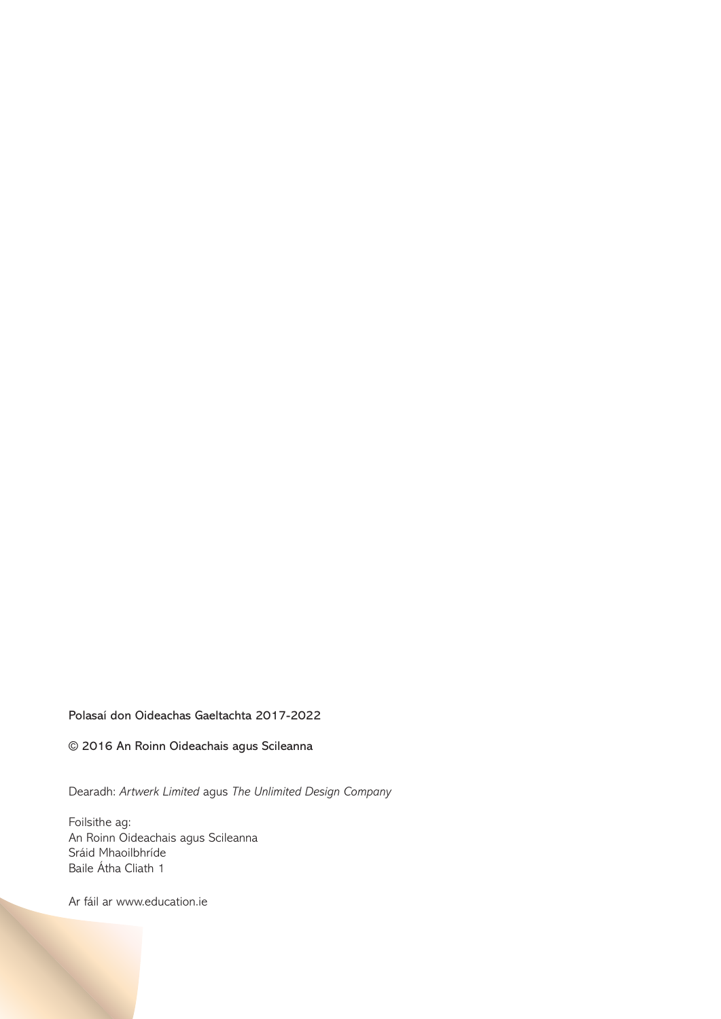#### Polasaí don Oideachas Gaeltachta 2017-2022

© 2016 An Roinn Oideachais agus Scileanna

Dearadh: *Artwerk Limited* agus *The Unlimited Design Company*

Foilsithe ag: An Roinn Oideachais agus Scileanna Sráid Mhaoilbhríde Baile Átha Cliath 1

Ar fáil ar www.education.ie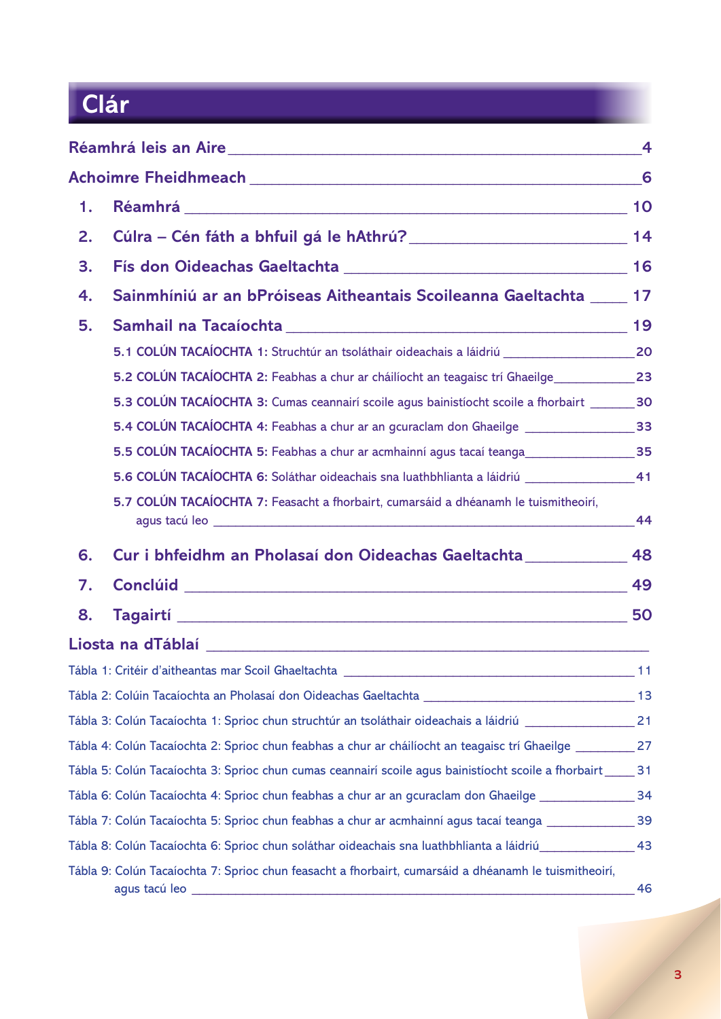# **Clár**

|    |                                                                                                               | $\overline{4}$ |
|----|---------------------------------------------------------------------------------------------------------------|----------------|
|    |                                                                                                               | 6              |
| 1. |                                                                                                               |                |
| 2. |                                                                                                               |                |
| 3. |                                                                                                               |                |
| 4. | Sainmhíniú ar an bPróiseas Aitheantais Scoileanna Gaeltachta ____ 17                                          |                |
| 5. |                                                                                                               |                |
|    |                                                                                                               |                |
|    | 5.2 COLÚN TACAÍOCHTA 2: Feabhas a chur ar cháilíocht an teagaisc trí Ghaeilge_______________23                |                |
|    | 5.3 COLÚN TACAÍOCHTA 3: Cumas ceannairí scoile agus bainistíocht scoile a fhorbairt ________ 30               |                |
|    | 5.4 COLÚN TACAÍOCHTA 4: Feabhas a chur ar an gcuraclam don Ghaeilge ________________________33                |                |
|    | 5.5 COLÚN TACAÍOCHTA 5: Feabhas a chur ar acmhainní agus tacaí teanga<br>35                                   |                |
|    | 5.6 COLÚN TACAÍOCHTA 6: Soláthar oideachais sna luathbhlianta a láidriú __________________41                  |                |
|    | 5.7 COLÚN TACAÍOCHTA 7: Feasacht a fhorbairt, cumarsáid a dhéanamh le tuismitheoirí,                          | -44            |
| 6. | Cur i bhfeidhm an Pholasaí don Oideachas Gaeltachta ______________ 48                                         |                |
| 7. |                                                                                                               |                |
| 8. |                                                                                                               |                |
|    |                                                                                                               |                |
|    | Tábla 1: Critéir d'aitheantas mar Scoil Ghaeltachta                                                           | 11             |
|    |                                                                                                               |                |
|    | Tábla 3: Colún Tacaíochta 1: Sprioc chun struchtúr an tsoláthair oideachais a láidriú [111] [21] [21          |                |
|    | 72 - Tábla 4: Colún Tacaíochta 2: Sprioc chun feabhas a chur ar cháilíocht an teagaisc trí Ghaeilge           |                |
|    | Tábla 5: Colún Tacaíochta 3: Sprioc chun cumas ceannairí scoile agus bainistíocht scoile a fhorbairt _____ 31 |                |
|    |                                                                                                               |                |
|    | Tábla 7: Colún Tacaíochta 5: Sprioc chun feabhas a chur ar acmhainní agus tacaí teanga ________________39     |                |
|    | 43_ _ Tábla 8: Colún Tacaíochta 6: Sprioc chun soláthar oideachais sna luathbhlianta a láidriú                |                |
|    | Tábla 9: Colún Tacaíochta 7: Sprioc chun feasacht a fhorbairt, cumarsáid a dhéanamh le tuismitheoirí,         | 46             |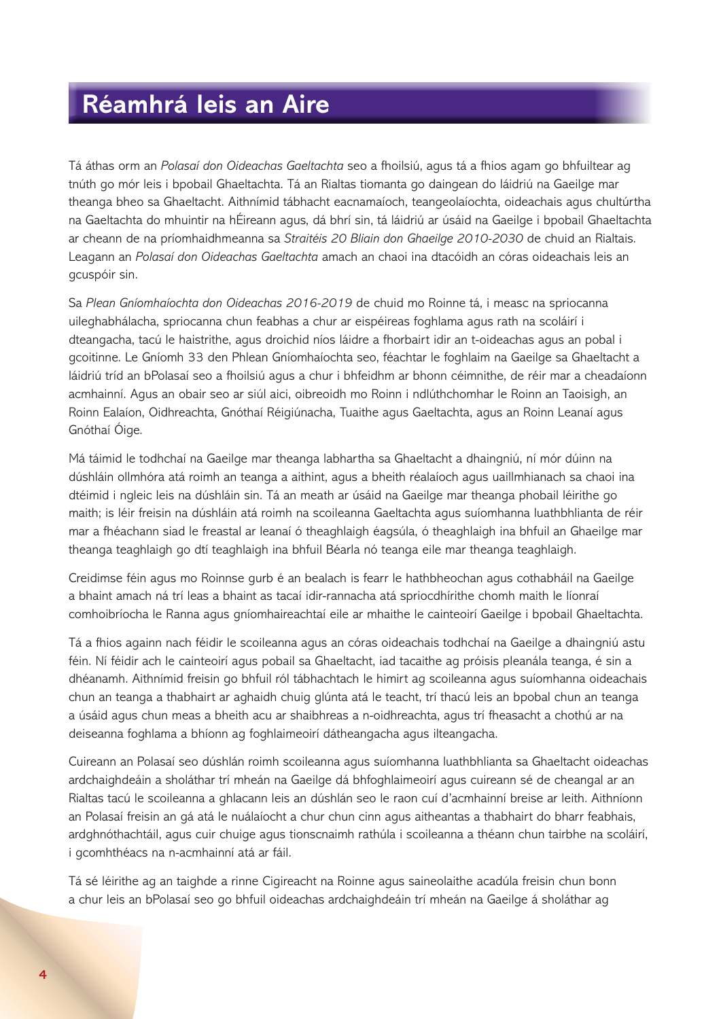## **Réamhrá leis an Aire**

Tá áthas orm an *Polasaí don Oideachas Gaeltachta* seo a fhoilsiú, agus tá a fhios agam go bhfuiltear ag tnúth go mór leis i bpobail Ghaeltachta. Tá an Rialtas tiomanta go daingean do láidriú na Gaeilge mar theanga bheo sa Ghaeltacht. Aithnímid tábhacht eacnamaíoch, teangeolaíochta, oideachais agus chultúrtha na Gaeltachta do mhuintir na hÉireann agus, dá bhrí sin, tá láidriú ar úsáid na Gaeilge i bpobail Ghaeltachta ar cheann de na príomhaidhmeanna sa *Straitéis 20 Bliain don Ghaeilge 2010-2030* de chuid an Rialtais. Leagann an *Polasaí don Oideachas Gaeltachta* amach an chaoi ina dtacóidh an córas oideachais leis an gcuspóir sin.

Sa *Plean Gníomhaíochta don Oideachas 2016-2019* de chuid mo Roinne tá, i measc na spriocanna uileghabhálacha, spriocanna chun feabhas a chur ar eispéireas foghlama agus rath na scoláirí i dteangacha, tacú le haistrithe, agus droichid níos láidre a fhorbairt idir an t-oideachas agus an pobal i gcoitinne. Le Gníomh 33 den Phlean Gníomhaíochta seo, féachtar le foghlaim na Gaeilge sa Ghaeltacht a láidriú tríd an bPolasaí seo a fhoilsiú agus a chur i bhfeidhm ar bhonn céimnithe, de réir mar a cheadaíonn acmhainní. Agus an obair seo ar siúl aici, oibreoidh mo Roinn i ndlúthchomhar le Roinn an Taoisigh, an Roinn Ealaíon, Oidhreachta, Gnóthaí Réigiúnacha, Tuaithe agus Gaeltachta, agus an Roinn Leanaí agus Gnóthaí Óige.

Má táimid le todhchaí na Gaeilge mar theanga labhartha sa Ghaeltacht a dhaingniú, ní mór dúinn na dúshláin ollmhóra atá roimh an teanga a aithint, agus a bheith réalaíoch agus uaillmhianach sa chaoi ina dtéimid i ngleic leis na dúshláin sin. Tá an meath ar úsáid na Gaeilge mar theanga phobail léirithe go maith; is léir freisin na dúshláin atá roimh na scoileanna Gaeltachta agus suíomhanna luathbhlianta de réir mar a fhéachann siad le freastal ar leanaí ó theaghlaigh éagsúla, ó theaghlaigh ina bhfuil an Ghaeilge mar theanga teaghlaigh go dtí teaghlaigh ina bhfuil Béarla nó teanga eile mar theanga teaghlaigh.

Creidimse féin agus mo Roinnse gurb é an bealach is fearr le hathbheochan agus cothabháil na Gaeilge a bhaint amach ná trí leas a bhaint as tacaí idir-rannacha atá spriocdhírithe chomh maith le líonraí comhoibríocha le Ranna agus gníomhaireachtaí eile ar mhaithe le cainteoirí Gaeilge i bpobail Ghaeltachta.

Tá a fhios againn nach féidir le scoileanna agus an córas oideachais todhchaí na Gaeilge a dhaingniú astu féin. Ní féidir ach le cainteoirí agus pobail sa Ghaeltacht, iad tacaithe ag próisis pleanála teanga, é sin a dhéanamh. Aithnímid freisin go bhfuil ról tábhachtach le himirt ag scoileanna agus suíomhanna oideachais chun an teanga a thabhairt ar aghaidh chuig glúnta atá le teacht, trí thacú leis an bpobal chun an teanga a úsáid agus chun meas a bheith acu ar shaibhreas a n-oidhreachta, agus trí fheasacht a chothú ar na deiseanna foghlama a bhíonn ag foghlaimeoirí dátheangacha agus ilteangacha.

Cuireann an Polasaí seo dúshlán roimh scoileanna agus suíomhanna luathbhlianta sa Ghaeltacht oideachas ardchaighdeáin a sholáthar trí mheán na Gaeilge dá bhfoghlaimeoirí agus cuireann sé de cheangal ar an Rialtas tacú le scoileanna a ghlacann leis an dúshlán seo le raon cuí d'acmhainní breise ar leith. Aithníonn an Polasaí freisin an gá atá le nuálaíocht a chur chun cinn agus aitheantas a thabhairt do bharr feabhais, ardghnóthachtáil, agus cuir chuige agus tionscnaimh rathúla i scoileanna a théann chun tairbhe na scoláirí, i gcomhthéacs na n-acmhainní atá ar fáil.

Tá sé léirithe ag an taighde a rinne Cigireacht na Roinne agus saineolaithe acadúla freisin chun bonn a chur leis an bPolasaí seo go bhfuil oideachas ardchaighdeáin trí mheán na Gaeilge á sholáthar ag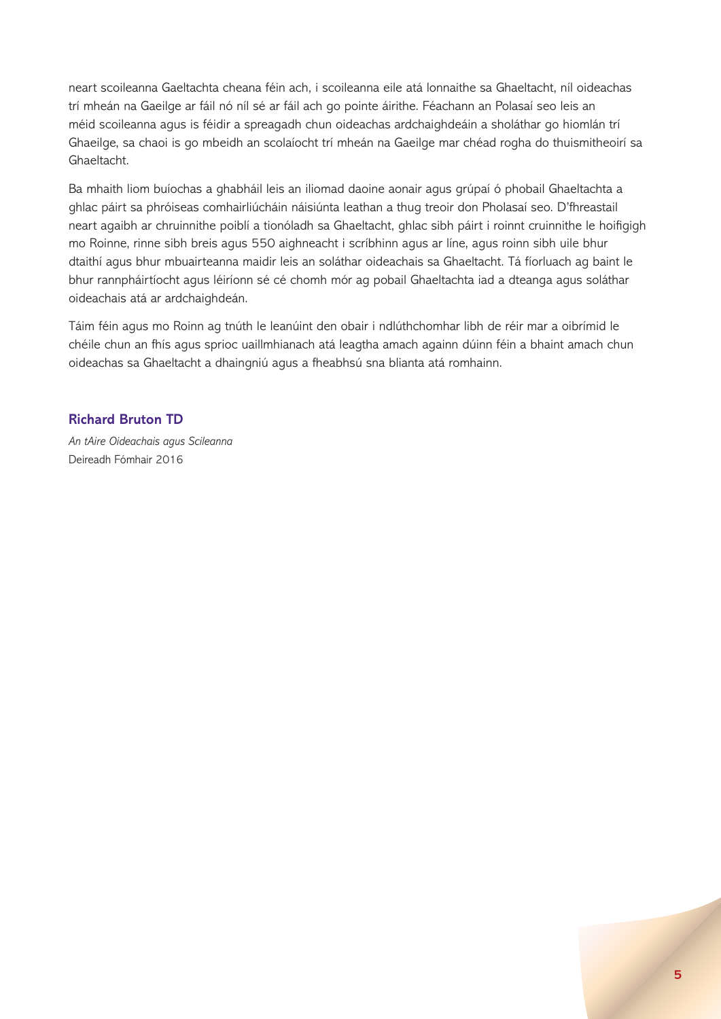neart scoileanna Gaeltachta cheana féin ach, i scoileanna eile atá lonnaithe sa Ghaeltacht, níl oideachas trí mheán na Gaeilge ar fáil nó níl sé ar fáil ach go pointe áirithe. Féachann an Polasaí seo leis an méid scoileanna agus is féidir a spreagadh chun oideachas ardchaighdeáin a sholáthar go hiomlán trí Ghaeilge, sa chaoi is go mbeidh an scolaíocht trí mheán na Gaeilge mar chéad rogha do thuismitheoirí sa Ghaeltacht.

Ba mhaith liom buíochas a ghabháil leis an iliomad daoine aonair agus grúpaí ó phobail Ghaeltachta a ghlac páirt sa phróiseas comhairliúcháin náisiúnta leathan a thug treoir don Pholasaí seo. D'fhreastail neart agaibh ar chruinnithe poiblí a tionóladh sa Ghaeltacht, ghlac sibh páirt i roinnt cruinnithe le hoifigigh mo Roinne, rinne sibh breis agus 550 aighneacht i scríbhinn agus ar líne, agus roinn sibh uile bhur dtaithí agus bhur mbuairteanna maidir leis an soláthar oideachais sa Ghaeltacht. Tá fíorluach ag baint le bhur rannpháirtíocht agus léiríonn sé cé chomh mór ag pobail Ghaeltachta iad a dteanga agus soláthar oideachais atá ar ardchaighdeán.

Táim féin agus mo Roinn ag tnúth le leanúint den obair i ndlúthchomhar libh de réir mar a oibrímid le chéile chun an fhís agus sprioc uaillmhianach atá leagtha amach againn dúinn féin a bhaint amach chun oideachas sa Ghaeltacht a dhaingniú agus a fheabhsú sna blianta atá romhainn.

#### **Richard Bruton TD**

*An tAire Oideachais agus Scileanna* Deireadh Fómhair 2016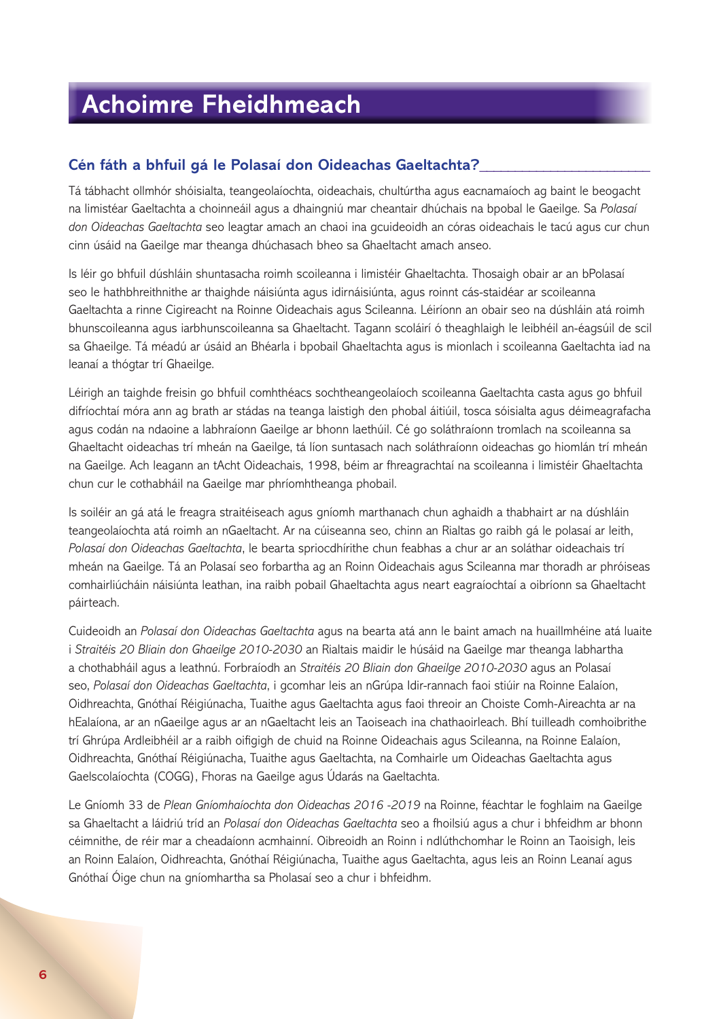## **Achoimre Fheidhmeach**

## **Cén fáth a bhfuil gá le Polasaí don Oideachas Gaeltachta?\_\_\_\_\_\_\_\_\_\_\_\_\_\_\_\_\_\_\_\_\_\_\_\_**

Tá tábhacht ollmhór shóisialta, teangeolaíochta, oideachais, chultúrtha agus eacnamaíoch ag baint le beogacht na limistéar Gaeltachta a choinneáil agus a dhaingniú mar cheantair dhúchais na bpobal le Gaeilge. Sa *Polasaí don Oideachas Gaeltachta* seo leagtar amach an chaoi ina gcuideoidh an córas oideachais le tacú agus cur chun cinn úsáid na Gaeilge mar theanga dhúchasach bheo sa Ghaeltacht amach anseo.

Is léir go bhfuil dúshláin shuntasacha roimh scoileanna i limistéir Ghaeltachta. Thosaigh obair ar an bPolasaí seo le hathbhreithnithe ar thaighde náisiúnta agus idirnáisiúnta, agus roinnt cás-staidéar ar scoileanna Gaeltachta a rinne Cigireacht na Roinne Oideachais agus Scileanna. Léiríonn an obair seo na dúshláin atá roimh bhunscoileanna agus iarbhunscoileanna sa Ghaeltacht. Tagann scoláirí ó theaghlaigh le leibhéil an-éagsúil de scil sa Ghaeilge. Tá méadú ar úsáid an Bhéarla i bpobail Ghaeltachta agus is mionlach i scoileanna Gaeltachta iad na leanaí a thógtar trí Ghaeilge.

Léirigh an taighde freisin go bhfuil comhthéacs sochtheangeolaíoch scoileanna Gaeltachta casta agus go bhfuil difríochtaí móra ann ag brath ar stádas na teanga laistigh den phobal áitiúil, tosca sóisialta agus déimeagrafacha agus codán na ndaoine a labhraíonn Gaeilge ar bhonn laethúil. Cé go soláthraíonn tromlach na scoileanna sa Ghaeltacht oideachas trí mheán na Gaeilge, tá líon suntasach nach soláthraíonn oideachas go hiomlán trí mheán na Gaeilge. Ach leagann an tAcht Oideachais, 1998, béim ar fhreagrachtaí na scoileanna i limistéir Ghaeltachta chun cur le cothabháil na Gaeilge mar phríomhtheanga phobail.

Is soiléir an gá atá le freagra straitéiseach agus gníomh marthanach chun aghaidh a thabhairt ar na dúshláin teangeolaíochta atá roimh an nGaeltacht. Ar na cúiseanna seo, chinn an Rialtas go raibh gá le polasaí ar leith, *Polasaí don Oideachas Gaeltachta*, le bearta spriocdhírithe chun feabhas a chur ar an soláthar oideachais trí mheán na Gaeilge. Tá an Polasaí seo forbartha ag an Roinn Oideachais agus Scileanna mar thoradh ar phróiseas comhairliúcháin náisiúnta leathan, ina raibh pobail Ghaeltachta agus neart eagraíochtaí a oibríonn sa Ghaeltacht páirteach.

Cuideoidh an *Polasaí don Oideachas Gaeltachta* agus na bearta atá ann le baint amach na huaillmhéine atá luaite i *Straitéis 20 Bliain don Ghaeilge 2010-2030* an Rialtais maidir le húsáid na Gaeilge mar theanga labhartha a chothabháil agus a leathnú. Forbraíodh an *Straitéis 20 Bliain don Ghaeilge 2010-2030* agus an Polasaí seo, *Polasaí don Oideachas Gaeltachta*, i gcomhar leis an nGrúpa Idir-rannach faoi stiúir na Roinne Ealaíon, Oidhreachta, Gnóthaí Réigiúnacha, Tuaithe agus Gaeltachta agus faoi threoir an Choiste Comh-Aireachta ar na hEalaíona, ar an nGaeilge agus ar an nGaeltacht leis an Taoiseach ina chathaoirleach. Bhí tuilleadh comhoibrithe trí Ghrúpa Ardleibhéil ar a raibh oifigigh de chuid na Roinne Oideachais agus Scileanna, na Roinne Ealaíon, Oidhreachta, Gnóthaí Réigiúnacha, Tuaithe agus Gaeltachta, na Comhairle um Oideachas Gaeltachta agus Gaelscolaíochta (COGG), Fhoras na Gaeilge agus Údarás na Gaeltachta.

Le Gníomh 33 de *Plean Gníomhaíochta don Oideachas 2016 -2019* na Roinne, féachtar le foghlaim na Gaeilge sa Ghaeltacht a láidriú tríd an *Polasaí don Oideachas Gaeltachta* seo a fhoilsiú agus a chur i bhfeidhm ar bhonn céimnithe, de réir mar a cheadaíonn acmhainní. Oibreoidh an Roinn i ndlúthchomhar le Roinn an Taoisigh, leis an Roinn Ealaíon, Oidhreachta, Gnóthaí Réigiúnacha, Tuaithe agus Gaeltachta, agus leis an Roinn Leanaí agus Gnóthaí Óige chun na gníomhartha sa Pholasaí seo a chur i bhfeidhm.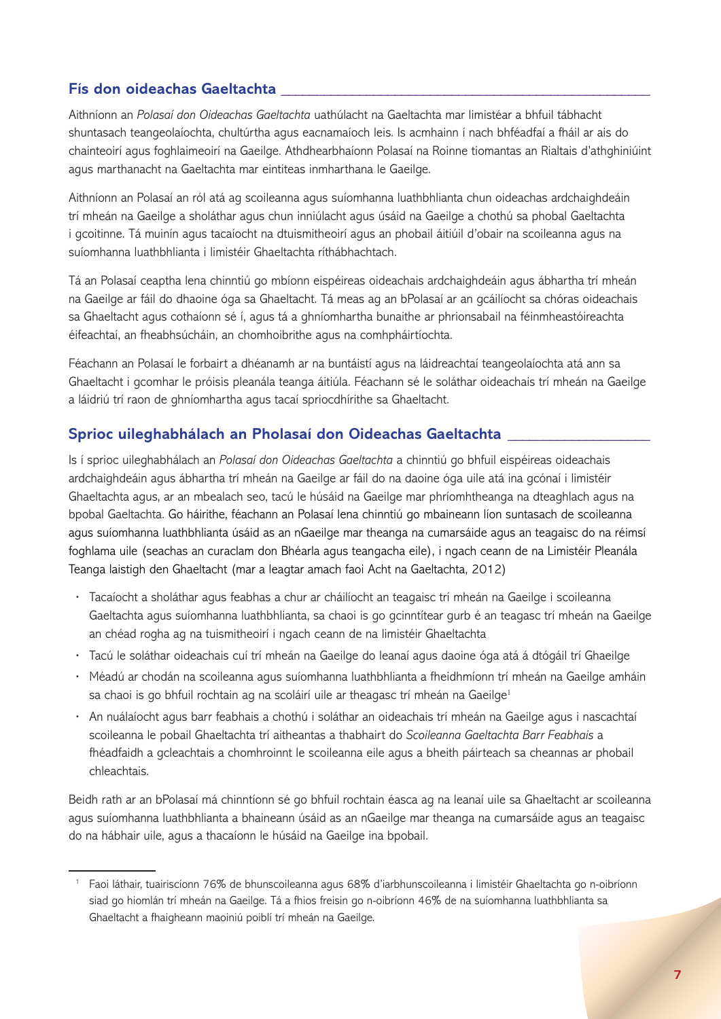## **Fís don oideachas Gaeltachta \_\_\_\_\_\_\_\_\_\_\_\_\_\_\_\_\_\_\_\_\_\_\_\_\_\_\_\_\_\_\_\_\_\_\_\_\_\_\_\_\_\_\_\_\_\_\_\_\_\_\_\_**

Aithníonn an *Polasaí don Oideachas Gaeltachta* uathúlacht na Gaeltachta mar limistéar a bhfuil tábhacht shuntasach teangeolaíochta, chultúrtha agus eacnamaíoch leis. Is acmhainn í nach bhféadfaí a fháil ar ais do chainteoirí agus foghlaimeoirí na Gaeilge. Athdhearbhaíonn Polasaí na Roinne tiomantas an Rialtais d'athghiniúint agus marthanacht na Gaeltachta mar eintiteas inmharthana le Gaeilge.

Aithníonn an Polasaí an ról atá ag scoileanna agus suíomhanna luathbhlianta chun oideachas ardchaighdeáin trí mheán na Gaeilge a sholáthar agus chun inniúlacht agus úsáid na Gaeilge a chothú sa phobal Gaeltachta i gcoitinne. Tá muinín agus tacaíocht na dtuismitheoirí agus an phobail áitiúil d'obair na scoileanna agus na suíomhanna luathbhlianta i limistéir Ghaeltachta ríthábhachtach.

Tá an Polasaí ceaptha lena chinntiú go mbíonn eispéireas oideachais ardchaighdeáin agus ábhartha trí mheán na Gaeilge ar fáil do dhaoine óga sa Ghaeltacht. Tá meas ag an bPolasaí ar an gcáilíocht sa chóras oideachais sa Ghaeltacht agus cothaíonn sé í, agus tá a ghníomhartha bunaithe ar phrionsabail na féinmheastóireachta éifeachtaí, an fheabhsúcháin, an chomhoibrithe agus na comhpháirtíochta.

Féachann an Polasaí le forbairt a dhéanamh ar na buntáistí agus na láidreachtaí teangeolaíochta atá ann sa Ghaeltacht i gcomhar le próisis pleanála teanga áitiúla. Féachann sé le soláthar oideachais trí mheán na Gaeilge a láidriú trí raon de ghníomhartha agus tacaí spriocdhírithe sa Ghaeltacht.

## **Sprioc uileghabhálach an Pholasaí don Oideachas Gaeltachta \_\_\_\_\_\_\_\_\_\_\_\_\_\_\_\_\_\_\_\_**

Is í sprioc uileghabhálach an *Polasaí don Oideachas Gaeltachta* a chinntiú go bhfuil eispéireas oideachais ardchaighdeáin agus ábhartha trí mheán na Gaeilge ar fáil do na daoine óga uile atá ina gcónaí i limistéir Ghaeltachta agus, ar an mbealach seo, tacú le húsáid na Gaeilge mar phríomhtheanga na dteaghlach agus na bpobal Gaeltachta. Go háirithe, féachann an Polasaí lena chinntiú go mbaineann líon suntasach de scoileanna agus suíomhanna luathbhlianta úsáid as an nGaeilge mar theanga na cumarsáide agus an teagaisc do na réimsí foghlama uile (seachas an curaclam don Bhéarla agus teangacha eile), i ngach ceann de na Limistéir Pleanála Teanga laistigh den Ghaeltacht (mar a leagtar amach faoi Acht na Gaeltachta, 2012)

- **·** Tacaíocht a sholáthar agus feabhas a chur ar cháilíocht an teagaisc trí mheán na Gaeilge i scoileanna Gaeltachta agus suíomhanna luathbhlianta, sa chaoi is go gcinntítear gurb é an teagasc trí mheán na Gaeilge an chéad rogha ag na tuismitheoirí i ngach ceann de na limistéir Ghaeltachta
- **·** Tacú le soláthar oideachais cuí trí mheán na Gaeilge do leanaí agus daoine óga atá á dtógáil trí Ghaeilge
- **·** Méadú ar chodán na scoileanna agus suíomhanna luathbhlianta a fheidhmíonn trí mheán na Gaeilge amháin sa chaoi is go bhfuil rochtain ag na scoláirí uile ar theagasc trí mheán na Gaeilge<sup>1</sup>
- **·** An nuálaíocht agus barr feabhais a chothú i soláthar an oideachais trí mheán na Gaeilge agus i nascachtaí scoileanna le pobail Ghaeltachta trí aitheantas a thabhairt do *Scoileanna Gaeltachta Barr Feabhais* a fhéadfaidh a gcleachtais a chomhroinnt le scoileanna eile agus a bheith páirteach sa cheannas ar phobail chleachtais.

Beidh rath ar an bPolasaí má chinntíonn sé go bhfuil rochtain éasca ag na leanaí uile sa Ghaeltacht ar scoileanna agus suíomhanna luathbhlianta a bhaineann úsáid as an nGaeilge mar theanga na cumarsáide agus an teagaisc do na hábhair uile, agus a thacaíonn le húsáid na Gaeilge ina bpobail.

<sup>1</sup> Faoi láthair, tuairiscíonn 76% de bhunscoileanna agus 68% d'iarbhunscoileanna i limistéir Ghaeltachta go n-oibríonn siad go hiomlán trí mheán na Gaeilge. Tá a fhios freisin go n-oibríonn 46% de na suíomhanna luathbhlianta sa Ghaeltacht a fhaigheann maoiniú poiblí trí mheán na Gaeilge.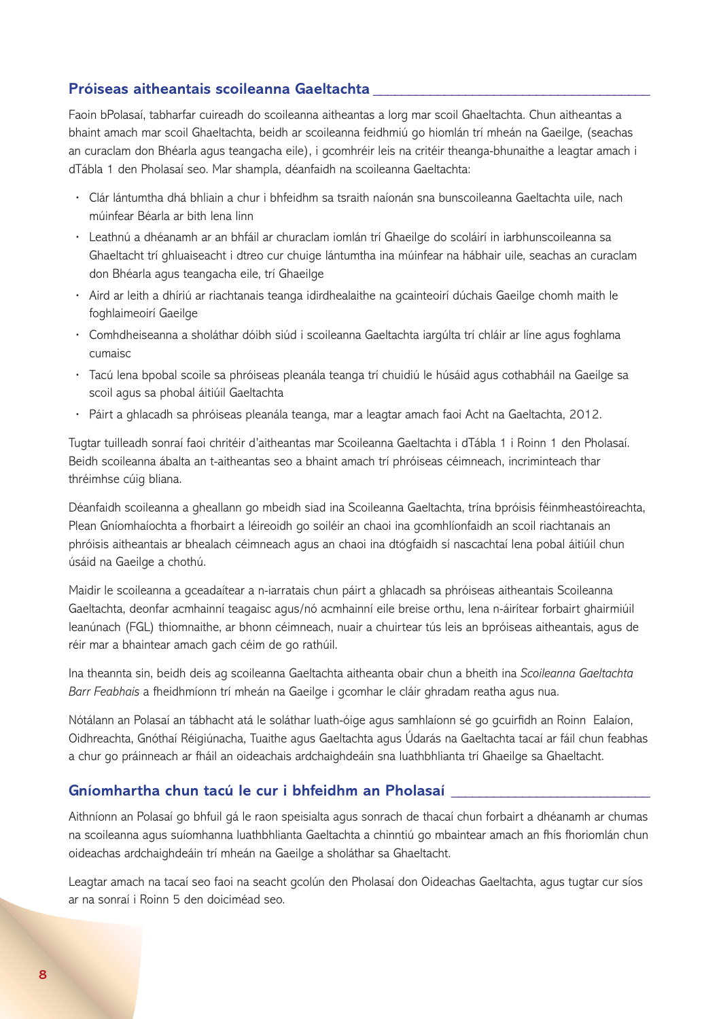### **Próiseas aitheantais scoileanna Gaeltachta \_\_\_\_\_\_\_\_\_\_\_\_\_\_\_\_\_\_\_\_\_\_\_\_\_\_\_\_\_\_\_\_\_\_\_\_\_\_\_**

Faoin bPolasaí, tabharfar cuireadh do scoileanna aitheantas a lorg mar scoil Ghaeltachta. Chun aitheantas a bhaint amach mar scoil Ghaeltachta, beidh ar scoileanna feidhmiú go hiomlán trí mheán na Gaeilge, (seachas an curaclam don Bhéarla agus teangacha eile), i gcomhréir leis na critéir theanga-bhunaithe a leagtar amach i dTábla 1 den Pholasaí seo. Mar shampla, déanfaidh na scoileanna Gaeltachta:

- **·** Clár lántumtha dhá bhliain a chur i bhfeidhm sa tsraith naíonán sna bunscoileanna Gaeltachta uile, nach múinfear Béarla ar bith lena linn
- **·** Leathnú a dhéanamh ar an bhfáil ar churaclam iomlán trí Ghaeilge do scoláirí in iarbhunscoileanna sa Ghaeltacht trí ghluaiseacht i dtreo cur chuige lántumtha ina múinfear na hábhair uile, seachas an curaclam don Bhéarla agus teangacha eile, trí Ghaeilge
- **·** Aird ar leith a dhíriú ar riachtanais teanga idirdhealaithe na gcainteoirí dúchais Gaeilge chomh maith le foghlaimeoirí Gaeilge
- **·** Comhdheiseanna a sholáthar dóibh siúd i scoileanna Gaeltachta iargúlta trí chláir ar líne agus foghlama cumaisc
- **·** Tacú lena bpobal scoile sa phróiseas pleanála teanga trí chuidiú le húsáid agus cothabháil na Gaeilge sa scoil agus sa phobal áitiúil Gaeltachta
- **·** Páirt a ghlacadh sa phróiseas pleanála teanga, mar a leagtar amach faoi Acht na Gaeltachta, 2012.

Tugtar tuilleadh sonraí faoi chritéir d'aitheantas mar Scoileanna Gaeltachta i dTábla 1 i Roinn 1 den Pholasaí. Beidh scoileanna ábalta an t-aitheantas seo a bhaint amach trí phróiseas céimneach, incriminteach thar thréimhse cúig bliana.

Déanfaidh scoileanna a gheallann go mbeidh siad ina Scoileanna Gaeltachta, trína bpróisis féinmheastóireachta, Plean Gníomhaíochta a fhorbairt a léireoidh go soiléir an chaoi ina gcomhlíonfaidh an scoil riachtanais an phróisis aitheantais ar bhealach céimneach agus an chaoi ina dtógfaidh sí nascachtaí lena pobal áitiúil chun úsáid na Gaeilge a chothú.

Maidir le scoileanna a gceadaítear a n-iarratais chun páirt a ghlacadh sa phróiseas aitheantais Scoileanna Gaeltachta, deonfar acmhainní teagaisc agus/nó acmhainní eile breise orthu, lena n-áirítear forbairt ghairmiúil leanúnach (FGL) thiomnaithe, ar bhonn céimneach, nuair a chuirtear tús leis an bpróiseas aitheantais, agus de réir mar a bhaintear amach gach céim de go rathúil.

Ina theannta sin, beidh deis ag scoileanna Gaeltachta aitheanta obair chun a bheith ina *Scoileanna Gaeltachta Barr Feabhais* a fheidhmíonn trí mheán na Gaeilge i gcomhar le cláir ghradam reatha agus nua.

Nótálann an Polasaí an tábhacht atá le soláthar luath-óige agus samhlaíonn sé go gcuirfidh an Roinn Ealaíon, Oidhreachta, Gnóthaí Réigiúnacha, Tuaithe agus Gaeltachta agus Údarás na Gaeltachta tacaí ar fáil chun feabhas a chur go práinneach ar fháil an oideachais ardchaighdeáin sna luathbhlianta trí Ghaeilge sa Ghaeltacht.

#### **Gníomhartha chun tacú le cur i bhfeidhm an Pholasaí \_\_\_\_\_\_\_\_\_\_\_\_\_\_\_\_\_\_\_\_\_\_\_\_\_\_\_\_**

Aithníonn an Polasaí go bhfuil gá le raon speisialta agus sonrach de thacaí chun forbairt a dhéanamh ar chumas na scoileanna agus suíomhanna luathbhlianta Gaeltachta a chinntiú go mbaintear amach an fhís fhoriomlán chun oideachas ardchaighdeáin trí mheán na Gaeilge a sholáthar sa Ghaeltacht.

Leagtar amach na tacaí seo faoi na seacht gcolún den Pholasaí don Oideachas Gaeltachta, agus tugtar cur síos ar na sonraí i Roinn 5 den doiciméad seo.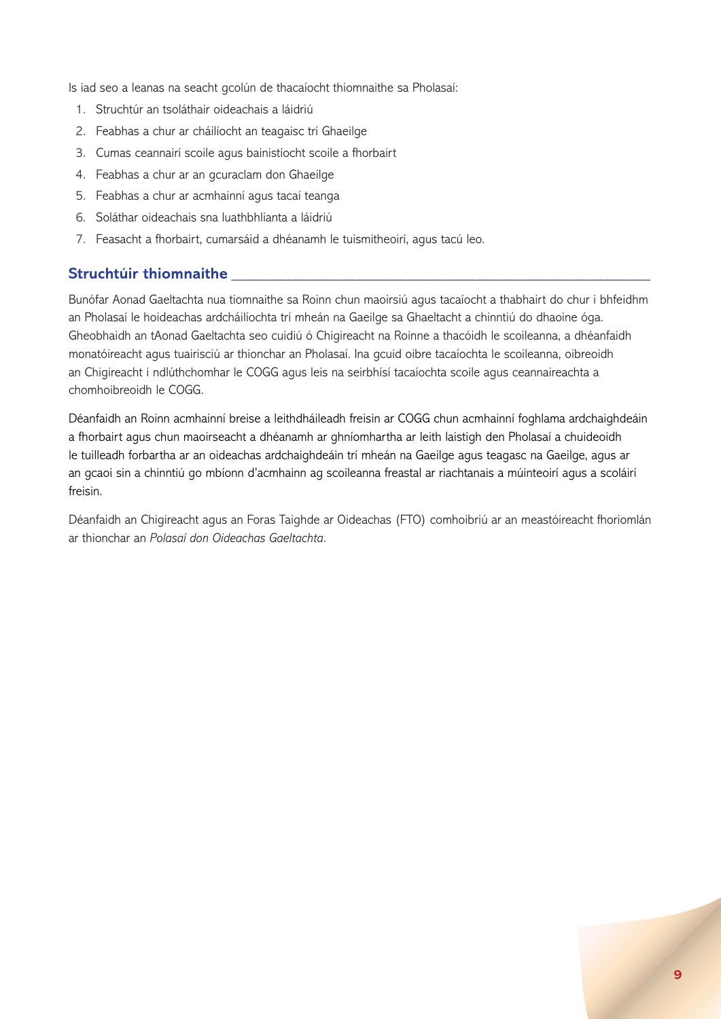Is iad seo a leanas na seacht gcolún de thacaíocht thiomnaithe sa Pholasaí:

- 1. Struchtúr an tsoláthair oideachais a láidriú
- 2. Feabhas a chur ar cháilíocht an teagaisc trí Ghaeilge
- 3. Cumas ceannairí scoile agus bainistíocht scoile a fhorbairt
- 4. Feabhas a chur ar an gcuraclam don Ghaeilge
- 5. Feabhas a chur ar acmhainní agus tacaí teanga
- 6. Soláthar oideachais sna luathbhlianta a láidriú
- 7. Feasacht a fhorbairt, cumarsáid a dhéanamh le tuismitheoirí, agus tacú leo.

## **Struchtúir thiomnaithe \_\_\_\_\_\_\_\_\_\_\_\_\_\_\_\_\_\_\_\_\_\_\_\_\_\_\_\_\_\_\_\_\_\_\_\_\_\_\_\_\_\_\_\_\_\_\_\_\_\_\_\_\_\_\_\_\_\_\_**

Bunófar Aonad Gaeltachta nua tiomnaithe sa Roinn chun maoirsiú agus tacaíocht a thabhairt do chur i bhfeidhm an Pholasaí le hoideachas ardcháilíochta trí mheán na Gaeilge sa Ghaeltacht a chinntiú do dhaoine óga. Gheobhaidh an tAonad Gaeltachta seo cuidiú ó Chigireacht na Roinne a thacóidh le scoileanna, a dhéanfaidh monatóireacht agus tuairisciú ar thionchar an Pholasaí. Ina gcuid oibre tacaíochta le scoileanna, oibreoidh an Chigireacht i ndlúthchomhar le COGG agus leis na seirbhísí tacaíochta scoile agus ceannaireachta a chomhoibreoidh le COGG.

Déanfaidh an Roinn acmhainní breise a leithdháileadh freisin ar COGG chun acmhainní foghlama ardchaighdeáin a fhorbairt agus chun maoirseacht a dhéanamh ar ghníomhartha ar leith laistigh den Pholasaí a chuideoidh le tuilleadh forbartha ar an oideachas ardchaighdeáin trí mheán na Gaeilge agus teagasc na Gaeilge, agus ar an gcaoi sin a chinntiú go mbíonn d'acmhainn ag scoileanna freastal ar riachtanais a múinteoirí agus a scoláirí freisin.

Déanfaidh an Chigireacht agus an Foras Taighde ar Oideachas (FTO) comhoibriú ar an meastóireacht fhoriomlán ar thionchar an *Polasaí don Oideachas Gaeltachta*.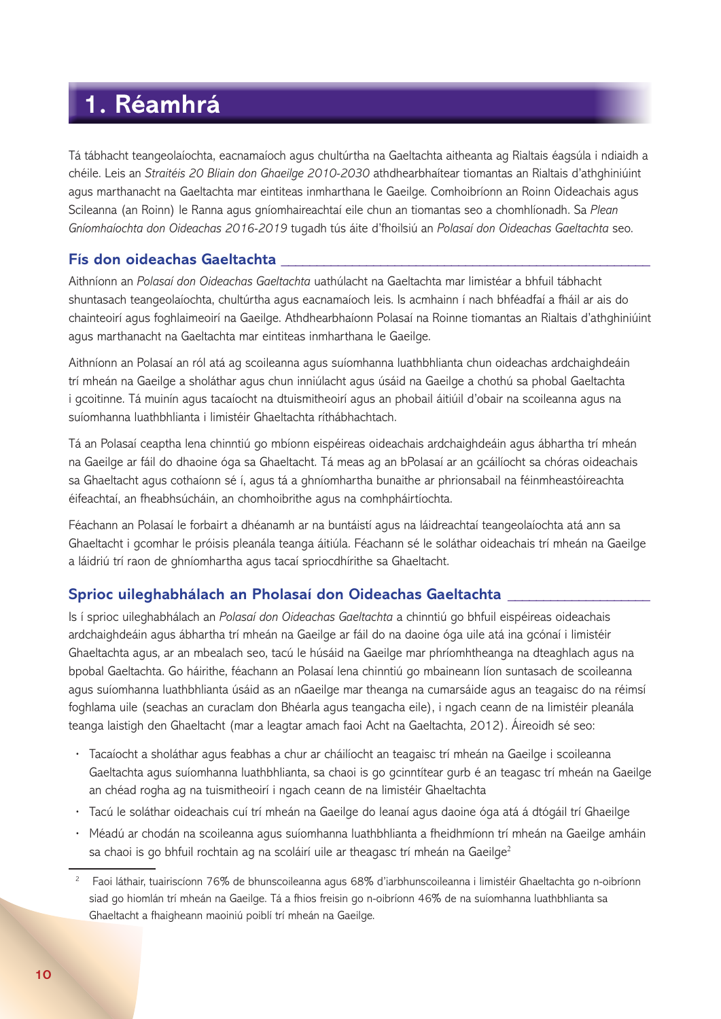## **1. Réamhrá**

Tá tábhacht teangeolaíochta, eacnamaíoch agus chultúrtha na Gaeltachta aitheanta ag Rialtais éagsúla i ndiaidh a chéile. Leis an *Straitéis 20 Bliain don Ghaeilge 2010-2030* athdhearbhaítear tiomantas an Rialtais d'athghiniúint agus marthanacht na Gaeltachta mar eintiteas inmharthana le Gaeilge. Comhoibríonn an Roinn Oideachais agus Scileanna (an Roinn) le Ranna agus gníomhaireachtaí eile chun an tiomantas seo a chomhlíonadh. Sa *Plean Gníomhaíochta don Oideachas 2016-2019* tugadh tús áite d'fhoilsiú an *Polasaí don Oideachas Gaeltachta* seo.

## **Fís don oideachas Gaeltachta \_\_\_\_\_\_\_\_\_\_\_\_\_\_\_\_\_\_\_\_\_\_\_\_\_\_\_\_\_\_\_\_\_\_\_\_\_\_\_\_\_\_\_\_\_\_\_\_\_\_\_\_**

Aithníonn an *Polasaí don Oideachas Gaeltachta* uathúlacht na Gaeltachta mar limistéar a bhfuil tábhacht shuntasach teangeolaíochta, chultúrtha agus eacnamaíoch leis. Is acmhainn í nach bhféadfaí a fháil ar ais do chainteoirí agus foghlaimeoirí na Gaeilge. Athdhearbhaíonn Polasaí na Roinne tiomantas an Rialtais d'athghiniúint agus marthanacht na Gaeltachta mar eintiteas inmharthana le Gaeilge.

Aithníonn an Polasaí an ról atá ag scoileanna agus suíomhanna luathbhlianta chun oideachas ardchaighdeáin trí mheán na Gaeilge a sholáthar agus chun inniúlacht agus úsáid na Gaeilge a chothú sa phobal Gaeltachta i gcoitinne. Tá muinín agus tacaíocht na dtuismitheoirí agus an phobail áitiúil d'obair na scoileanna agus na suíomhanna luathbhlianta i limistéir Ghaeltachta ríthábhachtach.

Tá an Polasaí ceaptha lena chinntiú go mbíonn eispéireas oideachais ardchaighdeáin agus ábhartha trí mheán na Gaeilge ar fáil do dhaoine óga sa Ghaeltacht. Tá meas ag an bPolasaí ar an gcáilíocht sa chóras oideachais sa Ghaeltacht agus cothaíonn sé í, agus tá a ghníomhartha bunaithe ar phrionsabail na féinmheastóireachta éifeachtaí, an fheabhsúcháin, an chomhoibrithe agus na comhpháirtíochta.

Féachann an Polasaí le forbairt a dhéanamh ar na buntáistí agus na láidreachtaí teangeolaíochta atá ann sa Ghaeltacht i gcomhar le próisis pleanála teanga áitiúla. Féachann sé le soláthar oideachais trí mheán na Gaeilge a láidriú trí raon de ghníomhartha agus tacaí spriocdhírithe sa Ghaeltacht.

## **Sprioc uileghabhálach an Pholasaí don Oideachas Gaeltachta \_\_\_\_\_\_\_\_\_\_\_\_\_\_\_\_\_\_\_\_**

Is í sprioc uileghabhálach an *Polasaí don Oideachas Gaeltachta* a chinntiú go bhfuil eispéireas oideachais ardchaighdeáin agus ábhartha trí mheán na Gaeilge ar fáil do na daoine óga uile atá ina gcónaí i limistéir Ghaeltachta agus, ar an mbealach seo, tacú le húsáid na Gaeilge mar phríomhtheanga na dteaghlach agus na bpobal Gaeltachta. Go háirithe, féachann an Polasaí lena chinntiú go mbaineann líon suntasach de scoileanna agus suíomhanna luathbhlianta úsáid as an nGaeilge mar theanga na cumarsáide agus an teagaisc do na réimsí foghlama uile (seachas an curaclam don Bhéarla agus teangacha eile), i ngach ceann de na limistéir pleanála teanga laistigh den Ghaeltacht (mar a leagtar amach faoi Acht na Gaeltachta, 2012). Áireoidh sé seo:

- **·** Tacaíocht a sholáthar agus feabhas a chur ar cháilíocht an teagaisc trí mheán na Gaeilge i scoileanna Gaeltachta agus suíomhanna luathbhlianta, sa chaoi is go gcinntítear gurb é an teagasc trí mheán na Gaeilge an chéad rogha ag na tuismitheoirí i ngach ceann de na limistéir Ghaeltachta
- **·** Tacú le soláthar oideachais cuí trí mheán na Gaeilge do leanaí agus daoine óga atá á dtógáil trí Ghaeilge
- **·** Méadú ar chodán na scoileanna agus suíomhanna luathbhlianta a fheidhmíonn trí mheán na Gaeilge amháin sa chaoi is go bhfuil rochtain ag na scoláirí uile ar theagasc trí mheán na Gaeilge $2$

<sup>2</sup> Faoi láthair, tuairiscíonn 76% de bhunscoileanna agus 68% d'iarbhunscoileanna i limistéir Ghaeltachta go n-oibríonn siad go hiomlán trí mheán na Gaeilge. Tá a fhios freisin go n-oibríonn 46% de na suíomhanna luathbhlianta sa Ghaeltacht a fhaigheann maoiniú poiblí trí mheán na Gaeilge.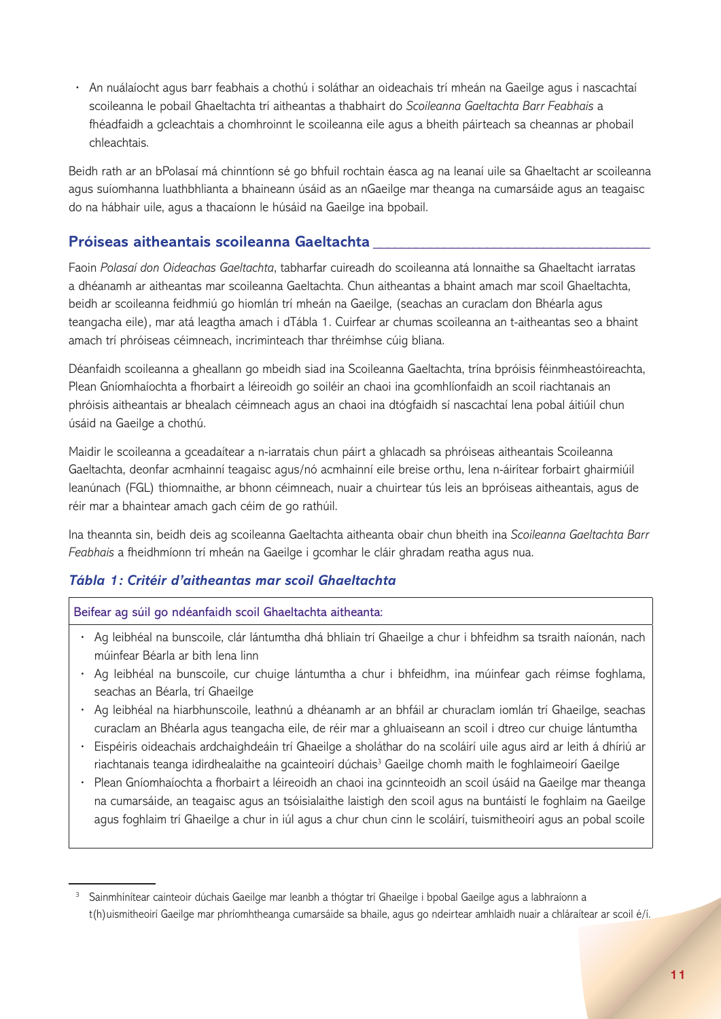**·** An nuálaíocht agus barr feabhais a chothú i soláthar an oideachais trí mheán na Gaeilge agus i nascachtaí scoileanna le pobail Ghaeltachta trí aitheantas a thabhairt do *Scoileanna Gaeltachta Barr Feabhais* a fhéadfaidh a gcleachtais a chomhroinnt le scoileanna eile agus a bheith páirteach sa cheannas ar phobail chleachtais.

Beidh rath ar an bPolasaí má chinntíonn sé go bhfuil rochtain éasca ag na leanaí uile sa Ghaeltacht ar scoileanna agus suíomhanna luathbhlianta a bhaineann úsáid as an nGaeilge mar theanga na cumarsáide agus an teagaisc do na hábhair uile, agus a thacaíonn le húsáid na Gaeilge ina bpobail.

## **Próiseas aitheantais scoileanna Gaeltachta \_\_\_\_\_\_\_\_\_\_\_\_\_\_\_\_\_\_\_\_\_\_\_\_\_\_\_\_\_\_\_\_\_\_\_\_\_\_\_**

Faoin *Polasaí don Oideachas Gaeltachta*, tabharfar cuireadh do scoileanna atá lonnaithe sa Ghaeltacht iarratas a dhéanamh ar aitheantas mar scoileanna Gaeltachta. Chun aitheantas a bhaint amach mar scoil Ghaeltachta, beidh ar scoileanna feidhmiú go hiomlán trí mheán na Gaeilge, (seachas an curaclam don Bhéarla agus teangacha eile), mar atá leagtha amach i dTábla 1. Cuirfear ar chumas scoileanna an t-aitheantas seo a bhaint amach trí phróiseas céimneach, incriminteach thar thréimhse cúig bliana.

Déanfaidh scoileanna a gheallann go mbeidh siad ina Scoileanna Gaeltachta, trína bpróisis féinmheastóireachta, Plean Gníomhaíochta a fhorbairt a léireoidh go soiléir an chaoi ina gcomhlíonfaidh an scoil riachtanais an phróisis aitheantais ar bhealach céimneach agus an chaoi ina dtógfaidh sí nascachtaí lena pobal áitiúil chun úsáid na Gaeilge a chothú.

Maidir le scoileanna a gceadaítear a n-iarratais chun páirt a ghlacadh sa phróiseas aitheantais Scoileanna Gaeltachta, deonfar acmhainní teagaisc agus/nó acmhainní eile breise orthu, lena n-áirítear forbairt ghairmiúil leanúnach (FGL) thiomnaithe, ar bhonn céimneach, nuair a chuirtear tús leis an bpróiseas aitheantais, agus de réir mar a bhaintear amach gach céim de go rathúil.

Ina theannta sin, beidh deis ag scoileanna Gaeltachta aitheanta obair chun bheith ina *Scoileanna Gaeltachta Barr Feabhais* a fheidhmíonn trí mheán na Gaeilge i gcomhar le cláir ghradam reatha agus nua.

## *Tábla 1: Critéir d'aitheantas mar scoil Ghaeltachta*

Beifear ag súil go ndéanfaidh scoil Ghaeltachta aitheanta:

- **·** Ag leibhéal na bunscoile, clár lántumtha dhá bhliain trí Ghaeilge a chur i bhfeidhm sa tsraith naíonán, nach múinfear Béarla ar bith lena linn
- **·** Ag leibhéal na bunscoile, cur chuige lántumtha a chur i bhfeidhm, ina múinfear gach réimse foghlama, seachas an Béarla, trí Ghaeilge
- **·** Ag leibhéal na hiarbhunscoile, leathnú a dhéanamh ar an bhfáil ar churaclam iomlán trí Ghaeilge, seachas curaclam an Bhéarla agus teangacha eile, de réir mar a ghluaiseann an scoil i dtreo cur chuige lántumtha
- **·** Eispéiris oideachais ardchaighdeáin trí Ghaeilge a sholáthar do na scoláirí uile agus aird ar leith á dhíriú ar riachtanais teanga idirdhealaithe na gcainteoirí dúchais<sup>3</sup> Gaeilge chomh maith le foghlaimeoirí Gaeilge
- **·** Plean Gníomhaíochta a fhorbairt a léireoidh an chaoi ina gcinnteoidh an scoil úsáid na Gaeilge mar theanga na cumarsáide, an teagaisc agus an tsóisialaithe laistigh den scoil agus na buntáistí le foghlaim na Gaeilge agus foghlaim trí Ghaeilge a chur in iúl agus a chur chun cinn le scoláirí, tuismitheoirí agus an pobal scoile

Sainmhínítear cainteoir dúchais Gaeilge mar leanbh a thógtar trí Ghaeilge i bpobal Gaeilge agus a labhraíonn a t(h)uismitheoirí Gaeilge mar phríomhtheanga cumarsáide sa bhaile, agus go ndeirtear amhlaidh nuair a chláraítear ar scoil é/í.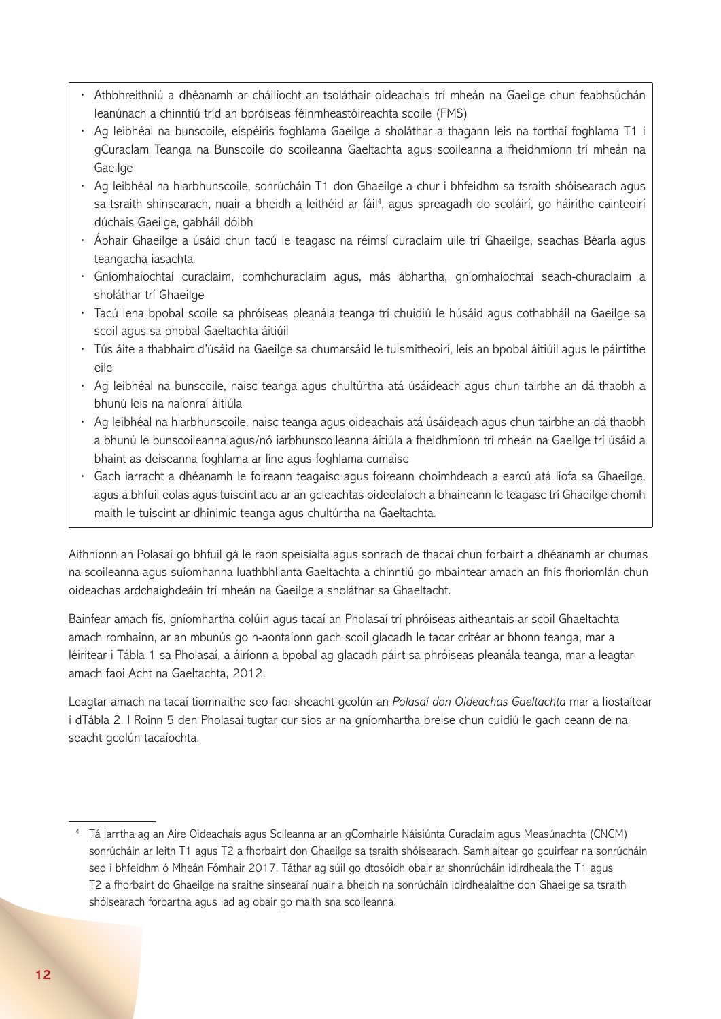- **·** Athbhreithniú a dhéanamh ar cháilíocht an tsoláthair oideachais trí mheán na Gaeilge chun feabhsúchán leanúnach a chinntiú tríd an bpróiseas féinmheastóireachta scoile (FMS)
- **·** Ag leibhéal na bunscoile, eispéiris foghlama Gaeilge a sholáthar a thagann leis na torthaí foghlama T1 i gCuraclam Teanga na Bunscoile do scoileanna Gaeltachta agus scoileanna a fheidhmíonn trí mheán na Gaeilge
- **·** Ag leibhéal na hiarbhunscoile, sonrúcháin T1 don Ghaeilge a chur i bhfeidhm sa tsraith shóisearach agus sa tsraith shinsearach, nuair a bheidh a leithéid ar fáil<sup>4</sup>, agus spreagadh do scoláirí, go háirithe cainteoirí dúchais Gaeilge, gabháil dóibh
- **·** Ábhair Ghaeilge a úsáid chun tacú le teagasc na réimsí curaclaim uile trí Ghaeilge, seachas Béarla agus teangacha iasachta
- **·** Gníomhaíochtaí curaclaim, comhchuraclaim agus, más ábhartha, gníomhaíochtaí seach-churaclaim a sholáthar trí Ghaeilge
- **·** Tacú lena bpobal scoile sa phróiseas pleanála teanga trí chuidiú le húsáid agus cothabháil na Gaeilge sa scoil agus sa phobal Gaeltachta áitiúil
- **·** Tús áite a thabhairt d'úsáid na Gaeilge sa chumarsáid le tuismitheoirí, leis an bpobal áitiúil agus le páirtithe eile
- **·** Ag leibhéal na bunscoile, naisc teanga agus chultúrtha atá úsáideach agus chun tairbhe an dá thaobh a bhunú leis na naíonraí áitiúla
- **·** Ag leibhéal na hiarbhunscoile, naisc teanga agus oideachais atá úsáideach agus chun tairbhe an dá thaobh a bhunú le bunscoileanna agus/nó iarbhunscoileanna áitiúla a fheidhmíonn trí mheán na Gaeilge trí úsáid a bhaint as deiseanna foghlama ar líne agus foghlama cumaisc
- **·** Gach iarracht a dhéanamh le foireann teagaisc agus foireann choimhdeach a earcú atá líofa sa Ghaeilge, agus a bhfuil eolas agus tuiscint acu ar an gcleachtas oideolaíoch a bhaineann le teagasc trí Ghaeilge chomh maith le tuiscint ar dhinimic teanga agus chultúrtha na Gaeltachta.

Aithníonn an Polasaí go bhfuil gá le raon speisialta agus sonrach de thacaí chun forbairt a dhéanamh ar chumas na scoileanna agus suíomhanna luathbhlianta Gaeltachta a chinntiú go mbaintear amach an fhís fhoriomlán chun oideachas ardchaighdeáin trí mheán na Gaeilge a sholáthar sa Ghaeltacht.

Bainfear amach fís, gníomhartha colúin agus tacaí an Pholasaí trí phróiseas aitheantais ar scoil Ghaeltachta amach romhainn, ar an mbunús go n-aontaíonn gach scoil glacadh le tacar critéar ar bhonn teanga, mar a léirítear i Tábla 1 sa Pholasaí, a áiríonn a bpobal ag glacadh páirt sa phróiseas pleanála teanga, mar a leagtar amach faoi Acht na Gaeltachta, 2012.

Leagtar amach na tacaí tiomnaithe seo faoi sheacht gcolún an *Polasaí don Oideachas Gaeltachta* mar a liostaítear i dTábla 2. I Roinn 5 den Pholasaí tugtar cur síos ar na gníomhartha breise chun cuidiú le gach ceann de na seacht gcolún tacaíochta.

<sup>4</sup> Tá iarrtha ag an Aire Oideachais agus Scileanna ar an gComhairle Náisiúnta Curaclaim agus Measúnachta (CNCM) sonrúcháin ar leith T1 agus T2 a fhorbairt don Ghaeilge sa tsraith shóisearach. Samhlaítear go gcuirfear na sonrúcháin seo i bhfeidhm ó Mheán Fómhair 2017. Táthar ag súil go dtosóidh obair ar shonrúcháin idirdhealaithe T1 agus T2 a fhorbairt do Ghaeilge na sraithe sinsearaí nuair a bheidh na sonrúcháin idirdhealaithe don Ghaeilge sa tsraith shóisearach forbartha agus iad ag obair go maith sna scoileanna.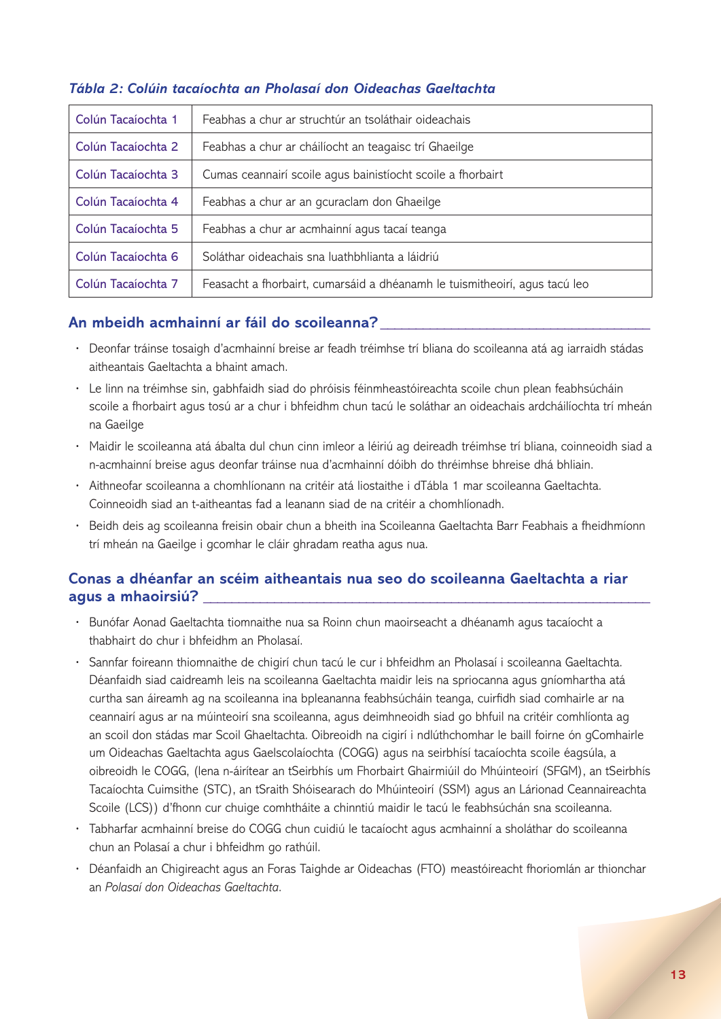| Colún Tacaíochta 1 | Feabhas a chur ar struchtúr an tsoláthair oideachais                       |
|--------------------|----------------------------------------------------------------------------|
| Colún Tacaíochta 2 | Feabhas a chur ar cháilíocht an teagaisc trí Ghaeilge                      |
| Colún Tacaíochta 3 | Cumas ceannairí scoile agus bainistíocht scoile a fhorbairt                |
| Colún Tacaíochta 4 | Feabhas a chur ar an gcuraclam don Ghaeilge                                |
| Colún Tacaíochta 5 | Feabhas a chur ar acmhainní agus tacaí teanga                              |
| Colún Tacaíochta 6 | Soláthar oideachais sna luathbhlianta a láidriú                            |
| Colún Tacaíochta 7 | Feasacht a fhorbairt, cumarsáid a dhéanamh le tuismitheoirí, agus tacú leo |

## *Tábla 2: Colúin tacaíochta an Pholasaí don Oideachas Gaeltachta*

## **An mbeidh acmhainní ar fáil do scoileanna? \_\_\_\_\_\_\_\_\_\_\_\_\_\_\_\_\_\_\_\_\_\_\_\_\_\_\_\_\_\_\_\_\_\_\_\_\_\_**

- **·** Deonfar tráinse tosaigh d'acmhainní breise ar feadh tréimhse trí bliana do scoileanna atá ag iarraidh stádas aitheantais Gaeltachta a bhaint amach.
- **·** Le linn na tréimhse sin, gabhfaidh siad do phróisis féinmheastóireachta scoile chun plean feabhsúcháin scoile a fhorbairt agus tosú ar a chur i bhfeidhm chun tacú le soláthar an oideachais ardcháilíochta trí mheán na Gaeilge
- **·** Maidir le scoileanna atá ábalta dul chun cinn imleor a léiriú ag deireadh tréimhse trí bliana, coinneoidh siad a n-acmhainní breise agus deonfar tráinse nua d'acmhainní dóibh do thréimhse bhreise dhá bhliain.
- **·** Aithneofar scoileanna a chomhlíonann na critéir atá liostaithe i dTábla 1 mar scoileanna Gaeltachta. Coinneoidh siad an t-aitheantas fad a leanann siad de na critéir a chomhlíonadh.
- **·** Beidh deis ag scoileanna freisin obair chun a bheith ina Scoileanna Gaeltachta Barr Feabhais a fheidhmíonn trí mheán na Gaeilge i gcomhar le cláir ghradam reatha agus nua.

## **Conas a dhéanfar an scéim aitheantais nua seo do scoileanna Gaeltachta a riar agus a mhaoirsiú? \_\_\_\_\_\_\_\_\_\_\_\_\_\_\_\_\_\_\_\_\_\_\_\_\_\_\_\_\_\_\_\_\_\_\_\_\_\_\_\_\_\_\_\_\_\_\_\_\_\_\_\_\_\_\_\_\_\_\_\_\_\_\_**

- **·** Bunófar Aonad Gaeltachta tiomnaithe nua sa Roinn chun maoirseacht a dhéanamh agus tacaíocht a thabhairt do chur i bhfeidhm an Pholasaí.
- **·** Sannfar foireann thiomnaithe de chigirí chun tacú le cur i bhfeidhm an Pholasaí i scoileanna Gaeltachta. Déanfaidh siad caidreamh leis na scoileanna Gaeltachta maidir leis na spriocanna agus gníomhartha atá curtha san áireamh ag na scoileanna ina bpleananna feabhsúcháin teanga, cuirfidh siad comhairle ar na ceannairí agus ar na múinteoirí sna scoileanna, agus deimhneoidh siad go bhfuil na critéir comhlíonta ag an scoil don stádas mar Scoil Ghaeltachta. Oibreoidh na cigirí i ndlúthchomhar le baill foirne ón gComhairle um Oideachas Gaeltachta agus Gaelscolaíochta (COGG) agus na seirbhísí tacaíochta scoile éagsúla, a oibreoidh le COGG, (lena n-áirítear an tSeirbhís um Fhorbairt Ghairmiúil do Mhúinteoirí (SFGM), an tSeirbhís Tacaíochta Cuimsithe (STC), an tSraith Shóisearach do Mhúinteoirí (SSM) agus an Lárionad Ceannaireachta Scoile (LCS)) d'fhonn cur chuige comhtháite a chinntiú maidir le tacú le feabhsúchán sna scoileanna.
- **·** Tabharfar acmhainní breise do COGG chun cuidiú le tacaíocht agus acmhainní a sholáthar do scoileanna chun an Polasaí a chur i bhfeidhm go rathúil.
- **·** Déanfaidh an Chigireacht agus an Foras Taighde ar Oideachas (FTO) meastóireacht fhoriomlán ar thionchar an *Polasaí don Oideachas Gaeltachta*.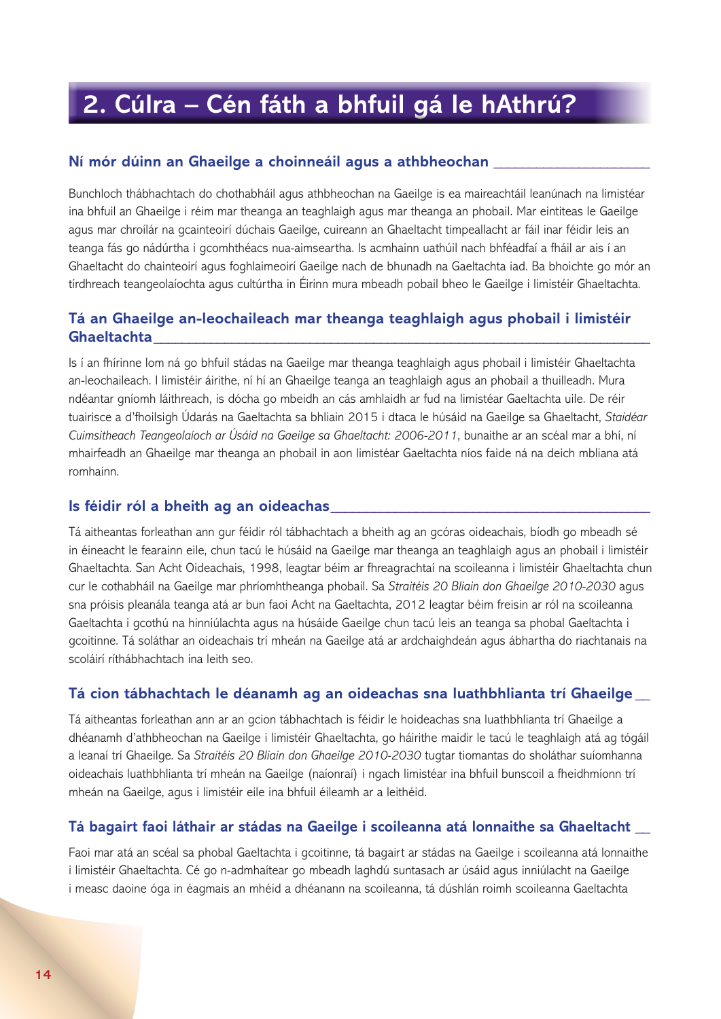## **2. Cúlra – Cén fáth a bhfuil gá le hAthrú?**

#### **Ní mór dúinn an Ghaeilge a choinneáil agus a athbheochan \_\_\_\_\_\_\_\_\_\_\_\_\_\_\_\_\_\_\_\_\_\_**

Bunchloch thábhachtach do chothabháil agus athbheochan na Gaeilge is ea maireachtáil leanúnach na limistéar ina bhfuil an Ghaeilge i réim mar theanga an teaghlaigh agus mar theanga an phobail. Mar eintiteas le Gaeilge agus mar chroílár na gcainteoirí dúchais Gaeilge, cuireann an Ghaeltacht timpeallacht ar fáil inar féidir leis an teanga fás go nádúrtha i gcomhthéacs nua-aimseartha. Is acmhainn uathúil nach bhféadfaí a fháil ar ais í an Ghaeltacht do chainteoirí agus foghlaimeoirí Gaeilge nach de bhunadh na Gaeltachta iad. Ba bhoichte go mór an tírdhreach teangeolaíochta agus cultúrtha in Éirinn mura mbeadh pobail bheo le Gaeilge i limistéir Ghaeltachta.

### **Tá an Ghaeilge an-leochaileach mar theanga teaghlaigh agus phobail i limistéir Ghaeltachta\_\_\_\_\_\_\_\_\_\_\_\_\_\_\_\_\_\_\_\_\_\_\_\_\_\_\_\_\_\_\_\_\_\_\_\_\_\_\_\_\_\_\_\_\_\_\_\_\_\_\_\_\_\_\_\_\_\_\_\_\_\_\_\_\_\_\_\_\_\_**

Is í an fhírinne lom ná go bhfuil stádas na Gaeilge mar theanga teaghlaigh agus phobail i limistéir Ghaeltachta an-leochaileach. I limistéir áirithe, ní hí an Ghaeilge teanga an teaghlaigh agus an phobail a thuilleadh. Mura ndéantar gníomh láithreach, is dócha go mbeidh an cás amhlaidh ar fud na limistéar Gaeltachta uile. De réir tuairisce a d'fhoilsigh Údarás na Gaeltachta sa bhliain 2015 i dtaca le húsáid na Gaeilge sa Ghaeltacht, *Staidéar Cuimsitheach Teangeolaíoch ar Úsáid na Gaeilge sa Ghaeltacht: 2006-2011*, bunaithe ar an scéal mar a bhí, ní mhairfeadh an Ghaeilge mar theanga an phobail in aon limistéar Gaeltachta níos faide ná na deich mbliana atá romhainn.

#### **Is féidir ról a bheith ag an oideachas\_\_\_\_\_\_\_\_\_\_\_\_\_\_\_\_\_\_\_\_\_\_\_\_\_\_\_\_\_\_\_\_\_\_\_\_\_\_\_\_\_\_\_\_\_**

Tá aitheantas forleathan ann gur féidir ról tábhachtach a bheith ag an gcóras oideachais, bíodh go mbeadh sé in éineacht le fearainn eile, chun tacú le húsáid na Gaeilge mar theanga an teaghlaigh agus an phobail i limistéir Ghaeltachta. San Acht Oideachais, 1998, leagtar béim ar fhreagrachtaí na scoileanna i limistéir Ghaeltachta chun cur le cothabháil na Gaeilge mar phríomhtheanga phobail. Sa *Straitéis 20 Bliain don Ghaeilge 2010-2030* agus sna próisis pleanála teanga atá ar bun faoi Acht na Gaeltachta, 2012 leagtar béim freisin ar ról na scoileanna Gaeltachta i gcothú na hinniúlachta agus na húsáide Gaeilge chun tacú leis an teanga sa phobal Gaeltachta i gcoitinne. Tá soláthar an oideachais trí mheán na Gaeilge atá ar ardchaighdeán agus ábhartha do riachtanais na scoláirí ríthábhachtach ina leith seo.

#### **Tá cion tábhachtach le déanamh ag an oideachas sna luathbhlianta trí Ghaeilge \_\_**

Tá aitheantas forleathan ann ar an gcion tábhachtach is féidir le hoideachas sna luathbhlianta trí Ghaeilge a dhéanamh d'athbheochan na Gaeilge i limistéir Ghaeltachta, go háirithe maidir le tacú le teaghlaigh atá ag tógáil a leanaí trí Ghaeilge. Sa *Straitéis 20 Bliain don Ghaeilge 2010-2030* tugtar tiomantas do sholáthar suíomhanna oideachais luathbhlianta trí mheán na Gaeilge (naíonraí) i ngach limistéar ina bhfuil bunscoil a fheidhmíonn trí mheán na Gaeilge, agus i limistéir eile ina bhfuil éileamh ar a leithéid.

#### **Tá bagairt faoi láthair ar stádas na Gaeilge i scoileanna atá lonnaithe sa Ghaeltacht \_\_**

Faoi mar atá an scéal sa phobal Gaeltachta i gcoitinne, tá bagairt ar stádas na Gaeilge i scoileanna atá lonnaithe i limistéir Ghaeltachta. Cé go n-admhaítear go mbeadh laghdú suntasach ar úsáid agus inniúlacht na Gaeilge i measc daoine óga in éagmais an mhéid a dhéanann na scoileanna, tá dúshlán roimh scoileanna Gaeltachta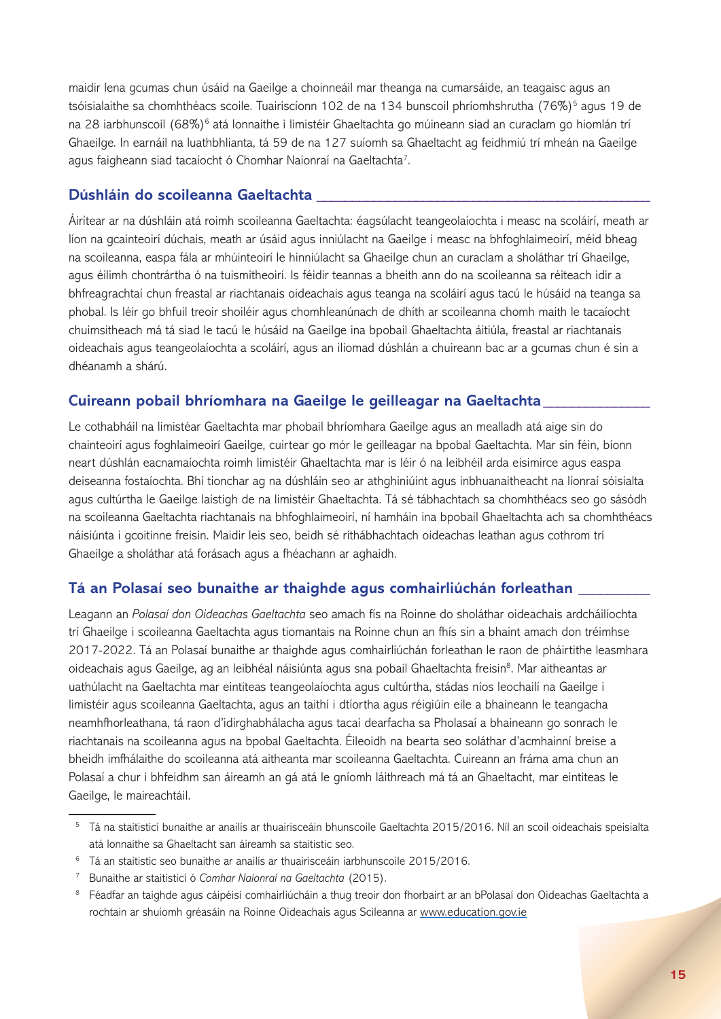maidir lena gcumas chun úsáid na Gaeilge a choinneáil mar theanga na cumarsáide, an teagaisc agus an tsóisialaithe sa chomhthéacs scoile. Tuairiscíonn 102 de na 134 bunscoil phríomhshrutha (76%)<sup>5</sup> agus 19 de na 28 iarbhunscoil (68%)<sup>6</sup> atá lonnaithe i limistéir Ghaeltachta go múineann siad an curaclam go hiomlán trí Ghaeilge. In earnáil na luathbhlianta, tá 59 de na 127 suíomh sa Ghaeltacht ag feidhmiú trí mheán na Gaeilge agus faigheann siad tacaíocht ó Chomhar Naíonraí na Gaeltachta<sup>7</sup>.

#### **Dúshláin do scoileanna Gaeltachta \_\_\_\_\_\_\_\_\_\_\_\_\_\_\_\_\_\_\_\_\_\_\_\_\_\_\_\_\_\_\_\_\_\_\_\_\_\_\_\_\_\_\_\_\_\_\_**

Áirítear ar na dúshláin atá roimh scoileanna Gaeltachta: éagsúlacht teangeolaíochta i measc na scoláirí, meath ar líon na gcainteoirí dúchais, meath ar úsáid agus inniúlacht na Gaeilge i measc na bhfoghlaimeoirí, méid bheag na scoileanna, easpa fála ar mhúinteoirí le hinniúlacht sa Ghaeilge chun an curaclam a sholáthar trí Ghaeilge, agus éilimh chontrártha ó na tuismitheoirí. Is féidir teannas a bheith ann do na scoileanna sa réiteach idir a bhfreagrachtaí chun freastal ar riachtanais oideachais agus teanga na scoláirí agus tacú le húsáid na teanga sa phobal. Is léir go bhfuil treoir shoiléir agus chomhleanúnach de dhíth ar scoileanna chomh maith le tacaíocht chuimsitheach má tá siad le tacú le húsáid na Gaeilge ina bpobail Ghaeltachta áitiúla, freastal ar riachtanais oideachais agus teangeolaíochta a scoláirí, agus an iliomad dúshlán a chuireann bac ar a gcumas chun é sin a dhéanamh a shárú.

### **Cuireann pobail bhríomhara na Gaeilge le geilleagar na Gaeltachta\_\_\_\_\_\_\_\_\_\_\_\_\_\_\_**

Le cothabháil na limistéar Gaeltachta mar phobail bhríomhara Gaeilge agus an mealladh atá aige sin do chainteoirí agus foghlaimeoirí Gaeilge, cuirtear go mór le geilleagar na bpobal Gaeltachta. Mar sin féin, bíonn neart dúshlán eacnamaíochta roimh limistéir Ghaeltachta mar is léir ó na leibhéil arda eisimirce agus easpa deiseanna fostaíochta. Bhí tionchar ag na dúshláin seo ar athghiniúint agus inbhuanaitheacht na líonraí sóisialta agus cultúrtha le Gaeilge laistigh de na limistéir Ghaeltachta. Tá sé tábhachtach sa chomhthéacs seo go sásódh na scoileanna Gaeltachta riachtanais na bhfoghlaimeoirí, ní hamháin ina bpobail Ghaeltachta ach sa chomhthéacs náisiúnta i gcoitinne freisin. Maidir leis seo, beidh sé ríthábhachtach oideachas leathan agus cothrom trí Ghaeilge a sholáthar atá forásach agus a fhéachann ar aghaidh.

## **Tá an Polasaí seo bunaithe ar thaighde agus comhairliúchán forleathan \_\_\_\_\_\_\_\_\_\_**

Leagann an *Polasaí don Oideachas Gaeltachta* seo amach fís na Roinne do sholáthar oideachais ardcháilíochta trí Ghaeilge i scoileanna Gaeltachta agus tiomantais na Roinne chun an fhís sin a bhaint amach don tréimhse 2017-2022. Tá an Polasaí bunaithe ar thaighde agus comhairliúchán forleathan le raon de pháirtithe leasmhara oideachais agus Gaeilge, ag an leibhéal náisiúnta agus sna pobail Ghaeltachta freisin<sup>8</sup>. Mar aitheantas ar uathúlacht na Gaeltachta mar eintiteas teangeolaíochta agus cultúrtha, stádas níos leochailí na Gaeilge i limistéir agus scoileanna Gaeltachta, agus an taithí i dtíortha agus réigiúin eile a bhaineann le teangacha neamhfhorleathana, tá raon d'idirghabhálacha agus tacaí dearfacha sa Pholasaí a bhaineann go sonrach le riachtanais na scoileanna agus na bpobal Gaeltachta. Éileoidh na bearta seo soláthar d'acmhainní breise a bheidh imfhálaithe do scoileanna atá aitheanta mar scoileanna Gaeltachta. Cuireann an fráma ama chun an Polasaí a chur i bhfeidhm san áireamh an gá atá le gníomh láithreach má tá an Ghaeltacht, mar eintiteas le Gaeilge, le maireachtáil.

<sup>5</sup> Tá na staitisticí bunaithe ar anailís ar thuairisceáin bhunscoile Gaeltachta 2015/2016. Níl an scoil oideachais speisialta atá lonnaithe sa Ghaeltacht san áireamh sa staitistic seo.

<sup>&</sup>lt;sup>6</sup> Tá an staitistic seo bunaithe ar anailís ar thuairisceáin iarbhunscoile 2015/2016.

<sup>7</sup> Bunaithe ar staitisticí ó *Comhar Naíonraí na Gaeltachta* (2015).

<sup>&</sup>lt;sup>8</sup> Féadfar an taighde agus cáipéisí comhairliúcháin a thug treoir don fhorbairt ar an bPolasaí don Oideachas Gaeltachta a rochtain ar shuíomh gréasáin na Roinne Oideachais agus Scileanna ar www.education.gov.ie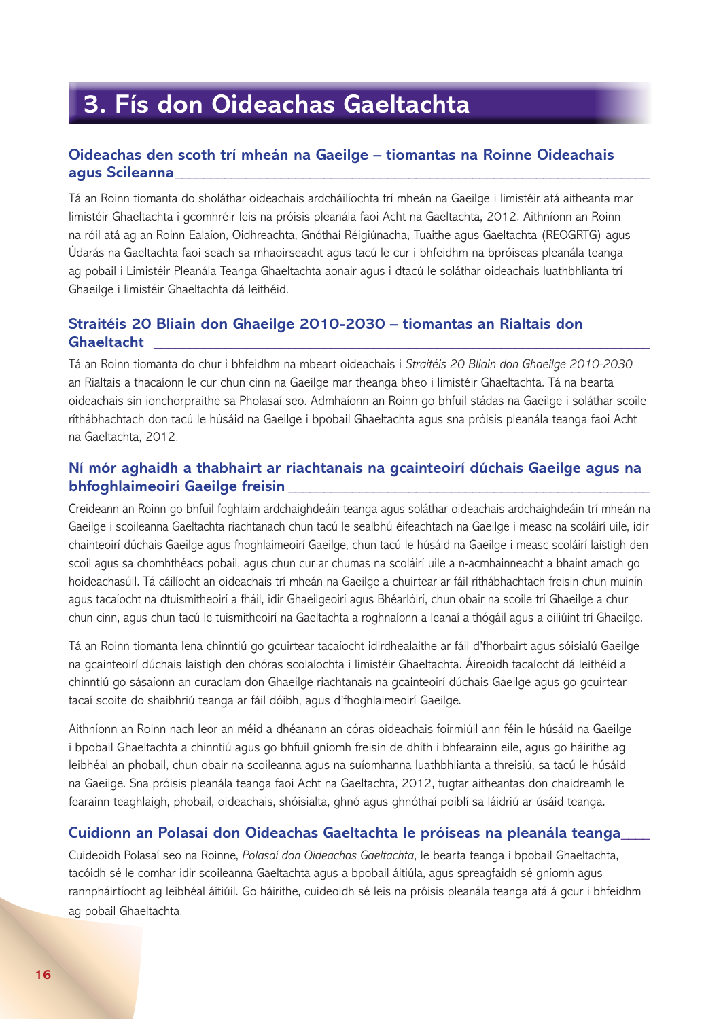## **3. Fís don Oideachas Gaeltachta**

## **Oideachas den scoth trí mheán na Gaeilge – tiomantas na Roinne Oideachais agus Scileanna\_\_\_\_\_\_\_\_\_\_\_\_\_\_\_\_\_\_\_\_\_\_\_\_\_\_\_\_\_\_\_\_\_\_\_\_\_\_\_\_\_\_\_\_\_\_\_\_\_\_\_\_\_\_\_\_\_\_\_\_\_\_\_\_\_\_\_**

Tá an Roinn tiomanta do sholáthar oideachais ardcháilíochta trí mheán na Gaeilge i limistéir atá aitheanta mar limistéir Ghaeltachta i gcomhréir leis na próisis pleanála faoi Acht na Gaeltachta, 2012. Aithníonn an Roinn na róil atá ag an Roinn Ealaíon, Oidhreachta, Gnóthaí Réigiúnacha, Tuaithe agus Gaeltachta (REOGRTG) agus Údarás na Gaeltachta faoi seach sa mhaoirseacht agus tacú le cur i bhfeidhm na bpróiseas pleanála teanga ag pobail i Limistéir Pleanála Teanga Ghaeltachta aonair agus i dtacú le soláthar oideachais luathbhlianta trí Ghaeilge i limistéir Ghaeltachta dá leithéid.

## **Straitéis 20 Bliain don Ghaeilge 2010-2030 – tiomantas an Rialtais don Ghaeltacht \_\_\_\_\_\_\_\_\_\_\_\_\_\_\_\_\_\_\_\_\_\_\_\_\_\_\_\_\_\_\_\_\_\_\_\_\_\_\_\_\_\_\_\_\_\_\_\_\_\_\_\_\_\_\_\_\_\_\_\_\_\_\_\_\_\_\_\_\_\_**

Tá an Roinn tiomanta do chur i bhfeidhm na mbeart oideachais i *Straitéis 20 Bliain don Ghaeilge 2010-2030* an Rialtais a thacaíonn le cur chun cinn na Gaeilge mar theanga bheo i limistéir Ghaeltachta. Tá na bearta oideachais sin ionchorpraithe sa Pholasaí seo. Admhaíonn an Roinn go bhfuil stádas na Gaeilge i soláthar scoile ríthábhachtach don tacú le húsáid na Gaeilge i bpobail Ghaeltachta agus sna próisis pleanála teanga faoi Acht na Gaeltachta, 2012.

## **Ní mór aghaidh a thabhairt ar riachtanais na gcainteoirí dúchais Gaeilge agus na bhfoghlaimeoirí Gaeilge freisin**

Creideann an Roinn go bhfuil foghlaim ardchaighdeáin teanga agus soláthar oideachais ardchaighdeáin trí mheán na Gaeilge i scoileanna Gaeltachta riachtanach chun tacú le sealbhú éifeachtach na Gaeilge i measc na scoláirí uile, idir chainteoirí dúchais Gaeilge agus fhoghlaimeoirí Gaeilge, chun tacú le húsáid na Gaeilge i measc scoláirí laistigh den scoil agus sa chomhthéacs pobail, agus chun cur ar chumas na scoláirí uile a n-acmhainneacht a bhaint amach go hoideachasúil. Tá cáilíocht an oideachais trí mheán na Gaeilge a chuirtear ar fáil ríthábhachtach freisin chun muinín agus tacaíocht na dtuismitheoirí a fháil, idir Ghaeilgeoirí agus Bhéarlóirí, chun obair na scoile trí Ghaeilge a chur chun cinn, agus chun tacú le tuismitheoirí na Gaeltachta a roghnaíonn a leanaí a thógáil agus a oiliúint trí Ghaeilge.

Tá an Roinn tiomanta lena chinntiú go gcuirtear tacaíocht idirdhealaithe ar fáil d'fhorbairt agus sóisialú Gaeilge na gcainteoirí dúchais laistigh den chóras scolaíochta i limistéir Ghaeltachta. Áireoidh tacaíocht dá leithéid a chinntiú go sásaíonn an curaclam don Ghaeilge riachtanais na gcainteoirí dúchais Gaeilge agus go gcuirtear tacaí scoite do shaibhriú teanga ar fáil dóibh, agus d'fhoghlaimeoirí Gaeilge.

Aithníonn an Roinn nach leor an méid a dhéanann an córas oideachais foirmiúil ann féin le húsáid na Gaeilge i bpobail Ghaeltachta a chinntiú agus go bhfuil gníomh freisin de dhíth i bhfearainn eile, agus go háirithe ag leibhéal an phobail, chun obair na scoileanna agus na suíomhanna luathbhlianta a threisiú, sa tacú le húsáid na Gaeilge. Sna próisis pleanála teanga faoi Acht na Gaeltachta, 2012, tugtar aitheantas don chaidreamh le fearainn teaghlaigh, phobail, oideachais, shóisialta, ghnó agus ghnóthaí poiblí sa láidriú ar úsáid teanga.

#### **Cuidíonn an Polasaí don Oideachas Gaeltachta le próiseas na pleanála teanga\_\_\_\_**

Cuideoidh Polasaí seo na Roinne, *Polasaí don Oideachas Gaeltachta*, le bearta teanga i bpobail Ghaeltachta, tacóidh sé le comhar idir scoileanna Gaeltachta agus a bpobail áitiúla, agus spreagfaidh sé gníomh agus rannpháirtíocht ag leibhéal áitiúil. Go háirithe, cuideoidh sé leis na próisis pleanála teanga atá á gcur i bhfeidhm ag pobail Ghaeltachta.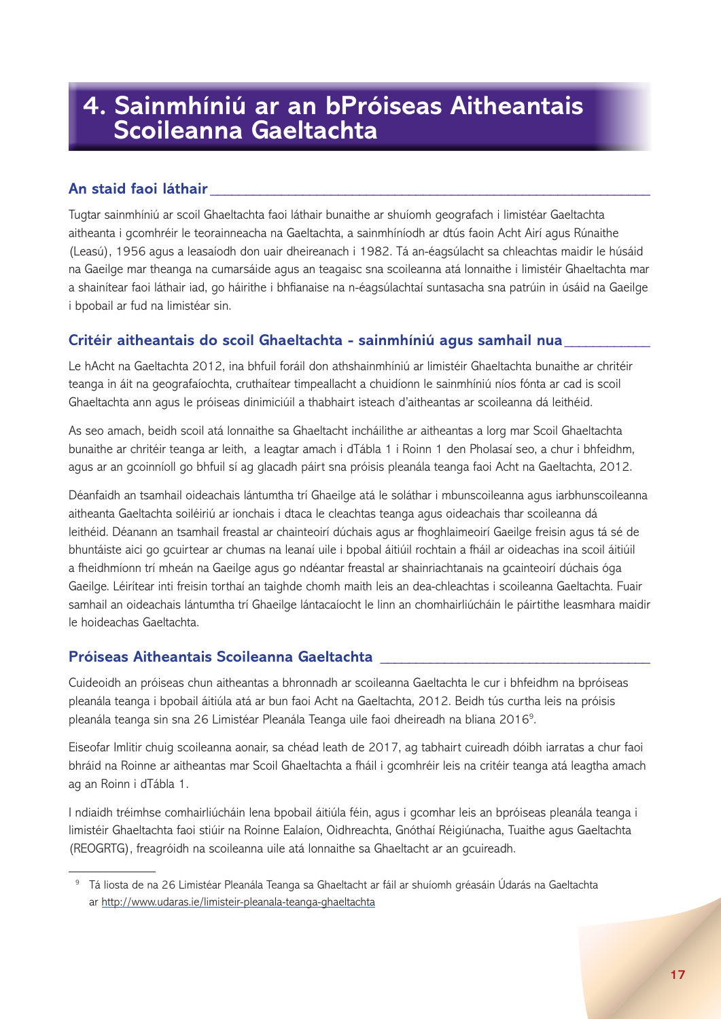## **4. Sainmhíniú ar an bPróiseas Aitheantais Scoileanna Gaeltachta**

## **An staid faoi láthair \_\_\_\_\_\_\_\_\_\_\_\_\_\_\_\_\_\_\_\_\_\_\_\_\_\_\_\_\_\_\_\_\_\_\_\_\_\_\_\_\_\_\_\_\_\_\_\_\_\_\_\_\_\_\_\_\_\_\_\_\_\_**

Tugtar sainmhíniú ar scoil Ghaeltachta faoi láthair bunaithe ar shuíomh geografach i limistéar Gaeltachta aitheanta i gcomhréir le teorainneacha na Gaeltachta, a sainmhíníodh ar dtús faoin Acht Airí agus Rúnaithe (Leasú), 1956 agus a leasaíodh don uair dheireanach i 1982. Tá an-éagsúlacht sa chleachtas maidir le húsáid na Gaeilge mar theanga na cumarsáide agus an teagaisc sna scoileanna atá lonnaithe i limistéir Ghaeltachta mar a shainítear faoi láthair iad, go háirithe i bhfianaise na n-éagsúlachtaí suntasacha sna patrúin in úsáid na Gaeilge i bpobail ar fud na limistéar sin.

## **Critéir aitheantais do scoil Ghaeltachta - sainmhíniú agus samhail nua\_\_\_\_\_\_\_\_\_\_\_\_**

Le hAcht na Gaeltachta 2012, ina bhfuil foráil don athshainmhíniú ar limistéir Ghaeltachta bunaithe ar chritéir teanga in áit na geografaíochta, cruthaítear timpeallacht a chuidíonn le sainmhíniú níos fónta ar cad is scoil Ghaeltachta ann agus le próiseas dinimiciúil a thabhairt isteach d'aitheantas ar scoileanna dá leithéid.

As seo amach, beidh scoil atá lonnaithe sa Ghaeltacht incháilithe ar aitheantas a lorg mar Scoil Ghaeltachta bunaithe ar chritéir teanga ar leith, a leagtar amach i dTábla 1 i Roinn 1 den Pholasaí seo, a chur i bhfeidhm, agus ar an gcoinníoll go bhfuil sí ag glacadh páirt sna próisis pleanála teanga faoi Acht na Gaeltachta, 2012.

Déanfaidh an tsamhail oideachais lántumtha trí Ghaeilge atá le soláthar i mbunscoileanna agus iarbhunscoileanna aitheanta Gaeltachta soiléiriú ar ionchais i dtaca le cleachtas teanga agus oideachais thar scoileanna dá leithéid. Déanann an tsamhail freastal ar chainteoirí dúchais agus ar fhoghlaimeoirí Gaeilge freisin agus tá sé de bhuntáiste aici go gcuirtear ar chumas na leanaí uile i bpobal áitiúil rochtain a fháil ar oideachas ina scoil áitiúil a fheidhmíonn trí mheán na Gaeilge agus go ndéantar freastal ar shainriachtanais na gcainteoirí dúchais óga Gaeilge. Léirítear inti freisin torthaí an taighde chomh maith leis an dea-chleachtas i scoileanna Gaeltachta. Fuair samhail an oideachais lántumtha trí Ghaeilge lántacaíocht le linn an chomhairliúcháin le páirtithe leasmhara maidir le hoideachas Gaeltachta.

## **Próiseas Aitheantais Scoileanna Gaeltachta \_\_\_\_\_\_\_\_\_\_\_\_\_\_\_\_\_\_\_\_\_\_\_\_\_\_\_\_\_\_\_\_\_\_\_\_\_\_**

Cuideoidh an próiseas chun aitheantas a bhronnadh ar scoileanna Gaeltachta le cur i bhfeidhm na bpróiseas pleanála teanga i bpobail áitiúla atá ar bun faoi Acht na Gaeltachta, 2012. Beidh tús curtha leis na próisis pleanála teanga sin sna 26 Limistéar Pleanála Teanga uile faoi dheireadh na bliana 20169. 8

Eiseofar Imlitir chuig scoileanna aonair, sa chéad leath de 2017, ag tabhairt cuireadh dóibh iarratas a chur faoi bhráid na Roinne ar aitheantas mar Scoil Ghaeltachta a fháil i gcomhréir leis na critéir teanga atá leagtha amach ag an Roinn i dTábla 1.

I ndiaidh tréimhse comhairliúcháin lena bpobail áitiúla féin, agus i gcomhar leis an bpróiseas pleanála teanga i limistéir Ghaeltachta faoi stiúir na Roinne Ealaíon, Oidhreachta, Gnóthaí Réigiúnacha, Tuaithe agus Gaeltachta (REOGRTG), freagróidh na scoileanna uile atá lonnaithe sa Ghaeltacht ar an gcuireadh.

<sup>9</sup> Tá liosta de na 26 Limistéar Pleanála Teanga sa Ghaeltacht ar fáil ar shuíomh gréasáin Údarás na Gaeltachta ar http://www.udaras.ie/limisteir-pleanala-teanga-ghaeltachta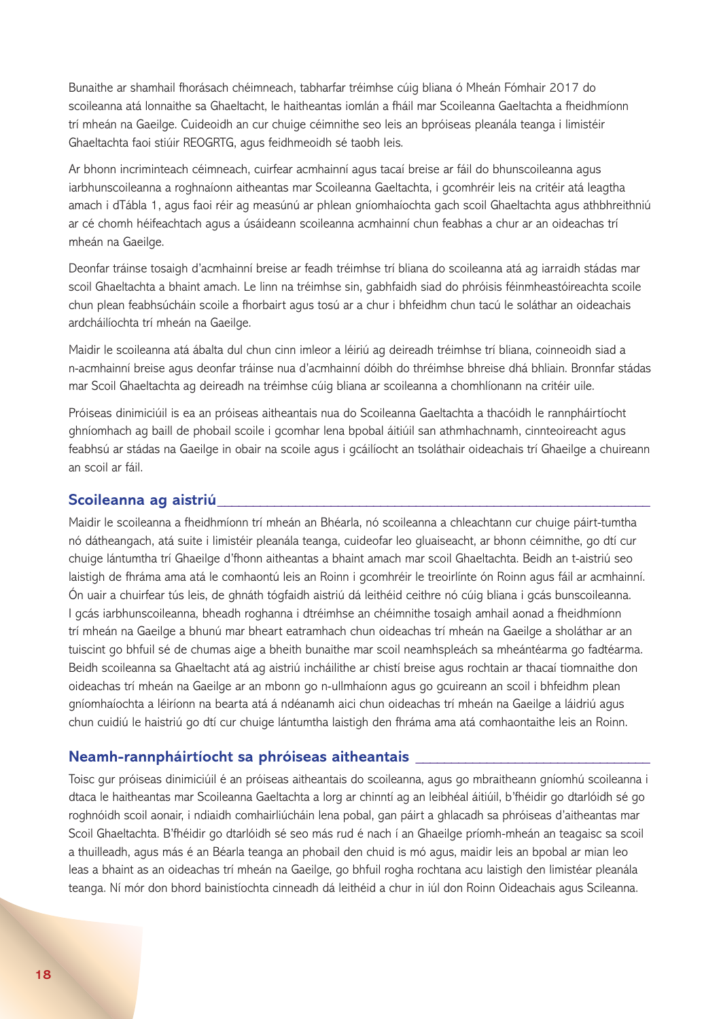Bunaithe ar shamhail fhorásach chéimneach, tabharfar tréimhse cúig bliana ó Mheán Fómhair 2017 do scoileanna atá lonnaithe sa Ghaeltacht, le haitheantas iomlán a fháil mar Scoileanna Gaeltachta a fheidhmíonn trí mheán na Gaeilge. Cuideoidh an cur chuige céimnithe seo leis an bpróiseas pleanála teanga i limistéir Ghaeltachta faoi stiúir REOGRTG, agus feidhmeoidh sé taobh leis.

Ar bhonn incriminteach céimneach, cuirfear acmhainní agus tacaí breise ar fáil do bhunscoileanna agus iarbhunscoileanna a roghnaíonn aitheantas mar Scoileanna Gaeltachta, i gcomhréir leis na critéir atá leagtha amach i dTábla 1, agus faoi réir ag measúnú ar phlean gníomhaíochta gach scoil Ghaeltachta agus athbhreithniú ar cé chomh héifeachtach agus a úsáideann scoileanna acmhainní chun feabhas a chur ar an oideachas trí mheán na Gaeilge.

Deonfar tráinse tosaigh d'acmhainní breise ar feadh tréimhse trí bliana do scoileanna atá ag iarraidh stádas mar scoil Ghaeltachta a bhaint amach. Le linn na tréimhse sin, gabhfaidh siad do phróisis féinmheastóireachta scoile chun plean feabhsúcháin scoile a fhorbairt agus tosú ar a chur i bhfeidhm chun tacú le soláthar an oideachais ardcháilíochta trí mheán na Gaeilge.

Maidir le scoileanna atá ábalta dul chun cinn imleor a léiriú ag deireadh tréimhse trí bliana, coinneoidh siad a n-acmhainní breise agus deonfar tráinse nua d'acmhainní dóibh do thréimhse bhreise dhá bhliain. Bronnfar stádas mar Scoil Ghaeltachta ag deireadh na tréimhse cúig bliana ar scoileanna a chomhlíonann na critéir uile.

Próiseas dinimiciúil is ea an próiseas aitheantais nua do Scoileanna Gaeltachta a thacóidh le rannpháirtíocht ghníomhach ag baill de phobail scoile i gcomhar lena bpobal áitiúil san athmhachnamh, cinnteoireacht agus feabhsú ar stádas na Gaeilge in obair na scoile agus i gcáilíocht an tsoláthair oideachais trí Ghaeilge a chuireann an scoil ar fáil.

#### **Scoileanna ag aistriú\_\_\_\_\_\_\_\_\_\_\_\_\_\_\_\_\_\_\_\_\_\_\_\_\_\_\_\_\_\_\_\_\_\_\_\_\_\_\_\_\_\_\_\_\_\_\_\_\_\_\_\_\_\_\_\_\_\_\_\_\_**

Maidir le scoileanna a fheidhmíonn trí mheán an Bhéarla, nó scoileanna a chleachtann cur chuige páirt-tumtha nó dátheangach, atá suite i limistéir pleanála teanga, cuideofar leo gluaiseacht, ar bhonn céimnithe, go dtí cur chuige lántumtha trí Ghaeilge d'fhonn aitheantas a bhaint amach mar scoil Ghaeltachta. Beidh an t-aistriú seo laistigh de fhráma ama atá le comhaontú leis an Roinn i gcomhréir le treoirlínte ón Roinn agus fáil ar acmhainní. Ón uair a chuirfear tús leis, de ghnáth tógfaidh aistriú dá leithéid ceithre nó cúig bliana i gcás bunscoileanna. I gcás iarbhunscoileanna, bheadh roghanna i dtréimhse an chéimnithe tosaigh amhail aonad a fheidhmíonn trí mheán na Gaeilge a bhunú mar bheart eatramhach chun oideachas trí mheán na Gaeilge a sholáthar ar an tuiscint go bhfuil sé de chumas aige a bheith bunaithe mar scoil neamhspleách sa mheántéarma go fadtéarma. Beidh scoileanna sa Ghaeltacht atá ag aistriú incháilithe ar chistí breise agus rochtain ar thacaí tiomnaithe don oideachas trí mheán na Gaeilge ar an mbonn go n-ullmhaíonn agus go gcuireann an scoil i bhfeidhm plean gníomhaíochta a léiríonn na bearta atá á ndéanamh aici chun oideachas trí mheán na Gaeilge a láidriú agus chun cuidiú le haistriú go dtí cur chuige lántumtha laistigh den fhráma ama atá comhaontaithe leis an Roinn.

#### **Neamh-rannpháirtíocht sa phróiseas aitheantais \_\_\_\_\_\_\_\_\_\_\_\_\_\_\_\_\_\_\_\_\_\_\_\_\_\_\_\_\_\_\_\_\_**

Toisc gur próiseas dinimiciúil é an próiseas aitheantais do scoileanna, agus go mbraitheann gníomhú scoileanna i dtaca le haitheantas mar Scoileanna Gaeltachta a lorg ar chinntí ag an leibhéal áitiúil, b'fhéidir go dtarlóidh sé go roghnóidh scoil aonair, i ndiaidh comhairliúcháin lena pobal, gan páirt a ghlacadh sa phróiseas d'aitheantas mar Scoil Ghaeltachta. B'fhéidir go dtarlóidh sé seo más rud é nach í an Ghaeilge príomh-mheán an teagaisc sa scoil a thuilleadh, agus más é an Béarla teanga an phobail den chuid is mó agus, maidir leis an bpobal ar mian leo leas a bhaint as an oideachas trí mheán na Gaeilge, go bhfuil rogha rochtana acu laistigh den limistéar pleanála teanga. Ní mór don bhord bainistíochta cinneadh dá leithéid a chur in iúl don Roinn Oideachais agus Scileanna.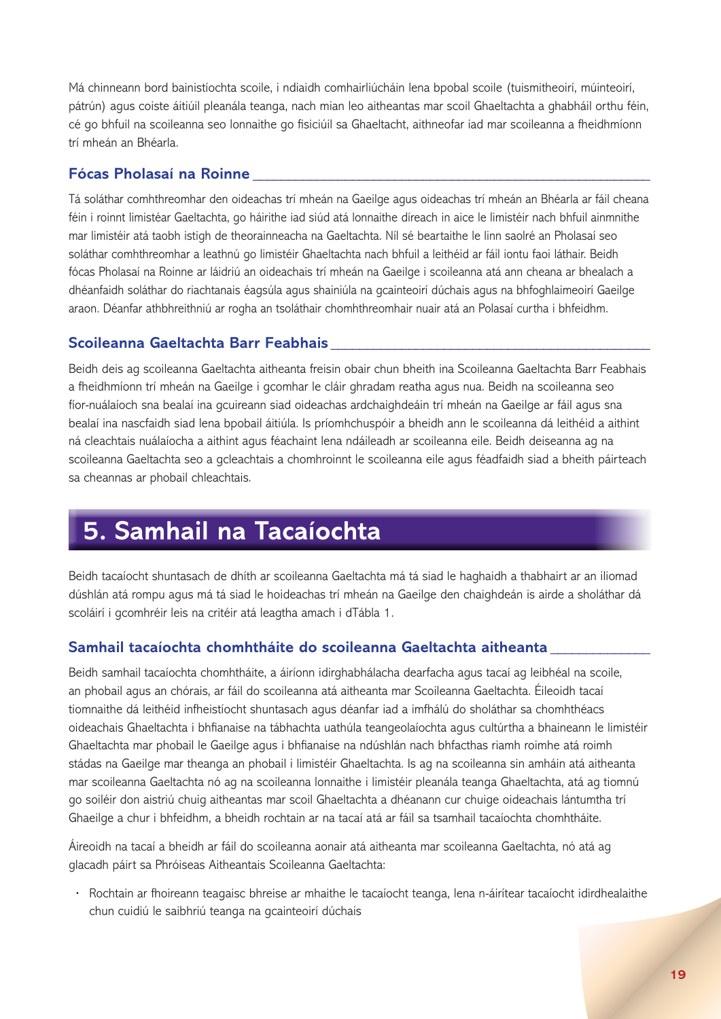Má chinneann bord bainistíochta scoile, i ndiaidh comhairliúcháin lena bpobal scoile (tuismitheoirí, múinteoirí, pátrún) agus coiste áitiúil pleanála teanga, nach mian leo aitheantas mar scoil Ghaeltachta a ghabháil orthu féin, cé go bhfuil na scoileanna seo lonnaithe go fisiciúil sa Ghaeltacht, aithneofar iad mar scoileanna a fheidhmíonn trí mheán an Bhéarla.

#### **Fócas Pholasaí na Roinne \_\_\_\_\_\_\_\_\_\_\_\_\_\_\_\_\_\_\_\_\_\_\_\_\_\_\_\_\_\_\_\_\_\_\_\_\_\_\_\_\_\_\_\_\_\_\_\_\_\_\_\_\_\_\_\_**

Tá soláthar comhthreomhar den oideachas trí mheán na Gaeilge agus oideachas trí mheán an Bhéarla ar fáil cheana féin i roinnt limistéar Gaeltachta, go háirithe iad siúd atá lonnaithe díreach in aice le limistéir nach bhfuil ainmnithe mar limistéir atá taobh istigh de theorainneacha na Gaeltachta. Níl sé beartaithe le linn saolré an Pholasaí seo soláthar comhthreomhar a leathnú go limistéir Ghaeltachta nach bhfuil a leithéid ar fáil iontu faoi láthair. Beidh fócas Pholasaí na Roinne ar láidriú an oideachais trí mheán na Gaeilge i scoileanna atá ann cheana ar bhealach a dhéanfaidh soláthar do riachtanais éagsúla agus shainiúla na gcainteoirí dúchais agus na bhfoghlaimeoirí Gaeilge araon. Déanfar athbhreithniú ar rogha an tsoláthair chomhthreomhair nuair atá an Polasaí curtha i bhfeidhm.

#### **Scoileanna Gaeltachta Barr Feabhais \_\_\_\_\_\_\_\_\_\_\_\_\_\_\_\_\_\_\_\_\_\_\_\_\_\_\_\_\_\_\_\_\_\_\_\_\_\_\_\_\_\_\_\_\_**

Beidh deis ag scoileanna Gaeltachta aitheanta freisin obair chun bheith ina Scoileanna Gaeltachta Barr Feabhais a fheidhmíonn trí mheán na Gaeilge i gcomhar le cláir ghradam reatha agus nua. Beidh na scoileanna seo fíor-nuálaíoch sna bealaí ina gcuireann siad oideachas ardchaighdeáin trí mheán na Gaeilge ar fáil agus sna bealaí ina nascfaidh siad lena bpobail áitiúla. Is príomhchuspóir a bheidh ann le scoileanna dá leithéid a aithint ná cleachtais nuálaíocha a aithint agus féachaint lena ndáileadh ar scoileanna eile. Beidh deiseanna ag na scoileanna Gaeltachta seo a gcleachtais a chomhroinnt le scoileanna eile agus féadfaidh siad a bheith páirteach sa cheannas ar phobail chleachtais.

## **5. Samhail na Tacaíochta**

Beidh tacaíocht shuntasach de dhíth ar scoileanna Gaeltachta má tá siad le haghaidh a thabhairt ar an iliomad dúshlán atá rompu agus má tá siad le hoideachas trí mheán na Gaeilge den chaighdeán is airde a sholáthar dá scoláirí i gcomhréir leis na critéir atá leagtha amach i dTábla 1.

#### **Samhail tacaíochta chomhtháite do scoileanna Gaeltachta aitheanta \_\_\_\_\_\_\_\_\_\_\_\_\_\_**

Beidh samhail tacaíochta chomhtháite, a áiríonn idirghabhálacha dearfacha agus tacaí ag leibhéal na scoile, an phobail agus an chórais, ar fáil do scoileanna atá aitheanta mar Scoileanna Gaeltachta. Éileoidh tacaí tiomnaithe dá leithéid infheistíocht shuntasach agus déanfar iad a imfhálú do sholáthar sa chomhthéacs oideachais Ghaeltachta i bhfianaise na tábhachta uathúla teangeolaíochta agus cultúrtha a bhaineann le limistéir Ghaeltachta mar phobail le Gaeilge agus i bhfianaise na ndúshlán nach bhfacthas riamh roimhe atá roimh stádas na Gaeilge mar theanga an phobail i limistéir Ghaeltachta. Is ag na scoileanna sin amháin atá aitheanta mar scoileanna Gaeltachta nó ag na scoileanna lonnaithe i limistéir pleanála teanga Ghaeltachta, atá ag tiomnú go soiléir don aistriú chuig aitheantas mar scoil Ghaeltachta a dhéanann cur chuige oideachais lántumtha trí Ghaeilge a chur i bhfeidhm, a bheidh rochtain ar na tacaí atá ar fáil sa tsamhail tacaíochta chomhtháite.

Áireoidh na tacaí a bheidh ar fáil do scoileanna aonair atá aitheanta mar scoileanna Gaeltachta, nó atá ag glacadh páirt sa Phróiseas Aitheantais Scoileanna Gaeltachta:

**·** Rochtain ar fhoireann teagaisc bhreise ar mhaithe le tacaíocht teanga, lena n-áirítear tacaíocht idirdhealaithe chun cuidiú le saibhriú teanga na gcainteoirí dúchais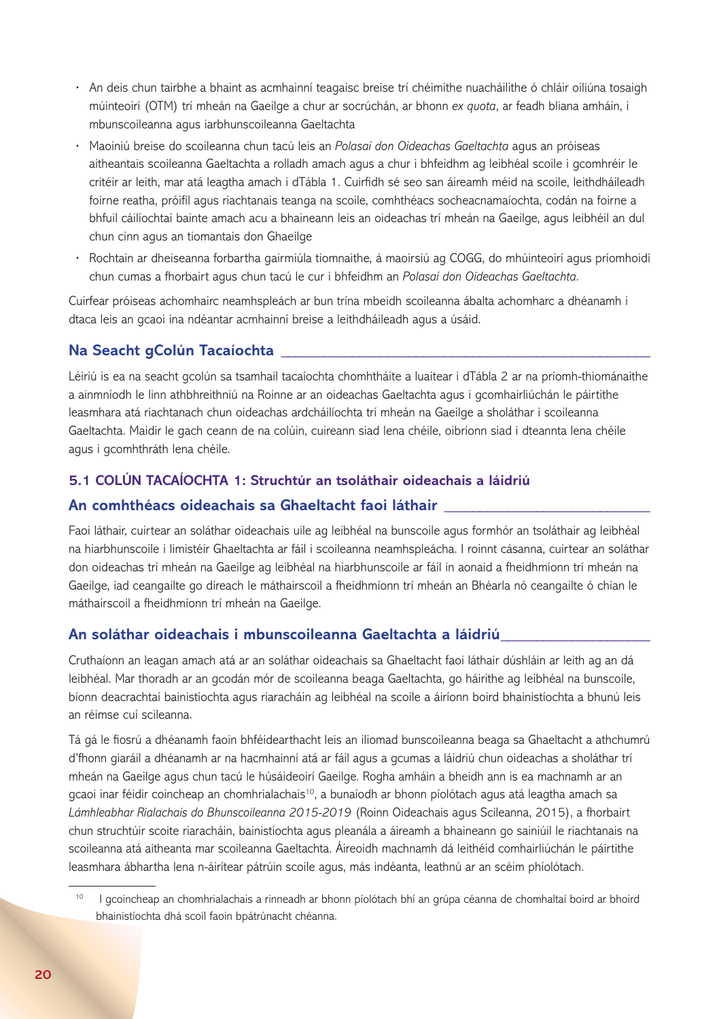- **·** An deis chun tairbhe a bhaint as acmhainní teagaisc breise trí chéimithe nuacháilithe ó chláir oiliúna tosaigh múinteoirí (OTM) trí mheán na Gaeilge a chur ar socrúchán, ar bhonn *ex quota*, ar feadh bliana amháin, i mbunscoileanna agus iarbhunscoileanna Gaeltachta
- **·** Maoiniú breise do scoileanna chun tacú leis an *Polasaí don Oideachas Gaeltachta* agus an próiseas aitheantais scoileanna Gaeltachta a rolladh amach agus a chur i bhfeidhm ag leibhéal scoile i gcomhréir le critéir ar leith, mar atá leagtha amach i dTábla 1. Cuirfidh sé seo san áireamh méid na scoile, leithdháileadh foirne reatha, próifíl agus riachtanais teanga na scoile, comhthéacs socheacnamaíochta, codán na foirne a bhfuil cáilíochtaí bainte amach acu a bhaineann leis an oideachas trí mheán na Gaeilge, agus leibhéil an dul chun cinn agus an tiomantais don Ghaeilge
- **·** Rochtain ar dheiseanna forbartha gairmiúla tiomnaithe, á maoirsiú ag COGG, do mhúinteoirí agus príomhoidí chun cumas a fhorbairt agus chun tacú le cur i bhfeidhm an *Polasaí don Oideachas Gaeltachta*.

Cuirfear próiseas achomhairc neamhspleách ar bun trína mbeidh scoileanna ábalta achomharc a dhéanamh i dtaca leis an gcaoi ina ndéantar acmhainní breise a leithdháileadh agus a úsáid.

## **Na Seacht gColún Tacaíochta \_\_\_\_\_\_\_\_\_\_\_\_\_\_\_\_\_\_\_\_\_\_\_\_\_\_\_\_\_\_\_\_\_\_\_\_\_\_\_\_\_\_\_\_\_\_\_\_\_\_\_\_**

Léiriú is ea na seacht gcolún sa tsamhail tacaíochta chomhtháite a luaitear i dTábla 2 ar na príomh-thiománaithe a ainmníodh le linn athbhreithniú na Roinne ar an oideachas Gaeltachta agus i gcomhairliúchán le páirtithe leasmhara atá riachtanach chun oideachas ardcháilíochta trí mheán na Gaeilge a sholáthar i scoileanna Gaeltachta. Maidir le gach ceann de na colúin, cuireann siad lena chéile, oibríonn siad i dteannta lena chéile agus i gcomhthráth lena chéile.

### **5.1 COLÚN TACAÍOCHTA 1: Struchtúr an tsoláthair oideachais a láidriú**

#### **An comhthéacs oideachais sa Ghaeltacht faoi láthair \_\_\_\_\_\_\_\_\_\_\_\_\_\_\_\_\_\_\_\_\_\_\_\_\_\_\_\_\_**

Faoi láthair, cuirtear an soláthar oideachais uile ag leibhéal na bunscoile agus formhór an tsoláthair ag leibhéal na hiarbhunscoile i limistéir Ghaeltachta ar fáil i scoileanna neamhspleácha. I roinnt cásanna, cuirtear an soláthar don oideachas trí mheán na Gaeilge ag leibhéal na hiarbhunscoile ar fáil in aonaid a fheidhmíonn trí mheán na Gaeilge, iad ceangailte go díreach le máthairscoil a fheidhmíonn trí mheán an Bhéarla nó ceangailte ó chian le máthairscoil a fheidhmíonn trí mheán na Gaeilge.

#### **An soláthar oideachais i mbunscoileanna Gaeltachta a láidriú\_\_\_\_\_\_\_\_\_\_\_\_\_\_\_\_\_\_\_\_\_**

Cruthaíonn an leagan amach atá ar an soláthar oideachais sa Ghaeltacht faoi láthair dúshláin ar leith ag an dá leibhéal. Mar thoradh ar an gcodán mór de scoileanna beaga Gaeltachta, go háirithe ag leibhéal na bunscoile, bíonn deacrachtaí bainistíochta agus riaracháin ag leibhéal na scoile a áiríonn boird bhainistíochta a bhunú leis an réimse cuí scileanna.

Tá gá le fiosrú a dhéanamh faoin bhféidearthacht leis an iliomad bunscoileanna beaga sa Ghaeltacht a athchumrú d'fhonn giaráil a dhéanamh ar na hacmhainní atá ar fáil agus a gcumas a láidriú chun oideachas a sholáthar trí mheán na Gaeilge agus chun tacú le húsáideoirí Gaeilge. Rogha amháin a bheidh ann is ea machnamh ar an gcaoi inar féidir coincheap an chomhrialachais<sup>10</sup>, a bunaíodh ar bhonn píolótach agus atá leagtha amach sa *Lámhleabhar Rialachais do Bhunscoileanna 2015-2019* (Roinn Oideachais agus Scileanna, 2015), a fhorbairt chun struchtúir scoite riaracháin, bainistíochta agus pleanála a áireamh a bhaineann go sainiúil le riachtanais na scoileanna atá aitheanta mar scoileanna Gaeltachta. Áireoidh machnamh dá leithéid comhairliúchán le páirtithe leasmhara ábhartha lena n-áirítear pátrúin scoile agus, más indéanta, leathnú ar an scéim phíolótach.

I gcoincheap an chomhrialachais a rinneadh ar bhonn píolótach bhí an grúpa céanna de chomhaltaí boird ar bhoird bhainistíochta dhá scoil faoin bpátrúnacht chéanna.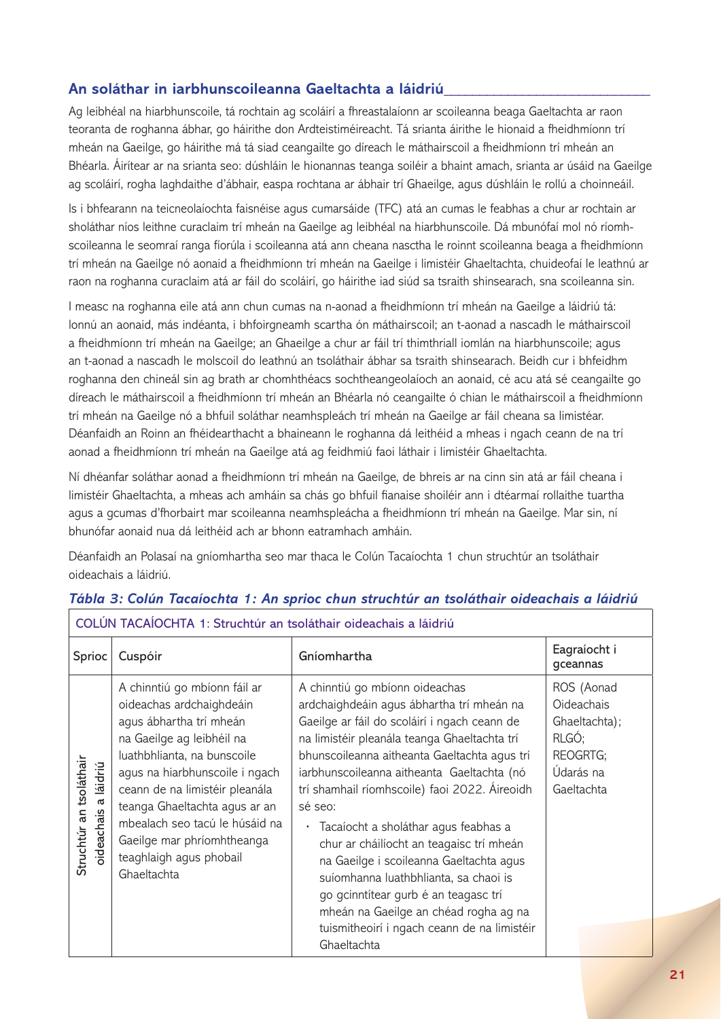## **An soláthar in iarbhunscoileanna Gaeltachta a láidriú\_\_\_\_\_\_\_\_\_\_\_\_\_\_\_\_\_\_\_\_\_\_\_\_\_\_\_\_\_**

Ag leibhéal na hiarbhunscoile, tá rochtain ag scoláirí a fhreastalaíonn ar scoileanna beaga Gaeltachta ar raon teoranta de roghanna ábhar, go háirithe don Ardteistiméireacht. Tá srianta áirithe le hionaid a fheidhmíonn trí mheán na Gaeilge, go háirithe má tá siad ceangailte go díreach le máthairscoil a fheidhmíonn trí mheán an Bhéarla. Áirítear ar na srianta seo: dúshláin le hionannas teanga soiléir a bhaint amach, srianta ar úsáid na Gaeilge ag scoláirí, rogha laghdaithe d'ábhair, easpa rochtana ar ábhair trí Ghaeilge, agus dúshláin le rollú a choinneáil.

Is i bhfearann na teicneolaíochta faisnéise agus cumarsáide (TFC) atá an cumas le feabhas a chur ar rochtain ar sholáthar níos leithne curaclaim trí mheán na Gaeilge ag leibhéal na hiarbhunscoile. Dá mbunófaí mol nó ríomhscoileanna le seomraí ranga fíorúla i scoileanna atá ann cheana nasctha le roinnt scoileanna beaga a fheidhmíonn trí mheán na Gaeilge nó aonaid a fheidhmíonn trí mheán na Gaeilge i limistéir Ghaeltachta, chuideofaí le leathnú ar raon na roghanna curaclaim atá ar fáil do scoláirí, go háirithe iad siúd sa tsraith shinsearach, sna scoileanna sin.

I measc na roghanna eile atá ann chun cumas na n-aonad a fheidhmíonn trí mheán na Gaeilge a láidriú tá: lonnú an aonaid, más indéanta, i bhfoirgneamh scartha ón máthairscoil; an t-aonad a nascadh le máthairscoil a fheidhmíonn trí mheán na Gaeilge; an Ghaeilge a chur ar fáil trí thimthriall iomlán na hiarbhunscoile; agus an t-aonad a nascadh le molscoil do leathnú an tsoláthair ábhar sa tsraith shinsearach. Beidh cur i bhfeidhm roghanna den chineál sin ag brath ar chomhthéacs sochtheangeolaíoch an aonaid, cé acu atá sé ceangailte go díreach le máthairscoil a fheidhmíonn trí mheán an Bhéarla nó ceangailte ó chian le máthairscoil a fheidhmíonn trí mheán na Gaeilge nó a bhfuil soláthar neamhspleách trí mheán na Gaeilge ar fáil cheana sa limistéar. Déanfaidh an Roinn an fhéidearthacht a bhaineann le roghanna dá leithéid a mheas i ngach ceann de na trí aonad a fheidhmíonn trí mheán na Gaeilge atá ag feidhmiú faoi láthair i limistéir Ghaeltachta.

Ní dhéanfar soláthar aonad a fheidhmíonn trí mheán na Gaeilge, de bhreis ar na cinn sin atá ar fáil cheana i limistéir Ghaeltachta, a mheas ach amháin sa chás go bhfuil fianaise shoiléir ann i dtéarmaí rollaithe tuartha agus a gcumas d'fhorbairt mar scoileanna neamhspleácha a fheidhmíonn trí mheán na Gaeilge. Mar sin, ní bhunófar aonaid nua dá leithéid ach ar bhonn eatramhach amháin.

Déanfaidh an Polasaí na gníomhartha seo mar thaca le Colún Tacaíochta 1 chun struchtúr an tsoláthair oideachais a láidriú.

| COLÚN TACAÍOCHTA 1: Struchtúr an tsoláthair oideachais a láidriú |                                                                                                                                                                                                                                                                                                                                                                |                                                                                                                                                                                                                                                                                                                                                                                                                                                                                                                                                                                                                                                                |                                                                                                  |
|------------------------------------------------------------------|----------------------------------------------------------------------------------------------------------------------------------------------------------------------------------------------------------------------------------------------------------------------------------------------------------------------------------------------------------------|----------------------------------------------------------------------------------------------------------------------------------------------------------------------------------------------------------------------------------------------------------------------------------------------------------------------------------------------------------------------------------------------------------------------------------------------------------------------------------------------------------------------------------------------------------------------------------------------------------------------------------------------------------------|--------------------------------------------------------------------------------------------------|
| Sprioc                                                           | Cuspóir                                                                                                                                                                                                                                                                                                                                                        | Gníomhartha                                                                                                                                                                                                                                                                                                                                                                                                                                                                                                                                                                                                                                                    | Eagraíocht i<br>gceannas                                                                         |
| Struchtúr an tsoláthair<br>láidriú<br>൪<br><b>pideachais</b>     | A chinntiú go mbíonn fáil ar<br>oideachas ardchaighdeáin<br>agus ábhartha trí mheán<br>na Gaeilge ag leibhéil na<br>luathbhlianta, na bunscoile<br>agus na hiarbhunscoile i ngach<br>ceann de na limistéir pleanála<br>teanga Ghaeltachta agus ar an<br>mbealach seo tacú le húsáid na<br>Gaeilge mar phríomhtheanga<br>teaghlaigh agus phobail<br>Ghaeltachta | A chinntiú go mbíonn oideachas<br>ardchaighdeáin agus ábhartha trí mheán na<br>Gaeilge ar fáil do scoláirí i ngach ceann de<br>na limistéir pleanála teanga Ghaeltachta trí<br>bhunscoileanna aitheanta Gaeltachta agus trí<br>iarbhunscoileanna aitheanta Gaeltachta (nó<br>trí shamhail ríomhscoile) faoi 2022. Áireoidh<br>sé seo:<br>· Tacaíocht a sholáthar agus feabhas a<br>chur ar cháilíocht an teagaisc trí mheán<br>na Gaeilge i scoileanna Gaeltachta agus<br>suíomhanna luathbhlianta, sa chaoi is<br>go gcinntítear gurb é an teagasc trí<br>mheán na Gaeilge an chéad rogha ag na<br>tuismitheoirí i ngach ceann de na limistéir<br>Ghaeltachta | ROS (Aonad<br><b>Oideachais</b><br>Ghaeltachta);<br>RLGÓ;<br>REOGRTG;<br>Údarás na<br>Gaeltachta |

#### *Tábla 3: Colún Tacaíochta 1: An sprioc chun struchtúr an tsoláthair oideachais a láidriú*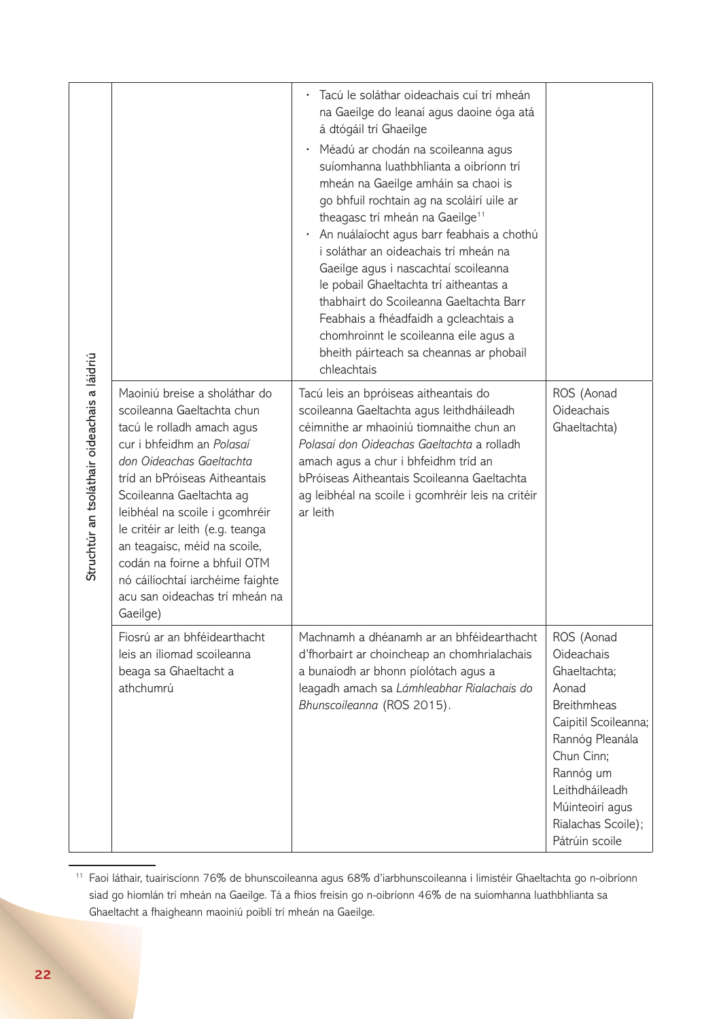| Struchtúr an tsoláthair oideachais a láidriú |                                                                                                                                                                                                                                                                                                                                                                                                                                         | Tacú le soláthar oideachais cuí trí mheán<br>na Gaeilge do leanaí agus daoine óga atá<br>á dtógáil trí Ghaeilge<br>Méadú ar chodán na scoileanna agus<br>$\bullet$<br>suíomhanna luathbhlianta a oibríonn trí<br>mheán na Gaeilge amháin sa chaoi is<br>go bhfuil rochtain ag na scoláirí uile ar<br>theagasc trí mheán na Gaeilge <sup>11</sup><br>An nuálaíocht agus barr feabhais a chothú<br>$\bullet$<br>i soláthar an oideachais trí mheán na<br>Gaeilge agus i nascachtaí scoileanna<br>le pobail Ghaeltachta trí aitheantas a<br>thabhairt do Scoileanna Gaeltachta Barr<br>Feabhais a fhéadfaidh a gcleachtais a<br>chomhroinnt le scoileanna eile agus a<br>bheith páirteach sa cheannas ar phobail |                                                                                                                                                                                                                                   |
|----------------------------------------------|-----------------------------------------------------------------------------------------------------------------------------------------------------------------------------------------------------------------------------------------------------------------------------------------------------------------------------------------------------------------------------------------------------------------------------------------|---------------------------------------------------------------------------------------------------------------------------------------------------------------------------------------------------------------------------------------------------------------------------------------------------------------------------------------------------------------------------------------------------------------------------------------------------------------------------------------------------------------------------------------------------------------------------------------------------------------------------------------------------------------------------------------------------------------|-----------------------------------------------------------------------------------------------------------------------------------------------------------------------------------------------------------------------------------|
|                                              | Maoiniú breise a sholáthar do<br>scoileanna Gaeltachta chun<br>tacú le rolladh amach agus<br>cur i bhfeidhm an Polasaí<br>don Oideachas Gaeltachta<br>tríd an bPróiseas Aitheantais<br>Scoileanna Gaeltachta ag<br>leibhéal na scoile i gcomhréir<br>le critéir ar leith (e.g. teanga<br>an teagaisc, méid na scoile,<br>codán na foirne a bhfuil OTM<br>nó cáilíochtaí iarchéime faighte<br>acu san oideachas trí mheán na<br>Gaeilge) | chleachtais<br>Tacú leis an bpróiseas aitheantais do<br>scoileanna Gaeltachta agus leithdháileadh<br>céimnithe ar mhaoiniú tiomnaithe chun an<br>Polasaí don Oideachas Gaeltachta a rolladh<br>amach agus a chur i bhfeidhm tríd an<br>bPróiseas Aitheantais Scoileanna Gaeltachta<br>ag leibhéal na scoile i gcomhréir leis na critéir<br>ar leith                                                                                                                                                                                                                                                                                                                                                           | ROS (Aonad<br>Oideachais<br>Ghaeltachta)                                                                                                                                                                                          |
|                                              | Fiosrú ar an bhféidearthacht<br>leis an iliomad scoileanna<br>beaga sa Ghaeltacht a<br>athchumrú                                                                                                                                                                                                                                                                                                                                        | Machnamh a dhéanamh ar an bhféidearthacht<br>d'fhorbairt ar choincheap an chomhrialachais<br>a bunaíodh ar bhonn píolótach agus a<br>leagadh amach sa Lámhleabhar Rialachais do<br>Bhunscoileanna (ROS 2015).                                                                                                                                                                                                                                                                                                                                                                                                                                                                                                 | ROS (Aonad<br><b>Oideachais</b><br>Ghaeltachta;<br>Aonad<br><b>Breithmheas</b><br>Caipitil Scoileanna;<br>Rannóg Pleanála<br>Chun Cinn;<br>Rannóg um<br>Leithdháileadh<br>Múinteoirí agus<br>Rialachas Scoile);<br>Pátrúin scoile |

<sup>11</sup> Faoi láthair, tuairiscíonn 76% de bhunscoileanna agus 68% d'iarbhunscoileanna i limistéir Ghaeltachta go n-oibríonn siad go hiomlán trí mheán na Gaeilge. Tá a fhios freisin go n-oibríonn 46% de na suíomhanna luathbhlianta sa Ghaeltacht a fhaigheann maoiniú poiblí trí mheán na Gaeilge.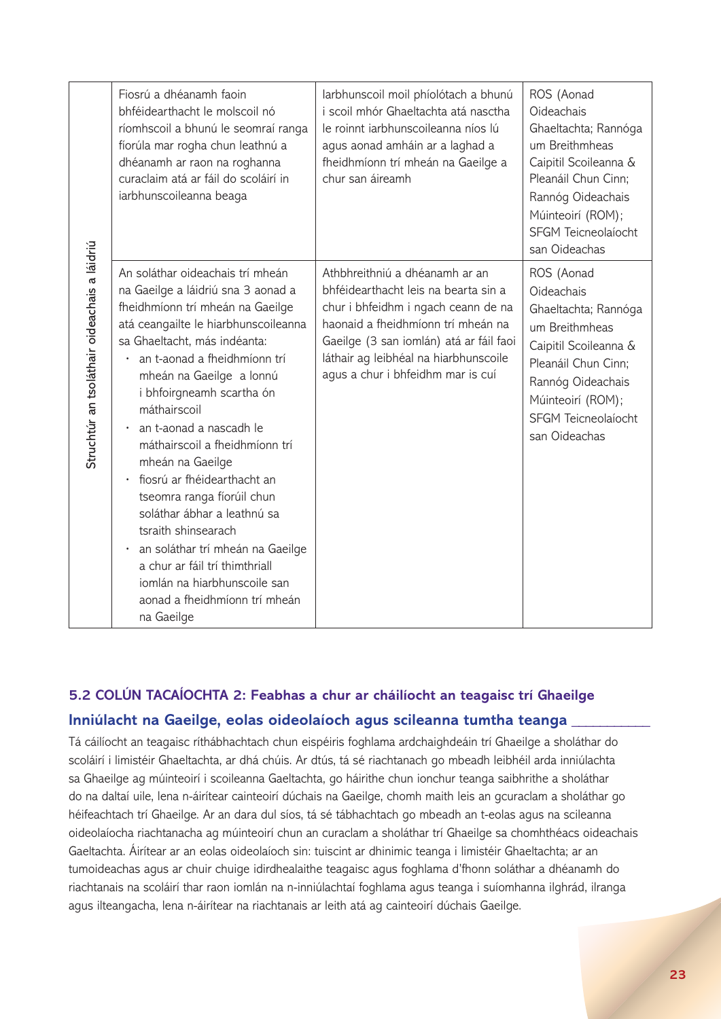|                                              | Fiosrú a dhéanamh faoin<br>bhféidearthacht le molscoil nó<br>ríomhscoil a bhunú le seomraí ranga<br>fíorúla mar rogha chun leathnú a<br>dhéanamh ar raon na roghanna<br>curaclaim atá ar fáil do scoláirí in<br>iarbhunscoileanna beaga                                                                                                                                                                                                                                                                                                                                                                                                                                                     | larbhunscoil moil phíolótach a bhunú<br>i scoil mhór Ghaeltachta atá nasctha<br>le roinnt iarbhunscoileanna níos lú<br>agus aonad amháin ar a laghad a<br>fheidhmíonn trí mheán na Gaeilge a<br>chur san áireamh                                                             | ROS (Aonad<br>Oideachais<br>Ghaeltachta; Rannóga<br>um Breithmheas<br>Caipitil Scoileanna &<br>Pleanáil Chun Cinn;<br>Rannóg Oideachais<br>Múinteoirí (ROM);<br>SFGM Teicneolaíocht<br>san Oideachas |
|----------------------------------------------|---------------------------------------------------------------------------------------------------------------------------------------------------------------------------------------------------------------------------------------------------------------------------------------------------------------------------------------------------------------------------------------------------------------------------------------------------------------------------------------------------------------------------------------------------------------------------------------------------------------------------------------------------------------------------------------------|------------------------------------------------------------------------------------------------------------------------------------------------------------------------------------------------------------------------------------------------------------------------------|------------------------------------------------------------------------------------------------------------------------------------------------------------------------------------------------------|
| Struchtúr an tsoláthair oideachais a láidriú | An soláthar oideachais trí mheán<br>na Gaeilge a láidriú sna 3 aonad a<br>fheidhmíonn trí mheán na Gaeilge<br>atá ceangailte le hiarbhunscoileanna<br>sa Ghaeltacht, más indéanta:<br>an t-aonad a fheidhmíonn trí<br>mheán na Gaeilge a lonnú<br>i bhfoirgneamh scartha ón<br>máthairscoil<br>an t-aonad a nascadh le<br>$\bullet$<br>máthairscoil a fheidhmíonn trí<br>mheán na Gaeilge<br>fiosrú ar fhéidearthacht an<br>$\bullet$<br>tseomra ranga fíorúil chun<br>soláthar ábhar a leathnú sa<br>tsraith shinsearach<br>an soláthar trí mheán na Gaeilge<br>$\bullet$<br>a chur ar fáil trí thimthriall<br>iomlán na hiarbhunscoile san<br>aonad a fheidhmíonn trí mheán<br>na Gaeilge | Athbhreithniú a dhéanamh ar an<br>bhféidearthacht leis na bearta sin a<br>chur i bhfeidhm i ngach ceann de na<br>haonaid a fheidhmíonn trí mheán na<br>Gaeilge (3 san iomlán) atá ar fáil faoi<br>láthair ag leibhéal na hiarbhunscoile<br>agus a chur i bhfeidhm mar is cuí | ROS (Aonad<br>Oideachais<br>Ghaeltachta; Rannóga<br>um Breithmheas<br>Caipitil Scoileanna &<br>Pleanáil Chun Cinn;<br>Rannóg Oideachais<br>Múinteoirí (ROM);<br>SFGM Teicneolaíocht<br>san Oideachas |

## **5.2 COLÚN TACAÍOCHTA 2: Feabhas a chur ar cháilíocht an teagaisc trí Ghaeilge Inniúlacht na Gaeilge, eolas oideolaíoch agus scileanna tumtha teanga \_\_\_\_\_\_\_\_\_\_\_**

Tá cáilíocht an teagaisc ríthábhachtach chun eispéiris foghlama ardchaighdeáin trí Ghaeilge a sholáthar do scoláirí i limistéir Ghaeltachta, ar dhá chúis. Ar dtús, tá sé riachtanach go mbeadh leibhéil arda inniúlachta sa Ghaeilge ag múinteoirí i scoileanna Gaeltachta, go háirithe chun ionchur teanga saibhrithe a sholáthar do na daltaí uile, lena n-áirítear cainteoirí dúchais na Gaeilge, chomh maith leis an gcuraclam a sholáthar go héifeachtach trí Ghaeilge. Ar an dara dul síos, tá sé tábhachtach go mbeadh an t-eolas agus na scileanna oideolaíocha riachtanacha ag múinteoirí chun an curaclam a sholáthar trí Ghaeilge sa chomhthéacs oideachais Gaeltachta. Áirítear ar an eolas oideolaíoch sin: tuiscint ar dhinimic teanga i limistéir Ghaeltachta; ar an tumoideachas agus ar chuir chuige idirdhealaithe teagaisc agus foghlama d'fhonn soláthar a dhéanamh do riachtanais na scoláirí thar raon iomlán na n-inniúlachtaí foghlama agus teanga i suíomhanna ilghrád, ilranga agus ilteangacha, lena n-áirítear na riachtanais ar leith atá ag cainteoirí dúchais Gaeilge.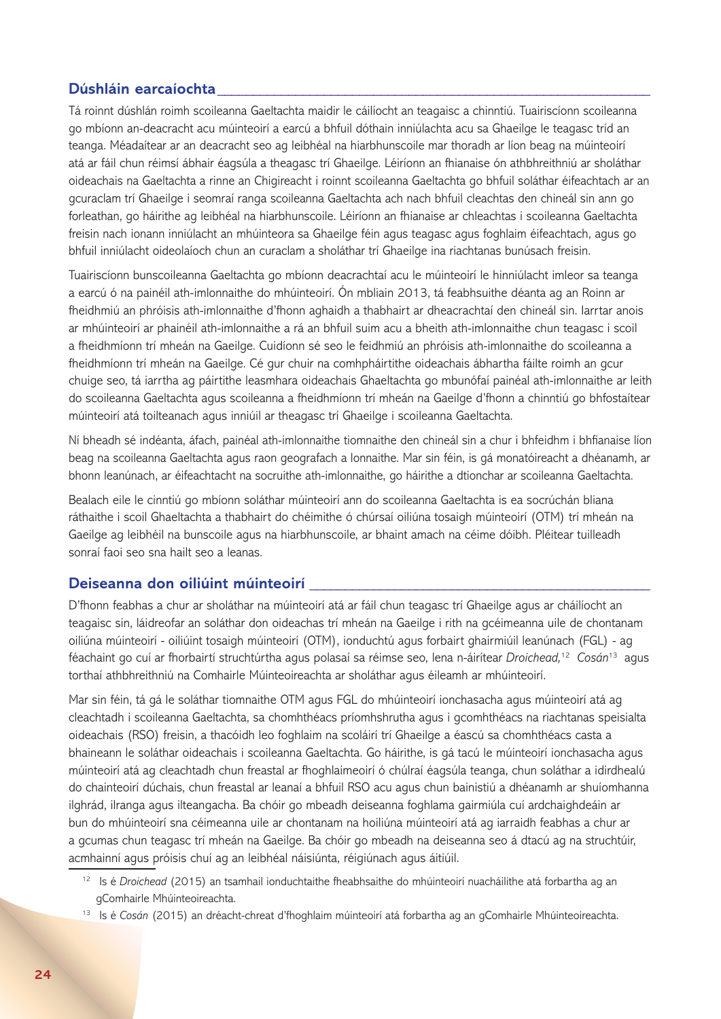#### **Dúshláin earcaíochta\_\_\_\_\_\_\_\_\_\_\_\_\_\_\_\_\_\_\_\_\_\_\_\_\_\_\_\_\_\_\_\_\_\_\_\_\_\_\_\_\_\_\_\_\_\_\_\_\_\_\_\_\_\_\_\_\_\_\_\_\_**

Tá roinnt dúshlán roimh scoileanna Gaeltachta maidir le cáilíocht an teagaisc a chinntiú. Tuairiscíonn scoileanna go mbíonn an-deacracht acu múinteoirí a earcú a bhfuil dóthain inniúlachta acu sa Ghaeilge le teagasc tríd an teanga. Méadaítear ar an deacracht seo ag leibhéal na hiarbhunscoile mar thoradh ar líon beag na múinteoirí atá ar fáil chun réimsí ábhair éagsúla a theagasc trí Ghaeilge. Léiríonn an fhianaise ón athbhreithniú ar sholáthar oideachais na Gaeltachta a rinne an Chigireacht i roinnt scoileanna Gaeltachta go bhfuil soláthar éifeachtach ar an gcuraclam trí Ghaeilge i seomraí ranga scoileanna Gaeltachta ach nach bhfuil cleachtas den chineál sin ann go forleathan, go háirithe ag leibhéal na hiarbhunscoile. Léiríonn an fhianaise ar chleachtas i scoileanna Gaeltachta freisin nach ionann inniúlacht an mhúinteora sa Ghaeilge féin agus teagasc agus foghlaim éifeachtach, agus go bhfuil inniúlacht oideolaíoch chun an curaclam a sholáthar trí Ghaeilge ina riachtanas bunúsach freisin.

Tuairiscíonn bunscoileanna Gaeltachta go mbíonn deacrachtaí acu le múinteoirí le hinniúlacht imleor sa teanga a earcú ó na painéil ath-imlonnaithe do mhúinteoirí. Ón mbliain 2013, tá feabhsuithe déanta ag an Roinn ar fheidhmiú an phróisis ath-imlonnaithe d'fhonn aghaidh a thabhairt ar dheacrachtaí den chineál sin. Iarrtar anois ar mhúinteoirí ar phainéil ath-imlonnaithe a rá an bhfuil suim acu a bheith ath-imlonnaithe chun teagasc i scoil a fheidhmíonn trí mheán na Gaeilge. Cuidíonn sé seo le feidhmiú an phróisis ath-imlonnaithe do scoileanna a fheidhmíonn trí mheán na Gaeilge. Cé gur chuir na comhpháirtithe oideachais ábhartha fáilte roimh an gcur chuige seo, tá iarrtha ag páirtithe leasmhara oideachais Ghaeltachta go mbunófaí painéal ath-imlonnaithe ar leith do scoileanna Gaeltachta agus scoileanna a fheidhmíonn trí mheán na Gaeilge d'fhonn a chinntiú go bhfostaítear múinteoirí atá toilteanach agus inniúil ar theagasc trí Ghaeilge i scoileanna Gaeltachta.

Ní bheadh sé indéanta, áfach, painéal ath-imlonnaithe tiomnaithe den chineál sin a chur i bhfeidhm i bhfianaise líon beag na scoileanna Gaeltachta agus raon geografach a lonnaithe. Mar sin féin, is gá monatóireacht a dhéanamh, ar bhonn leanúnach, ar éifeachtacht na socruithe ath-imlonnaithe, go háirithe a dtionchar ar scoileanna Gaeltachta.

Bealach eile le cinntiú go mbíonn soláthar múinteoirí ann do scoileanna Gaeltachta is ea socrúchán bliana ráthaithe i scoil Ghaeltachta a thabhairt do chéimithe ó chúrsaí oiliúna tosaigh múinteoirí (OTM) trí mheán na Gaeilge ag leibhéil na bunscoile agus na hiarbhunscoile, ar bhaint amach na céime dóibh. Pléitear tuilleadh sonraí faoi seo sna hailt seo a leanas.

#### **Deiseanna don oiliúint múinteoirí \_\_\_\_\_\_\_\_\_\_\_\_\_\_\_\_\_\_\_\_\_\_\_\_\_\_\_\_\_\_\_\_\_\_\_\_\_\_\_\_\_\_\_\_\_\_\_\_**

D'fhonn feabhas a chur ar sholáthar na múinteoirí atá ar fáil chun teagasc trí Ghaeilge agus ar cháilíocht an teagaisc sin, láidreofar an soláthar don oideachas trí mheán na Gaeilge i rith na gcéimeanna uile de chontanam oiliúna múinteoirí - oiliúint tosaigh múinteoirí (OTM), ionduchtú agus forbairt ghairmiúil leanúnach (FGL) - ag féachaint go cuí ar fhorbairtí struchtúrtha agus polasaí sa réimse seo, lena n-áirítear *Droichead,*<sup>12</sup><sup>10</sup>*Cosán*<sup>13</sup><sup>11</sup>agus torthaí athbhreithniú na Comhairle Múinteoireachta ar sholáthar agus éileamh ar mhúinteoirí.

Mar sin féin, tá gá le soláthar tiomnaithe OTM agus FGL do mhúinteoirí ionchasacha agus múinteoirí atá ag cleachtadh i scoileanna Gaeltachta, sa chomhthéacs príomhshrutha agus i gcomhthéacs na riachtanas speisialta oideachais (RSO) freisin, a thacóidh leo foghlaim na scoláirí trí Ghaeilge a éascú sa chomhthéacs casta a bhaineann le soláthar oideachais i scoileanna Gaeltachta. Go háirithe, is gá tacú le múinteoirí ionchasacha agus múinteoirí atá ag cleachtadh chun freastal ar fhoghlaimeoirí ó chúlraí éagsúla teanga, chun soláthar a idirdhealú do chainteoirí dúchais, chun freastal ar leanaí a bhfuil RSO acu agus chun bainistiú a dhéanamh ar shuíomhanna ilghrád, ilranga agus ilteangacha. Ba chóir go mbeadh deiseanna foghlama gairmiúla cuí ardchaighdeáin ar bun do mhúinteoirí sna céimeanna uile ar chontanam na hoiliúna múinteoirí atá ag iarraidh feabhas a chur ar a gcumas chun teagasc trí mheán na Gaeilge. Ba chóir go mbeadh na deiseanna seo á dtacú ag na struchtúir, acmhainní agus próisis chuí ag an leibhéal náisiúnta, réigiúnach agus áitiúil.

- 12 Is é *Droichead* (2015) an tsamhail ionduchtaithe fheabhsaithe do mhúinteoirí nuacháilithe atá forbartha ag an gComhairle Mhúinteoireachta.
- 13 Is é *Cosán* (2015) an dréacht-chreat d'fhoghlaim múinteoirí atá forbartha ag an gComhairle Mhúinteoireachta.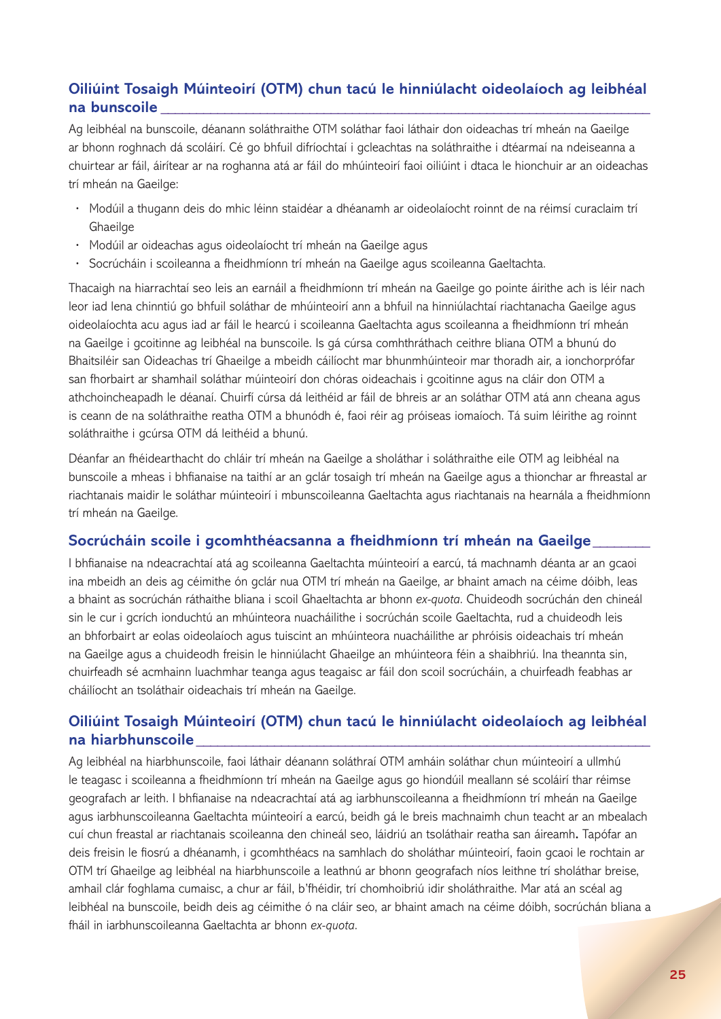## **Oiliúint Tosaigh Múinteoirí (OTM) chun tacú le hinniúlacht oideolaíoch ag leibhéal na bunscoile \_\_\_\_\_\_\_\_\_\_\_\_\_\_\_\_\_\_\_\_\_\_\_\_\_\_\_\_\_\_\_\_\_\_\_\_\_\_\_\_\_\_\_\_\_\_\_\_\_\_\_\_\_\_\_\_\_\_\_\_\_\_\_\_\_\_\_\_\_**

Ag leibhéal na bunscoile, déanann soláthraithe OTM soláthar faoi láthair don oideachas trí mheán na Gaeilge ar bhonn roghnach dá scoláirí. Cé go bhfuil difríochtaí i gcleachtas na soláthraithe i dtéarmaí na ndeiseanna a chuirtear ar fáil, áirítear ar na roghanna atá ar fáil do mhúinteoirí faoi oiliúint i dtaca le hionchuir ar an oideachas trí mheán na Gaeilge:

- **·** Modúil a thugann deis do mhic léinn staidéar a dhéanamh ar oideolaíocht roinnt de na réimsí curaclaim trí **Ghaeilge**
- **·** Modúil ar oideachas agus oideolaíocht trí mheán na Gaeilge agus
- **·** Socrúcháin i scoileanna a fheidhmíonn trí mheán na Gaeilge agus scoileanna Gaeltachta.

Thacaigh na hiarrachtaí seo leis an earnáil a fheidhmíonn trí mheán na Gaeilge go pointe áirithe ach is léir nach leor iad lena chinntiú go bhfuil soláthar de mhúinteoirí ann a bhfuil na hinniúlachtaí riachtanacha Gaeilge agus oideolaíochta acu agus iad ar fáil le hearcú i scoileanna Gaeltachta agus scoileanna a fheidhmíonn trí mheán na Gaeilge i gcoitinne ag leibhéal na bunscoile. Is gá cúrsa comhthráthach ceithre bliana OTM a bhunú do Bhaitsiléir san Oideachas trí Ghaeilge a mbeidh cáilíocht mar bhunmhúinteoir mar thoradh air, a ionchorprófar san fhorbairt ar shamhail soláthar múinteoirí don chóras oideachais i gcoitinne agus na cláir don OTM a athchoincheapadh le déanaí. Chuirfí cúrsa dá leithéid ar fáil de bhreis ar an soláthar OTM atá ann cheana agus is ceann de na soláthraithe reatha OTM a bhunódh é, faoi réir ag próiseas iomaíoch. Tá suim léirithe ag roinnt soláthraithe i gcúrsa OTM dá leithéid a bhunú.

Déanfar an fhéidearthacht do chláir trí mheán na Gaeilge a sholáthar i soláthraithe eile OTM ag leibhéal na bunscoile a mheas i bhfianaise na taithí ar an gclár tosaigh trí mheán na Gaeilge agus a thionchar ar fhreastal ar riachtanais maidir le soláthar múinteoirí i mbunscoileanna Gaeltachta agus riachtanais na hearnála a fheidhmíonn trí mheán na Gaeilge.

## Socrúcháin scoile i gcomhthéacsanna a fheidhmíonn trí mheán na Gaeilge

I bhfianaise na ndeacrachtaí atá ag scoileanna Gaeltachta múinteoirí a earcú, tá machnamh déanta ar an gcaoi ina mbeidh an deis ag céimithe ón gclár nua OTM trí mheán na Gaeilge, ar bhaint amach na céime dóibh, leas a bhaint as socrúchán ráthaithe bliana i scoil Ghaeltachta ar bhonn *ex-quota*. Chuideodh socrúchán den chineál sin le cur i gcrích ionduchtú an mhúinteora nuacháilithe i socrúchán scoile Gaeltachta, rud a chuideodh leis an bhforbairt ar eolas oideolaíoch agus tuiscint an mhúinteora nuacháilithe ar phróisis oideachais trí mheán na Gaeilge agus a chuideodh freisin le hinniúlacht Ghaeilge an mhúinteora féin a shaibhriú. Ina theannta sin, chuirfeadh sé acmhainn luachmhar teanga agus teagaisc ar fáil don scoil socrúcháin, a chuirfeadh feabhas ar cháilíocht an tsoláthair oideachais trí mheán na Gaeilge.

## **Oiliúint Tosaigh Múinteoirí (OTM) chun tacú le hinniúlacht oideolaíoch ag leibhéal na hiarbhunscoile \_\_\_\_\_\_\_\_\_\_\_\_\_\_\_\_\_\_\_\_\_\_\_\_\_\_\_\_\_\_\_\_\_\_\_\_\_\_\_\_\_\_\_\_\_\_\_\_\_\_\_\_\_\_\_\_\_\_\_\_\_\_\_\_**

Ag leibhéal na hiarbhunscoile, faoi láthair déanann soláthraí OTM amháin soláthar chun múinteoirí a ullmhú le teagasc i scoileanna a fheidhmíonn trí mheán na Gaeilge agus go hiondúil meallann sé scoláirí thar réimse geografach ar leith. I bhfianaise na ndeacrachtaí atá ag iarbhunscoileanna a fheidhmíonn trí mheán na Gaeilge agus iarbhunscoileanna Gaeltachta múinteoirí a earcú, beidh gá le breis machnaimh chun teacht ar an mbealach cuí chun freastal ar riachtanais scoileanna den chineál seo, láidriú an tsoláthair reatha san áireamh**.** Tapófar an deis freisin le fiosrú a dhéanamh, i gcomhthéacs na samhlach do sholáthar múinteoirí, faoin gcaoi le rochtain ar OTM trí Ghaeilge ag leibhéal na hiarbhunscoile a leathnú ar bhonn geografach níos leithne trí sholáthar breise, amhail clár foghlama cumaisc, a chur ar fáil, b'fhéidir, trí chomhoibriú idir sholáthraithe. Mar atá an scéal ag leibhéal na bunscoile, beidh deis ag céimithe ó na cláir seo, ar bhaint amach na céime dóibh, socrúchán bliana a fháil in iarbhunscoileanna Gaeltachta ar bhonn *ex-quota*.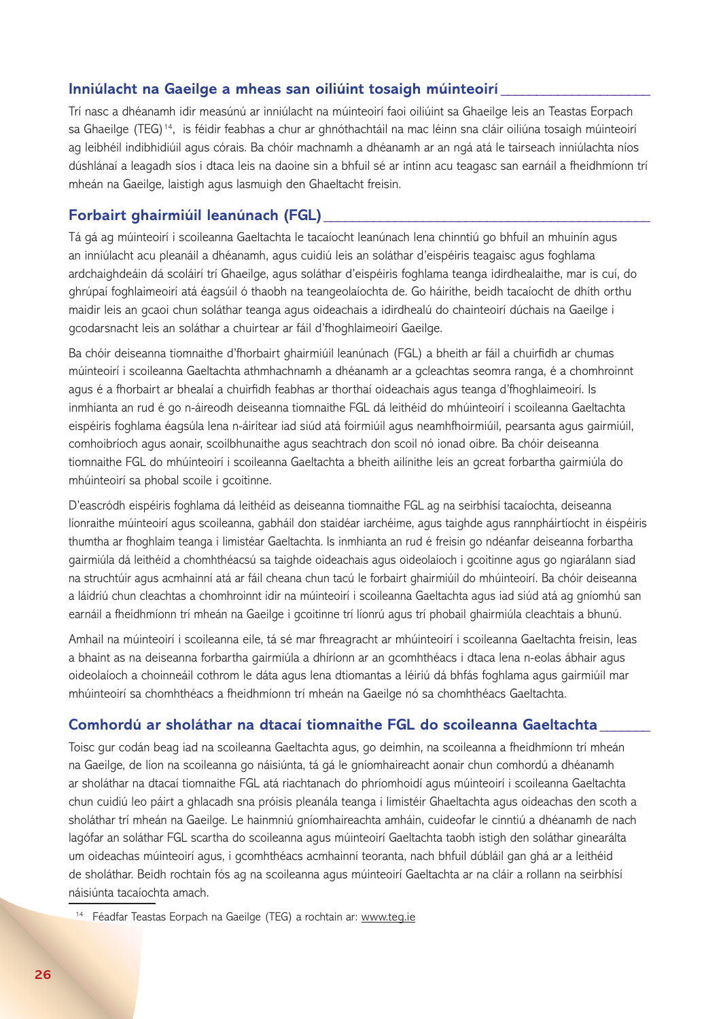#### **Inniúlacht na Gaeilge a mheas san oiliúint tosaigh múinteoirí \_\_\_\_\_\_\_\_\_\_\_\_\_\_\_\_\_\_\_\_\_**

Trí nasc a dhéanamh idir measúnú ar inniúlacht na múinteoirí faoi oiliúint sa Ghaeilge leis an Teastas Eorpach sa Ghaeilge (TEG)<sup>14</sup>, is féidir feabhas a chur ar ghnóthachtáil na mac léinn sna cláir oiliúna tosaigh múinteoirí ag leibhéil indibhidiúil agus córais. Ba chóir machnamh a dhéanamh ar an ngá atá le tairseach inniúlachta níos dúshlánaí a leagadh síos i dtaca leis na daoine sin a bhfuil sé ar intinn acu teagasc san earnáil a fheidhmíonn trí mheán na Gaeilge, laistigh agus lasmuigh den Ghaeltacht freisin.

#### **Forbairt ghairmiúil leanúnach (FGL) \_\_\_\_\_\_\_\_\_\_\_\_\_\_\_\_\_\_\_\_\_\_\_\_\_\_\_\_\_\_\_\_\_\_\_\_\_\_\_\_\_\_\_\_\_\_**

Tá gá ag múinteoirí i scoileanna Gaeltachta le tacaíocht leanúnach lena chinntiú go bhfuil an mhuinín agus an inniúlacht acu pleanáil a dhéanamh, agus cuidiú leis an soláthar d'eispéiris teagaisc agus foghlama ardchaighdeáin dá scoláirí trí Ghaeilge, agus soláthar d'eispéiris foghlama teanga idirdhealaithe, mar is cuí, do ghrúpaí foghlaimeoirí atá éagsúil ó thaobh na teangeolaíochta de. Go háirithe, beidh tacaíocht de dhíth orthu maidir leis an gcaoi chun soláthar teanga agus oideachais a idirdhealú do chainteoirí dúchais na Gaeilge i gcodarsnacht leis an soláthar a chuirtear ar fáil d'fhoghlaimeoirí Gaeilge.

Ba chóir deiseanna tiomnaithe d'fhorbairt ghairmiúil leanúnach (FGL) a bheith ar fáil a chuirfidh ar chumas múinteoirí i scoileanna Gaeltachta athmhachnamh a dhéanamh ar a gcleachtas seomra ranga, é a chomhroinnt agus é a fhorbairt ar bhealaí a chuirfidh feabhas ar thorthaí oideachais agus teanga d'fhoghlaimeoirí. Is inmhianta an rud é go n-áireodh deiseanna tiomnaithe FGL dá leithéid do mhúinteoirí i scoileanna Gaeltachta eispéiris foghlama éagsúla lena n-áirítear iad siúd atá foirmiúil agus neamhfhoirmiúil, pearsanta agus gairmiúil, comhoibríoch agus aonair, scoilbhunaithe agus seachtrach don scoil nó ionad oibre. Ba chóir deiseanna tiomnaithe FGL do mhúinteoirí i scoileanna Gaeltachta a bheith ailínithe leis an gcreat forbartha gairmiúla do mhúinteoirí sa phobal scoile i gcoitinne.

D'eascródh eispéiris foghlama dá leithéid as deiseanna tiomnaithe FGL ag na seirbhísí tacaíochta, deiseanna líonraithe múinteoirí agus scoileanna, gabháil don staidéar iarchéime, agus taighde agus rannpháirtíocht in éispéiris thumtha ar fhoghlaim teanga i limistéar Gaeltachta. Is inmhianta an rud é freisin go ndéanfar deiseanna forbartha gairmiúla dá leithéid a chomhthéacsú sa taighde oideachais agus oideolaíoch i gcoitinne agus go ngiarálann siad na struchtúir agus acmhainní atá ar fáil cheana chun tacú le forbairt ghairmiúil do mhúinteoirí. Ba chóir deiseanna a láidriú chun cleachtas a chomhroinnt idir na múinteoirí i scoileanna Gaeltachta agus iad siúd atá ag gníomhú san earnáil a fheidhmíonn trí mheán na Gaeilge i gcoitinne trí líonrú agus trí phobail ghairmiúla cleachtais a bhunú.

Amhail na múinteoirí i scoileanna eile, tá sé mar fhreagracht ar mhúinteoirí i scoileanna Gaeltachta freisin, leas a bhaint as na deiseanna forbartha gairmiúla a dhíríonn ar an gcomhthéacs i dtaca lena n-eolas ábhair agus oideolaíoch a choinneáil cothrom le dáta agus lena dtiomantas a léiriú dá bhfás foghlama agus gairmiúil mar mhúinteoirí sa chomhthéacs a fheidhmíonn trí mheán na Gaeilge nó sa chomhthéacs Gaeltachta.

#### **Comhordú ar sholáthar na dtacaí tiomnaithe FGL do scoileanna Gaeltachta \_\_\_\_\_\_\_**

Toisc gur codán beag iad na scoileanna Gaeltachta agus, go deimhin, na scoileanna a fheidhmíonn trí mheán na Gaeilge, de líon na scoileanna go náisiúnta, tá gá le gníomhaireacht aonair chun comhordú a dhéanamh ar sholáthar na dtacaí tiomnaithe FGL atá riachtanach do phríomhoidí agus múinteoirí i scoileanna Gaeltachta chun cuidiú leo páirt a ghlacadh sna próisis pleanála teanga i limistéir Ghaeltachta agus oideachas den scoth a sholáthar trí mheán na Gaeilge. Le hainmniú gníomhaireachta amháin, cuideofar le cinntiú a dhéanamh de nach lagófar an soláthar FGL scartha do scoileanna agus múinteoirí Gaeltachta taobh istigh den soláthar ginearálta um oideachas múinteoirí agus, i gcomhthéacs acmhainní teoranta, nach bhfuil dúbláil gan ghá ar a leithéid de sholáthar. Beidh rochtain fós ag na scoileanna agus múinteoirí Gaeltachta ar na cláir a rollann na seirbhísí náisiúnta tacaíochta amach.

<sup>&</sup>lt;sup>14</sup> Féadfar Teastas Eorpach na Gaeilge (TEG) a rochtain ar: www.teg.ie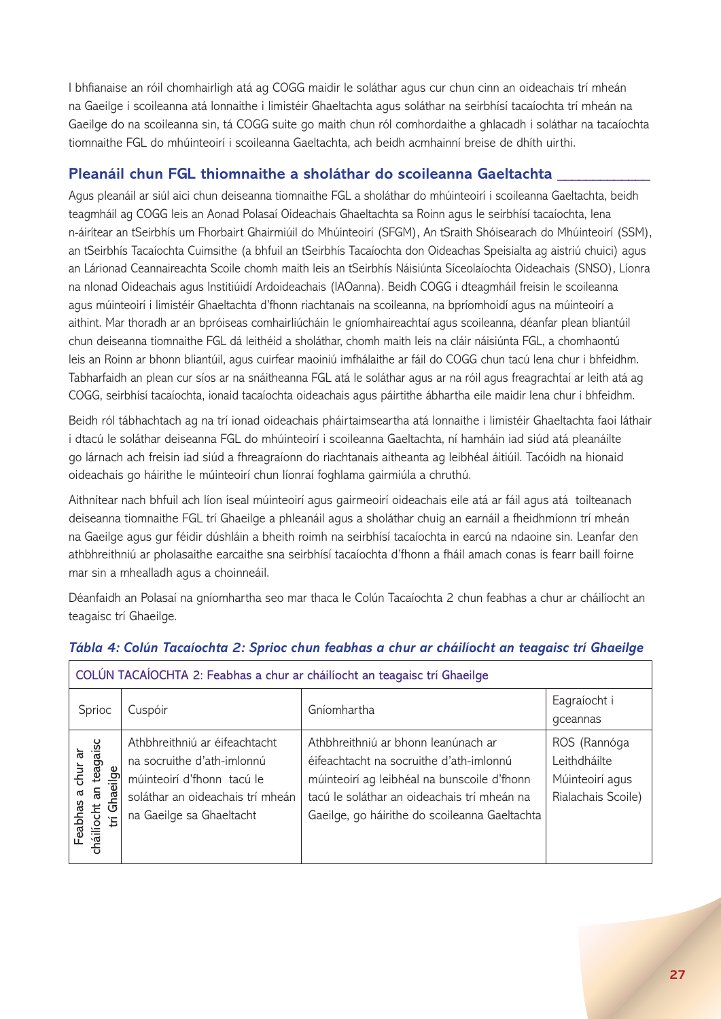I bhfianaise an róil chomhairligh atá ag COGG maidir le soláthar agus cur chun cinn an oideachais trí mheán na Gaeilge i scoileanna atá lonnaithe i limistéir Ghaeltachta agus soláthar na seirbhísí tacaíochta trí mheán na Gaeilge do na scoileanna sin, tá COGG suite go maith chun ról comhordaithe a ghlacadh i soláthar na tacaíochta tiomnaithe FGL do mhúinteoirí i scoileanna Gaeltachta, ach beidh acmhainní breise de dhíth uirthi.

## **Pleanáil chun FGL thiomnaithe a sholáthar do scoileanna Gaeltachta \_\_\_\_\_\_\_\_\_\_\_\_\_**

Agus pleanáil ar siúl aici chun deiseanna tiomnaithe FGL a sholáthar do mhúinteoirí i scoileanna Gaeltachta, beidh teagmháil ag COGG leis an Aonad Polasaí Oideachais Ghaeltachta sa Roinn agus le seirbhísí tacaíochta, lena n-áirítear an tSeirbhís um Fhorbairt Ghairmiúil do Mhúinteoirí (SFGM), An tSraith Shóisearach do Mhúinteoirí (SSM), an tSeirbhís Tacaíochta Cuimsithe (a bhfuil an tSeirbhís Tacaíochta don Oideachas Speisialta ag aistriú chuici) agus an Lárionad Ceannaireachta Scoile chomh maith leis an tSeirbhís Náisiúnta Síceolaíochta Oideachais (SNSO), Líonra na nIonad Oideachais agus Institiúidí Ardoideachais (IAOanna). Beidh COGG i dteagmháil freisin le scoileanna agus múinteoirí i limistéir Ghaeltachta d'fhonn riachtanais na scoileanna, na bpríomhoidí agus na múinteoirí a aithint. Mar thoradh ar an bpróiseas comhairliúcháin le gníomhaireachtaí agus scoileanna, déanfar plean bliantúil chun deiseanna tiomnaithe FGL dá leithéid a sholáthar, chomh maith leis na cláir náisiúnta FGL, a chomhaontú leis an Roinn ar bhonn bliantúil, agus cuirfear maoiniú imfhálaithe ar fáil do COGG chun tacú lena chur i bhfeidhm. Tabharfaidh an plean cur síos ar na snáitheanna FGL atá le soláthar agus ar na róil agus freagrachtaí ar leith atá ag COGG, seirbhísí tacaíochta, ionaid tacaíochta oideachais agus páirtithe ábhartha eile maidir lena chur i bhfeidhm.

Beidh ról tábhachtach ag na trí ionad oideachais pháirtaimseartha atá lonnaithe i limistéir Ghaeltachta faoi láthair i dtacú le soláthar deiseanna FGL do mhúinteoirí i scoileanna Gaeltachta, ní hamháin iad siúd atá pleanáilte go lárnach ach freisin iad siúd a fhreagraíonn do riachtanais aitheanta ag leibhéal áitiúil. Tacóidh na hionaid oideachais go háirithe le múinteoirí chun líonraí foghlama gairmiúla a chruthú.

Aithnítear nach bhfuil ach líon íseal múinteoirí agus gairmeoirí oideachais eile atá ar fáil agus atá toilteanach deiseanna tiomnaithe FGL trí Ghaeilge a phleanáil agus a sholáthar chuig an earnáil a fheidhmíonn trí mheán na Gaeilge agus gur féidir dúshláin a bheith roimh na seirbhísí tacaíochta in earcú na ndaoine sin. Leanfar den athbhreithniú ar pholasaithe earcaithe sna seirbhísí tacaíochta d'fhonn a fháil amach conas is fearr baill foirne mar sin a mhealladh agus a choinneáil.

Déanfaidh an Polasaí na gníomhartha seo mar thaca le Colún Tacaíochta 2 chun feabhas a chur ar cháilíocht an teagaisc trí Ghaeilge.

| COLÚN TACAÍOCHTA 2: Feabhas a chur ar cháilíocht an teagaisc trí Ghaeilge    |                                                                                                                                                           |                                                                                                                                                                                                                               |                                                                       |
|------------------------------------------------------------------------------|-----------------------------------------------------------------------------------------------------------------------------------------------------------|-------------------------------------------------------------------------------------------------------------------------------------------------------------------------------------------------------------------------------|-----------------------------------------------------------------------|
| Sprioc                                                                       | Cuspóir                                                                                                                                                   | Gníomhartha                                                                                                                                                                                                                   | Eagraíocht i<br>gceannas                                              |
| teagaisc<br>ನ<br>chur<br>ilge<br>Ghaei<br>an<br>Feabhas<br>cháilíocht a<br>Έ | Athbhreithniú ar éifeachtacht<br>na socruithe d'ath-imlonnú<br>múinteoirí d'fhonn tacú le<br>soláthar an oideachais trí mheán<br>na Gaeilge sa Ghaeltacht | Athbhreithniú ar bhonn leanúnach ar<br>éifeachtacht na socruithe d'ath-imlonnú<br>múinteoirí ag leibhéal na bunscoile d'fhonn<br>tacú le soláthar an oideachais trí mheán na<br>Gaeilge, go háirithe do scoileanna Gaeltachta | ROS (Rannóga<br>Leithdháilte<br>Múinteoirí agus<br>Rialachais Scoile) |

## *Tábla 4: Colún Tacaíochta 2: Sprioc chun feabhas a chur ar cháilíocht an teagaisc trí Ghaeilge*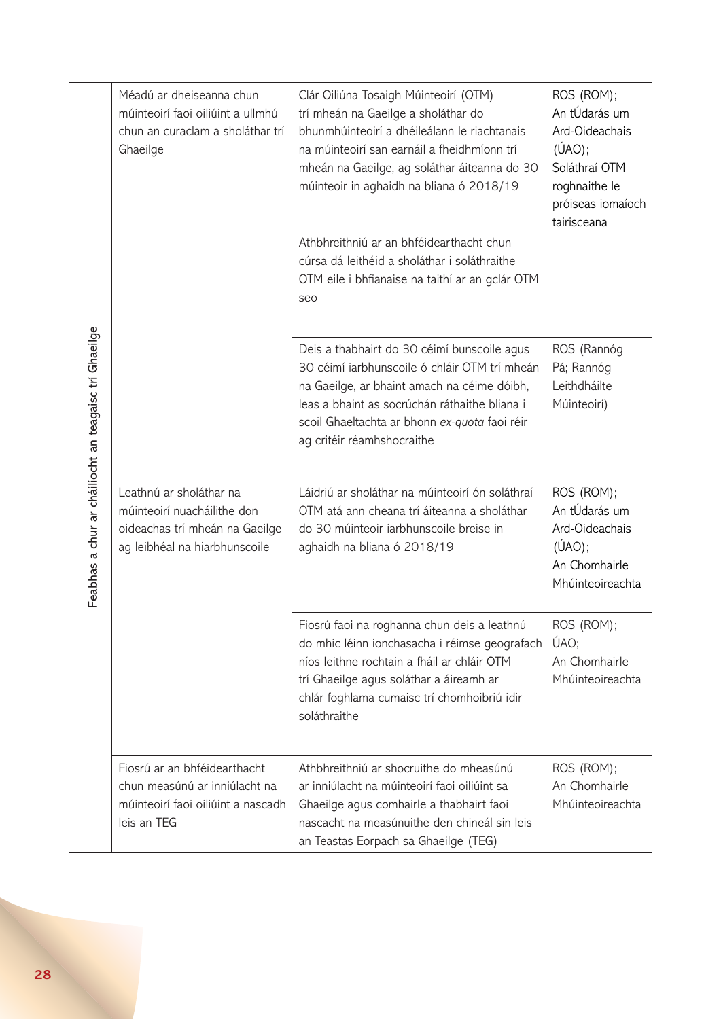| Feabhas a chur ar cháilíocht an teagaisc trí Ghaeilge | Méadú ar dheiseanna chun<br>múinteoirí faoi oiliúint a ullmhú<br>chun an curaclam a sholáthar trí<br>Ghaeilge             | Clár Oiliúna Tosaigh Múinteoirí (OTM)<br>trí mheán na Gaeilge a sholáthar do<br>bhunmhúinteoirí a dhéileálann le riachtanais<br>na múinteoirí san earnáil a fheidhmíonn trí<br>mheán na Gaeilge, ag soláthar áiteanna do 30<br>múinteoir in aghaidh na bliana ó 2018/19<br>Athbhreithniú ar an bhféidearthacht chun<br>cúrsa dá leithéid a sholáthar i soláthraithe<br>OTM eile i bhfianaise na taithí ar an gclár OTM<br>seo | ROS (ROM);<br>An tÚdarás um<br>Ard-Oideachais<br>$(\hat{U}AO)$ ;<br>Soláthraí OTM<br>roghnaithe le<br>próiseas iomaíoch<br>tairisceana |
|-------------------------------------------------------|---------------------------------------------------------------------------------------------------------------------------|-------------------------------------------------------------------------------------------------------------------------------------------------------------------------------------------------------------------------------------------------------------------------------------------------------------------------------------------------------------------------------------------------------------------------------|----------------------------------------------------------------------------------------------------------------------------------------|
|                                                       |                                                                                                                           | Deis a thabhairt do 30 céimí bunscoile agus<br>30 céimí iarbhunscoile ó chláir OTM trí mheán<br>na Gaeilge, ar bhaint amach na céime dóibh,<br>leas a bhaint as socrúchán ráthaithe bliana i<br>scoil Ghaeltachta ar bhonn ex-quota faoi réir<br>ag critéir réamhshocraithe                                                                                                                                                   | ROS (Rannóg<br>Pá; Rannóg<br>Leithdháilte<br>Múinteoirí)                                                                               |
|                                                       | Leathnú ar sholáthar na<br>múinteoirí nuacháilithe don<br>oideachas trí mheán na Gaeilge<br>ag leibhéal na hiarbhunscoile | Láidriú ar sholáthar na múinteoirí ón soláthraí<br>OTM atá ann cheana trí áiteanna a sholáthar<br>do 30 múinteoir iarbhunscoile breise in<br>aghaidh na bliana ó 2018/19                                                                                                                                                                                                                                                      | ROS (ROM);<br>An tÚdarás um<br>Ard-Oideachais<br>$(\hat{U}AO)$ ;<br>An Chomhairle<br>Mhúinteoireachta                                  |
|                                                       |                                                                                                                           | Fiosrú faoi na roghanna chun deis a leathnú<br>do mhic léinn ionchasacha i réimse geografach<br>níos leithne rochtain a fháil ar chláir OTM<br>trí Ghaeilge agus soláthar a áireamh ar<br>chlár foghlama cumaisc trí chomhoibriú idir<br>soláthraithe                                                                                                                                                                         | ROS (ROM);<br>ÚAO;<br>An Chomhairle<br>Mhúinteoireachta                                                                                |
|                                                       | Fiosrú ar an bhféidearthacht<br>chun measúnú ar inniúlacht na<br>múinteoirí faoi oiliúint a nascadh<br>leis an TEG        | Athbhreithniú ar shocruithe do mheasúnú<br>ar inniúlacht na múinteoirí faoi oiliúint sa<br>Ghaeilge agus comhairle a thabhairt faoi<br>nascacht na measúnuithe den chineál sin leis<br>an Teastas Eorpach sa Ghaeilge (TEG)                                                                                                                                                                                                   | ROS (ROM);<br>An Chomhairle<br>Mhúinteoireachta                                                                                        |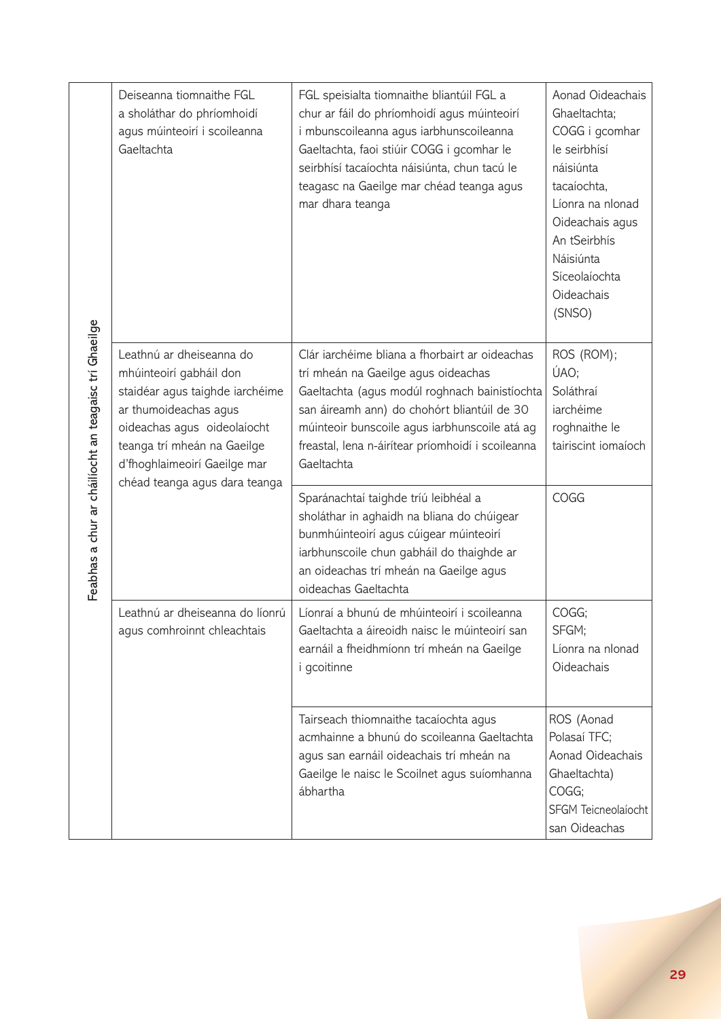| Feabhas a chur ar cháilíocht an teagaisc trí Ghaeilge | Deiseanna tiomnaithe FGL<br>a sholáthar do phríomhoidí<br>agus múinteoirí i scoileanna<br>Gaeltachta                                                                                                                                           | FGL speisialta tiomnaithe bliantúil FGL a<br>chur ar fáil do phríomhoidí agus múinteoirí<br>i mbunscoileanna agus iarbhunscoileanna<br>Gaeltachta, faoi stiúir COGG i gcomhar le<br>seirbhísí tacaíochta náisiúnta, chun tacú le<br>teagasc na Gaeilge mar chéad teanga agus<br>mar dhara teanga          | Aonad Oideachais<br>Ghaeltachta;<br>COGG i gcomhar<br>le seirbhísí<br>náisiúnta<br>tacaíochta,<br>Líonra na nlonad<br>Oideachais agus<br>An tSeirbhís<br>Náisiúnta<br>Síceolaíochta<br>Oideachais<br>(SNSO) |
|-------------------------------------------------------|------------------------------------------------------------------------------------------------------------------------------------------------------------------------------------------------------------------------------------------------|-----------------------------------------------------------------------------------------------------------------------------------------------------------------------------------------------------------------------------------------------------------------------------------------------------------|-------------------------------------------------------------------------------------------------------------------------------------------------------------------------------------------------------------|
|                                                       | Leathnú ar dheiseanna do<br>mhúinteoirí gabháil don<br>staidéar agus taighde iarchéime<br>ar thumoideachas agus<br>oideachas agus oideolaíocht<br>teanga trí mheán na Gaeilge<br>d'fhoghlaimeoirí Gaeilge mar<br>chéad teanga agus dara teanga | Clár iarchéime bliana a fhorbairt ar oideachas<br>trí mheán na Gaeilge agus oideachas<br>Gaeltachta (agus modúl roghnach bainistíochta<br>san áireamh ann) do chohórt bliantúil de 30<br>múinteoir bunscoile agus iarbhunscoile atá ag<br>freastal, lena n-áirítear príomhoidí i scoileanna<br>Gaeltachta | ROS (ROM);<br>ÚAO;<br>Soláthraí<br>iarchéime<br>roghnaithe le<br>tairiscint iomaíoch                                                                                                                        |
|                                                       |                                                                                                                                                                                                                                                | Sparánachtaí taighde tríú leibhéal a<br>sholáthar in aghaidh na bliana do chúigear<br>bunmhúinteoirí agus cúigear múinteoirí<br>iarbhunscoile chun gabháil do thaighde ar<br>an oideachas trí mheán na Gaeilge agus<br>oideachas Gaeltachta                                                               | COGG                                                                                                                                                                                                        |
|                                                       | Leathnú ar dheiseanna do líonrú<br>agus comhroinnt chleachtais                                                                                                                                                                                 | Líonraí a bhunú de mhúinteoirí i scoileanna<br>Gaeltachta a áireoidh naisc le múinteoirí san<br>earnáil a fheidhmíonn trí mheán na Gaeilge<br><i>i</i> gcoitinne                                                                                                                                          | COGG;<br>SFGM;<br>Líonra na nlonad<br>Oideachais                                                                                                                                                            |
|                                                       |                                                                                                                                                                                                                                                | Tairseach thiomnaithe tacaíochta agus<br>acmhainne a bhunú do scoileanna Gaeltachta<br>agus san earnáil oideachais trí mheán na<br>Gaeilge le naisc le Scoilnet agus suíomhanna<br>ábhartha                                                                                                               | ROS (Aonad<br>Polasaí TFC;<br>Aonad Oideachais<br>Ghaeltachta)<br>COGG;<br>SFGM Teicneolaíocht<br>san Oideachas                                                                                             |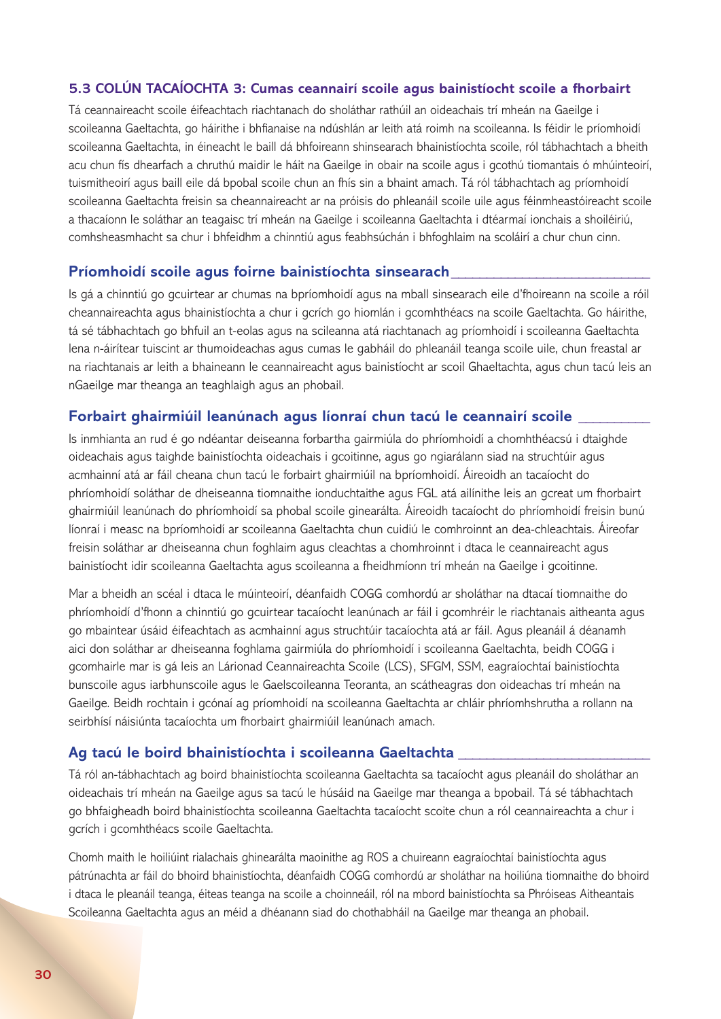#### **5.3 COLÚN TACAÍOCHTA 3: Cumas ceannairí scoile agus bainistíocht scoile a fhorbairt**

Tá ceannaireacht scoile éifeachtach riachtanach do sholáthar rathúil an oideachais trí mheán na Gaeilge i scoileanna Gaeltachta, go háirithe i bhfianaise na ndúshlán ar leith atá roimh na scoileanna. Is féidir le príomhoidí scoileanna Gaeltachta, in éineacht le baill dá bhfoireann shinsearach bhainistíochta scoile, ról tábhachtach a bheith acu chun fís dhearfach a chruthú maidir le háit na Gaeilge in obair na scoile agus i gcothú tiomantais ó mhúinteoirí, tuismitheoirí agus baill eile dá bpobal scoile chun an fhís sin a bhaint amach. Tá ról tábhachtach ag príomhoidí scoileanna Gaeltachta freisin sa cheannaireacht ar na próisis do phleanáil scoile uile agus féinmheastóireacht scoile a thacaíonn le soláthar an teagaisc trí mheán na Gaeilge i scoileanna Gaeltachta i dtéarmaí ionchais a shoiléiriú, comhsheasmhacht sa chur i bhfeidhm a chinntiú agus feabhsúchán i bhfoghlaim na scoláirí a chur chun cinn.

#### **Príomhoidí scoile agus foirne bainistíochta sinsearach\_\_\_\_\_\_\_\_\_\_\_\_\_\_\_\_\_\_\_\_\_\_\_\_\_\_\_\_**

Is gá a chinntiú go gcuirtear ar chumas na bpríomhoidí agus na mball sinsearach eile d'fhoireann na scoile a róil cheannaireachta agus bhainistíochta a chur i gcrích go hiomlán i gcomhthéacs na scoile Gaeltachta. Go háirithe, tá sé tábhachtach go bhfuil an t-eolas agus na scileanna atá riachtanach ag príomhoidí i scoileanna Gaeltachta lena n-áirítear tuiscint ar thumoideachas agus cumas le gabháil do phleanáil teanga scoile uile, chun freastal ar na riachtanais ar leith a bhaineann le ceannaireacht agus bainistíocht ar scoil Ghaeltachta, agus chun tacú leis an nGaeilge mar theanga an teaghlaigh agus an phobail.

#### **Forbairt ghairmiúil leanúnach agus líonraí chun tacú le ceannairí scoile \_\_\_\_\_\_\_\_\_\_**

Is inmhianta an rud é go ndéantar deiseanna forbartha gairmiúla do phríomhoidí a chomhthéacsú i dtaighde oideachais agus taighde bainistíochta oideachais i gcoitinne, agus go ngiarálann siad na struchtúir agus acmhainní atá ar fáil cheana chun tacú le forbairt ghairmiúil na bpríomhoidí. Áireoidh an tacaíocht do phríomhoidí soláthar de dheiseanna tiomnaithe ionduchtaithe agus FGL atá ailínithe leis an gcreat um fhorbairt ghairmiúil leanúnach do phríomhoidí sa phobal scoile ginearálta. Áireoidh tacaíocht do phríomhoidí freisin bunú líonraí i measc na bpríomhoidí ar scoileanna Gaeltachta chun cuidiú le comhroinnt an dea-chleachtais. Áireofar freisin soláthar ar dheiseanna chun foghlaim agus cleachtas a chomhroinnt i dtaca le ceannaireacht agus bainistíocht idir scoileanna Gaeltachta agus scoileanna a fheidhmíonn trí mheán na Gaeilge i gcoitinne.

Mar a bheidh an scéal i dtaca le múinteoirí, déanfaidh COGG comhordú ar sholáthar na dtacaí tiomnaithe do phríomhoidí d'fhonn a chinntiú go gcuirtear tacaíocht leanúnach ar fáil i gcomhréir le riachtanais aitheanta agus go mbaintear úsáid éifeachtach as acmhainní agus struchtúir tacaíochta atá ar fáil. Agus pleanáil á déanamh aici don soláthar ar dheiseanna foghlama gairmiúla do phríomhoidí i scoileanna Gaeltachta, beidh COGG i gcomhairle mar is gá leis an Lárionad Ceannaireachta Scoile (LCS), SFGM, SSM, eagraíochtaí bainistíochta bunscoile agus iarbhunscoile agus le Gaelscoileanna Teoranta, an scátheagras don oideachas trí mheán na Gaeilge. Beidh rochtain i gcónaí ag príomhoidí na scoileanna Gaeltachta ar chláir phríomhshrutha a rollann na seirbhísí náisiúnta tacaíochta um fhorbairt ghairmiúil leanúnach amach.

#### Ag tacú le boird bhainistíochta i scoileanna Gaeltachta

Tá ról an-tábhachtach ag boird bhainistíochta scoileanna Gaeltachta sa tacaíocht agus pleanáil do sholáthar an oideachais trí mheán na Gaeilge agus sa tacú le húsáid na Gaeilge mar theanga a bpobail. Tá sé tábhachtach go bhfaigheadh boird bhainistíochta scoileanna Gaeltachta tacaíocht scoite chun a ról ceannaireachta a chur i gcrích i gcomhthéacs scoile Gaeltachta.

Chomh maith le hoiliúint rialachais ghinearálta maoinithe ag ROS a chuireann eagraíochtaí bainistíochta agus pátrúnachta ar fáil do bhoird bhainistíochta, déanfaidh COGG comhordú ar sholáthar na hoiliúna tiomnaithe do bhoird i dtaca le pleanáil teanga, éiteas teanga na scoile a choinneáil, ról na mbord bainistíochta sa Phróiseas Aitheantais Scoileanna Gaeltachta agus an méid a dhéanann siad do chothabháil na Gaeilge mar theanga an phobail.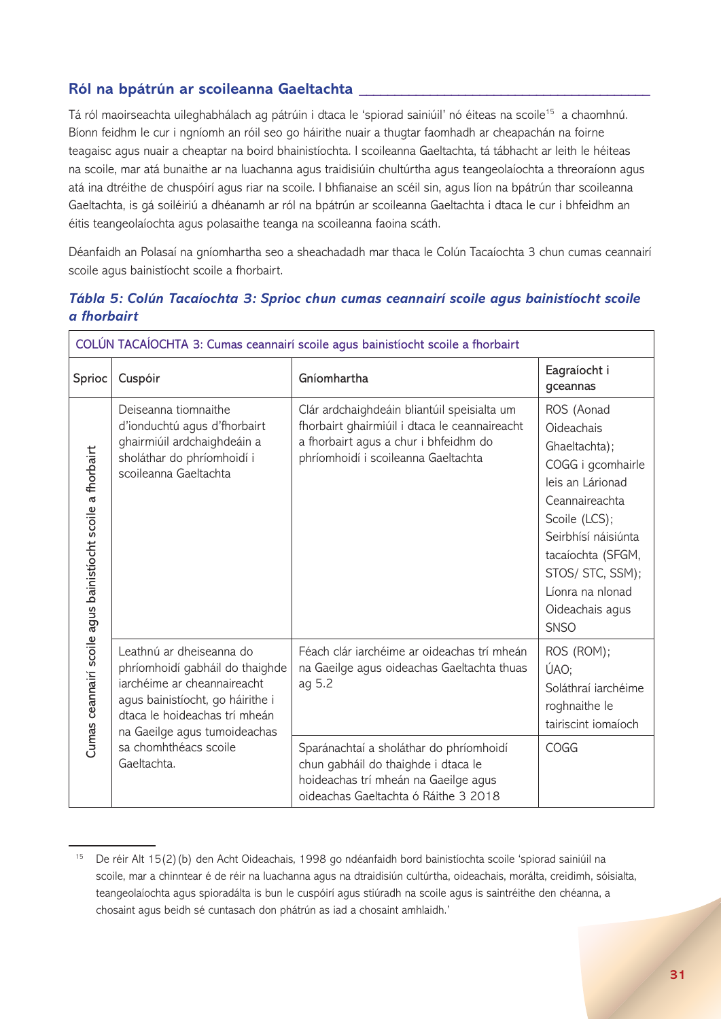## **Ról na bpátrún ar scoileanna Gaeltachta \_\_\_\_\_\_\_\_\_\_\_\_\_\_\_\_\_\_\_\_\_\_\_\_\_\_\_\_\_\_\_\_\_\_\_\_\_\_\_\_\_**

Tá ról maoirseachta uileghabhálach ag pátrúin i dtaca le 'spiorad sainiúil' nó éiteas na scoile<sup>15</sup> a chaomhnú. Bíonn feidhm le cur i ngníomh an róil seo go háirithe nuair a thugtar faomhadh ar cheapachán na foirne teagaisc agus nuair a cheaptar na boird bhainistíochta. I scoileanna Gaeltachta, tá tábhacht ar leith le héiteas na scoile, mar atá bunaithe ar na luachanna agus traidisiúin chultúrtha agus teangeolaíochta a threoraíonn agus atá ina dtréithe de chuspóirí agus riar na scoile. I bhfianaise an scéil sin, agus líon na bpátrún thar scoileanna Gaeltachta, is gá soiléiriú a dhéanamh ar ról na bpátrún ar scoileanna Gaeltachta i dtaca le cur i bhfeidhm an éitis teangeolaíochta agus polasaithe teanga na scoileanna faoina scáth.

Déanfaidh an Polasaí na gníomhartha seo a sheachadadh mar thaca le Colún Tacaíochta 3 chun cumas ceannairí scoile agus bainistíocht scoile a fhorbairt.

| COLÚN TACAÍOCHTA 3: Cumas ceannairí scoile agus bainistíocht scoile a fhorbairt |                                                                                                                                                                                                 |                                                                                                                                                                              |                                                                                                                                                                                                                                             |
|---------------------------------------------------------------------------------|-------------------------------------------------------------------------------------------------------------------------------------------------------------------------------------------------|------------------------------------------------------------------------------------------------------------------------------------------------------------------------------|---------------------------------------------------------------------------------------------------------------------------------------------------------------------------------------------------------------------------------------------|
| Sprioc                                                                          | Cuspóir                                                                                                                                                                                         | Gníomhartha                                                                                                                                                                  | Eagraíocht i<br>gceannas                                                                                                                                                                                                                    |
| Cumas ceannairí scoile agus bainistíocht scoile a fhorbairt                     | Deiseanna tiomnaithe<br>d'ionduchtú agus d'fhorbairt<br>ghairmiúil ardchaighdeáin a<br>sholáthar do phríomhoidí i<br>scoileanna Gaeltachta                                                      | Clár ardchaighdeáin bliantúil speisialta um<br>fhorbairt ghairmiúil i dtaca le ceannaireacht<br>a fhorbairt agus a chur i bhfeidhm do<br>phríomhoidí i scoileanna Gaeltachta | ROS (Aonad<br>Oideachais<br>Ghaeltachta);<br>COGG i gcomhairle<br>leis an Lárionad<br>Ceannaireachta<br>Scoile (LCS);<br>Seirbhísí náisiúnta<br>tacaíochta (SFGM,<br>STOS/ STC, SSM);<br>Líonra na nIonad<br>Oideachais agus<br><b>SNSO</b> |
|                                                                                 | Leathnú ar dheiseanna do<br>phríomhoidí gabháil do thaighde<br>jarchéime ar cheannaireacht<br>agus bainistíocht, go háirithe i<br>dtaca le hoideachas trí mheán<br>na Gaeilge agus tumoideachas | Féach clár iarchéime ar oideachas trí mheán<br>na Gaeilge agus oideachas Gaeltachta thuas<br>ag 5.2                                                                          | ROS (ROM);<br>ÚAO;<br>Soláthraí jarchéime<br>roghnaithe le<br>tairiscint iomaíoch                                                                                                                                                           |
|                                                                                 | sa chomhthéacs scoile<br>Gaeltachta.                                                                                                                                                            | Sparánachtaí a sholáthar do phríomhoidí<br>chun gabháil do thaighde i dtaca le<br>hoideachas trí mheán na Gaeilge agus<br>oideachas Gaeltachta ó Ráithe 3 2018               | COGG                                                                                                                                                                                                                                        |

## *Tábla 5: Colún Tacaíochta 3: Sprioc chun cumas ceannairí scoile agus bainistíocht scoile a fhorbairt*

<sup>15</sup> De réir Alt 15(2)(b) den Acht Oideachais, 1998 go ndéanfaidh bord bainistíochta scoile 'spiorad sainiúil na scoile, mar a chinntear é de réir na luachanna agus na dtraidisiún cultúrtha, oideachais, morálta, creidimh, sóisialta, teangeolaíochta agus spioradálta is bun le cuspóirí agus stiúradh na scoile agus is saintréithe den chéanna, a chosaint agus beidh sé cuntasach don phátrún as iad a chosaint amhlaidh.'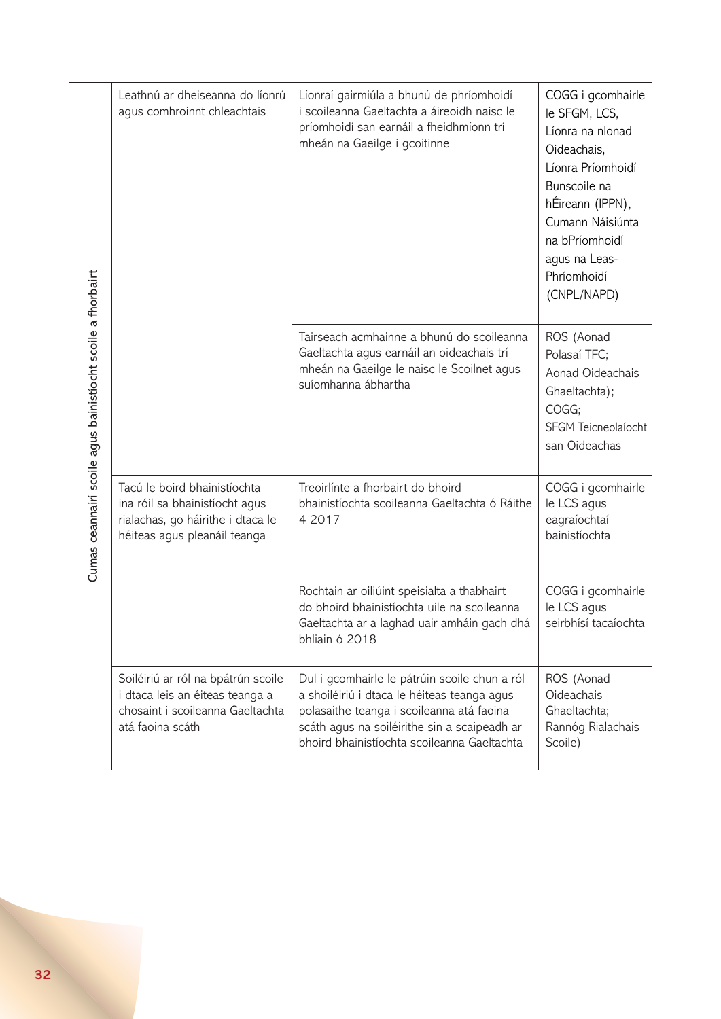| Cumas ceannairí scoile agus bainistíocht scoile a fhorbairt | Leathnú ar dheiseanna do líonrú<br>agus comhroinnt chleachtais                                                                      | Líonraí gairmiúla a bhunú de phríomhoidí<br>i scoileanna Gaeltachta a áireoidh naisc le<br>príomhoidí san earnáil a fheidhmíonn trí<br>mheán na Gaeilge i gcoitinne                                                                      | COGG i gcomhairle<br>le SFGM, LCS,<br>Líonra na nIonad<br>Oideachais,<br>Líonra Príomhoidí<br>Bunscoile na<br>hÉireann (IPPN),<br>Cumann Náisiúnta<br>na bPríomhoidí<br>agus na Leas-<br>Phríomhoidí<br>(CNPL/NAPD) |
|-------------------------------------------------------------|-------------------------------------------------------------------------------------------------------------------------------------|------------------------------------------------------------------------------------------------------------------------------------------------------------------------------------------------------------------------------------------|---------------------------------------------------------------------------------------------------------------------------------------------------------------------------------------------------------------------|
|                                                             |                                                                                                                                     | Tairseach acmhainne a bhunú do scoileanna<br>Gaeltachta agus earnáil an oideachais trí<br>mheán na Gaeilge le naisc le Scoilnet agus<br>suíomhanna ábhartha                                                                              | ROS (Aonad<br>Polasaí TFC;<br>Aonad Oideachais<br>Ghaeltachta);<br>COGG;<br>SFGM Teicneolaíocht<br>san Oideachas                                                                                                    |
|                                                             | Tacú le boird bhainistíochta<br>ina róil sa bhainistíocht agus<br>rialachas, go háirithe i dtaca le<br>héiteas agus pleanáil teanga | Treoirlínte a fhorbairt do bhoird<br>bhainistíochta scoileanna Gaeltachta ó Ráithe<br>4 2017                                                                                                                                             | COGG i gcomhairle<br>le LCS agus<br>eagraíochtaí<br>bainistíochta                                                                                                                                                   |
|                                                             |                                                                                                                                     | Rochtain ar oiliúint speisialta a thabhairt<br>do bhoird bhainistíochta uile na scoileanna<br>Gaeltachta ar a laghad uair amháin gach dhá<br>bhliain ó 2018                                                                              | COGG i gcomhairle<br>le LCS agus<br>seirbhísí tacaíochta                                                                                                                                                            |
|                                                             | Soiléiriú ar ról na bpátrún scoile<br>i dtaca leis an éiteas teanga a<br>chosaint i scoileanna Gaeltachta<br>atá faoina scáth       | Dul i gcomhairle le pátrúin scoile chun a ról<br>a shoiléiriú i dtaca le héiteas teanga agus<br>polasaithe teanga i scoileanna atá faoina<br>scáth agus na soiléirithe sin a scaipeadh ar<br>bhoird bhainistíochta scoileanna Gaeltachta | ROS (Aonad<br>Oideachais<br>Ghaeltachta;<br>Rannóg Rialachais<br>Scoile)                                                                                                                                            |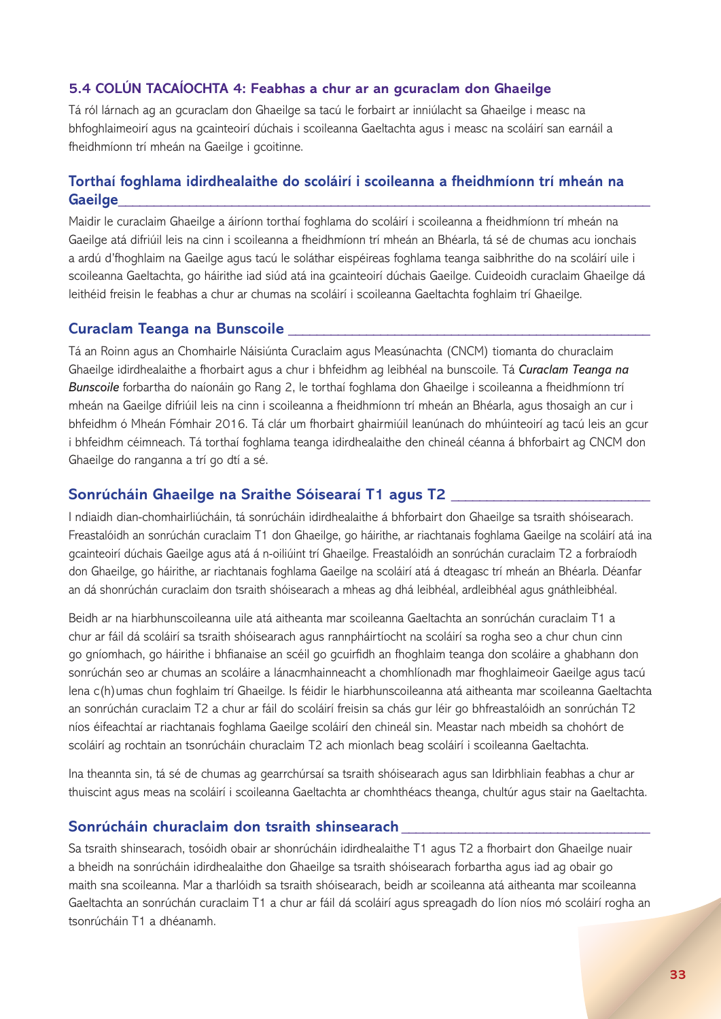#### **5.4 COLÚN TACAÍOCHTA 4: Feabhas a chur ar an gcuraclam don Ghaeilge**

Tá ról lárnach ag an gcuraclam don Ghaeilge sa tacú le forbairt ar inniúlacht sa Ghaeilge i measc na bhfoghlaimeoirí agus na gcainteoirí dúchais i scoileanna Gaeltachta agus i measc na scoláirí san earnáil a fheidhmíonn trí mheán na Gaeilge i gcoitinne.

## **Torthaí foghlama idirdhealaithe do scoláirí i scoileanna a fheidhmíonn trí mheán na Gaeilge\_\_\_\_\_\_\_\_\_\_\_\_\_\_\_\_\_\_\_\_\_\_\_\_\_\_\_\_\_\_\_\_\_\_\_\_\_\_\_\_\_\_\_\_\_\_\_\_\_\_\_\_\_\_\_\_\_\_\_\_\_\_\_\_\_\_\_\_\_\_\_\_\_\_\_**

Maidir le curaclaim Ghaeilge a áiríonn torthaí foghlama do scoláirí i scoileanna a fheidhmíonn trí mheán na Gaeilge atá difriúil leis na cinn i scoileanna a fheidhmíonn trí mheán an Bhéarla, tá sé de chumas acu ionchais a ardú d'fhoghlaim na Gaeilge agus tacú le soláthar eispéireas foghlama teanga saibhrithe do na scoláirí uile i scoileanna Gaeltachta, go háirithe iad siúd atá ina gcainteoirí dúchais Gaeilge. Cuideoidh curaclaim Ghaeilge dá leithéid freisin le feabhas a chur ar chumas na scoláirí i scoileanna Gaeltachta foghlaim trí Ghaeilge.

#### **Curaclam Teanga na Bunscoile \_\_\_\_\_\_\_\_\_\_\_\_\_\_\_\_\_\_\_\_\_\_\_\_\_\_\_\_\_\_\_\_\_\_\_\_\_\_\_\_\_\_\_\_\_\_\_\_\_\_\_**

Tá an Roinn agus an Chomhairle Náisiúnta Curaclaim agus Measúnachta (CNCM) tiomanta do churaclaim Ghaeilge idirdhealaithe a fhorbairt agus a chur i bhfeidhm ag leibhéal na bunscoile. Tá *Curaclam Teanga na Bunscoile* forbartha do naíonáin go Rang 2, le torthaí foghlama don Ghaeilge i scoileanna a fheidhmíonn trí mheán na Gaeilge difriúil leis na cinn i scoileanna a fheidhmíonn trí mheán an Bhéarla, agus thosaigh an cur i bhfeidhm ó Mheán Fómhair 2016. Tá clár um fhorbairt ghairmiúil leanúnach do mhúinteoirí ag tacú leis an gcur i bhfeidhm céimneach. Tá torthaí foghlama teanga idirdhealaithe den chineál céanna á bhforbairt ag CNCM don Ghaeilge do ranganna a trí go dtí a sé.

#### **Sonrúcháin Ghaeilge na Sraithe Sóisearaí T1 agus T2 \_\_\_\_\_\_\_\_\_\_\_\_\_\_\_\_\_\_\_\_\_\_\_\_\_\_\_\_**

I ndiaidh dian-chomhairliúcháin, tá sonrúcháin idirdhealaithe á bhforbairt don Ghaeilge sa tsraith shóisearach. Freastalóidh an sonrúchán curaclaim T1 don Ghaeilge, go háirithe, ar riachtanais foghlama Gaeilge na scoláirí atá ina gcainteoirí dúchais Gaeilge agus atá á n-oiliúint trí Ghaeilge. Freastalóidh an sonrúchán curaclaim T2 a forbraíodh don Ghaeilge, go háirithe, ar riachtanais foghlama Gaeilge na scoláirí atá á dteagasc trí mheán an Bhéarla. Déanfar an dá shonrúchán curaclaim don tsraith shóisearach a mheas ag dhá leibhéal, ardleibhéal agus gnáthleibhéal.

Beidh ar na hiarbhunscoileanna uile atá aitheanta mar scoileanna Gaeltachta an sonrúchán curaclaim T1 a chur ar fáil dá scoláirí sa tsraith shóisearach agus rannpháirtíocht na scoláirí sa rogha seo a chur chun cinn go gníomhach, go háirithe i bhfianaise an scéil go gcuirfidh an fhoghlaim teanga don scoláire a ghabhann don sonrúchán seo ar chumas an scoláire a lánacmhainneacht a chomhlíonadh mar fhoghlaimeoir Gaeilge agus tacú lena c(h)umas chun foghlaim trí Ghaeilge. Is féidir le hiarbhunscoileanna atá aitheanta mar scoileanna Gaeltachta an sonrúchán curaclaim T2 a chur ar fáil do scoláirí freisin sa chás gur léir go bhfreastalóidh an sonrúchán T2 níos éifeachtaí ar riachtanais foghlama Gaeilge scoláirí den chineál sin. Meastar nach mbeidh sa chohórt de scoláirí ag rochtain an tsonrúcháin churaclaim T2 ach mionlach beag scoláirí i scoileanna Gaeltachta.

Ina theannta sin, tá sé de chumas ag gearrchúrsaí sa tsraith shóisearach agus san Idirbhliain feabhas a chur ar thuiscint agus meas na scoláirí i scoileanna Gaeltachta ar chomhthéacs theanga, chultúr agus stair na Gaeltachta.

#### **Sonrúcháin churaclaim don tsraith shinsearach \_\_\_\_\_\_\_\_\_\_\_\_\_\_\_\_\_\_\_\_\_\_\_\_\_\_\_\_\_\_\_\_\_\_\_**

Sa tsraith shinsearach, tosóidh obair ar shonrúcháin idirdhealaithe T1 agus T2 a fhorbairt don Ghaeilge nuair a bheidh na sonrúcháin idirdhealaithe don Ghaeilge sa tsraith shóisearach forbartha agus iad ag obair go maith sna scoileanna. Mar a tharlóidh sa tsraith shóisearach, beidh ar scoileanna atá aitheanta mar scoileanna Gaeltachta an sonrúchán curaclaim T1 a chur ar fáil dá scoláirí agus spreagadh do líon níos mó scoláirí rogha an tsonrúcháin T1 a dhéanamh.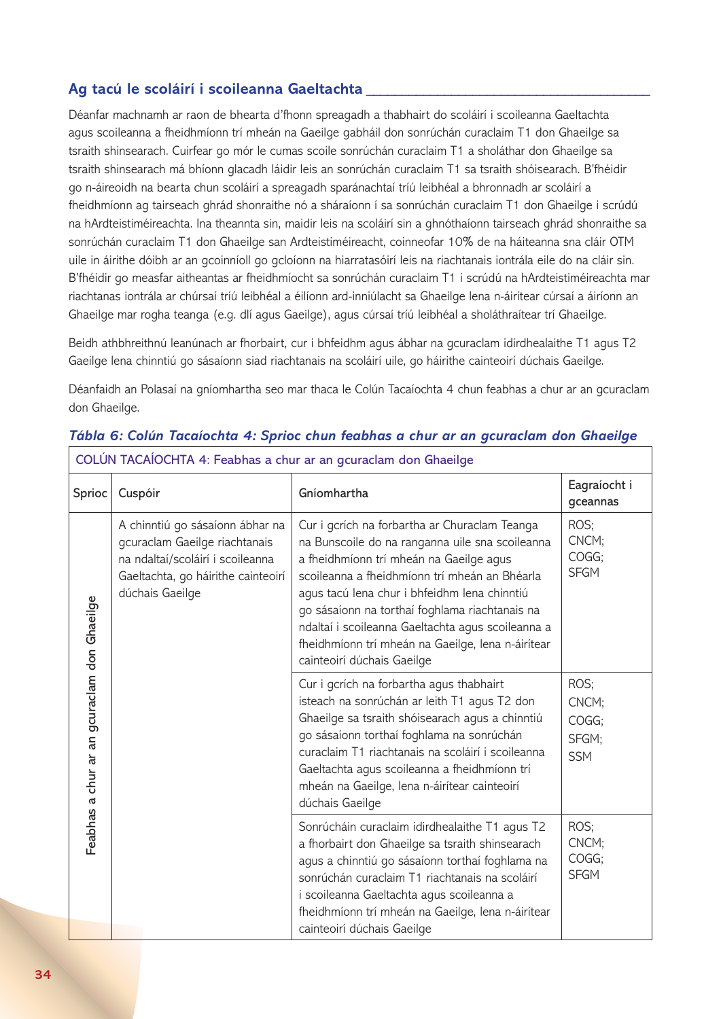## Ag tacú le scoláirí i scoileanna Gaeltachta

Déanfar machnamh ar raon de bhearta d'fhonn spreagadh a thabhairt do scoláirí i scoileanna Gaeltachta agus scoileanna a fheidhmíonn trí mheán na Gaeilge gabháil don sonrúchán curaclaim T1 don Ghaeilge sa tsraith shinsearach. Cuirfear go mór le cumas scoile sonrúchán curaclaim T1 a sholáthar don Ghaeilge sa tsraith shinsearach má bhíonn glacadh láidir leis an sonrúchán curaclaim T1 sa tsraith shóisearach. B'fhéidir go n-áireoidh na bearta chun scoláirí a spreagadh sparánachtaí tríú leibhéal a bhronnadh ar scoláirí a fheidhmíonn ag tairseach ghrád shonraithe nó a sháraíonn í sa sonrúchán curaclaim T1 don Ghaeilge i scrúdú na hArdteistiméireachta. Ina theannta sin, maidir leis na scoláirí sin a ghnóthaíonn tairseach ghrád shonraithe sa sonrúchán curaclaim T1 don Ghaeilge san Ardteistiméireacht, coinneofar 10% de na háiteanna sna cláir OTM uile in áirithe dóibh ar an gcoinníoll go gcloíonn na hiarratasóirí leis na riachtanais iontrála eile do na cláir sin. B'fhéidir go measfar aitheantas ar fheidhmíocht sa sonrúchán curaclaim T1 i scrúdú na hArdteistiméireachta mar riachtanas iontrála ar chúrsaí tríú leibhéal a éilíonn ard-inniúlacht sa Ghaeilge lena n-áirítear cúrsaí a áiríonn an Ghaeilge mar rogha teanga (e.g. dlí agus Gaeilge), agus cúrsaí tríú leibhéal a sholáthraítear trí Ghaeilge.

Beidh athbhreithnú leanúnach ar fhorbairt, cur i bhfeidhm agus ábhar na gcuraclam idirdhealaithe T1 agus T2 Gaeilge lena chinntiú go sásaíonn siad riachtanais na scoláirí uile, go háirithe cainteoirí dúchais Gaeilge.

Déanfaidh an Polasaí na gníomhartha seo mar thaca le Colún Tacaíochta 4 chun feabhas a chur ar an gcuraclam don Ghaeilge.

| Sprioc                                      | Cuspóir                                                                                                                                                       | Gníomhartha                                                                                                                                                                                                                                                                                                                                                                                                                            | Eagraíocht i<br>gceannas                      |
|---------------------------------------------|---------------------------------------------------------------------------------------------------------------------------------------------------------------|----------------------------------------------------------------------------------------------------------------------------------------------------------------------------------------------------------------------------------------------------------------------------------------------------------------------------------------------------------------------------------------------------------------------------------------|-----------------------------------------------|
| Feabhas a chur ar an gcuraclam don Ghaeilge | A chinntiú go sásaíonn ábhar na<br>gcuraclam Gaeilge riachtanais<br>na ndaltaí/scoláirí i scoileanna<br>Gaeltachta, go háirithe cainteoirí<br>dúchais Gaeilge | Cur i gcrích na forbartha ar Churaclam Teanga<br>na Bunscoile do na ranganna uile sna scoileanna<br>a fheidhmíonn trí mheán na Gaeilge agus<br>scoileanna a fheidhmíonn trí mheán an Bhéarla<br>agus tacú lena chur i bhfeidhm lena chinntiú<br>go sásaíonn na torthaí foghlama riachtanais na<br>ndaltaí i scoileanna Gaeltachta agus scoileanna a<br>fheidhmíonn trí mheán na Gaeilge, lena n-áirítear<br>cainteoirí dúchais Gaeilge | ROS;<br>CNCM;<br>COGG;<br><b>SFGM</b>         |
|                                             |                                                                                                                                                               | Cur i gcrích na forbartha agus thabhairt<br>isteach na sonrúchán ar leith T1 agus T2 don<br>Ghaeilge sa tsraith shóisearach agus a chinntiú<br>go sásaíonn torthaí foghlama na sonrúchán<br>curaclaim T1 riachtanais na scoláirí i scoileanna<br>Gaeltachta agus scoileanna a fheidhmíonn trí<br>mheán na Gaeilge, lena n-áirítear cainteoirí<br>dúchais Gaeilge                                                                       | ROS;<br>CNCM;<br>COGG:<br>SFGM;<br><b>SSM</b> |
|                                             |                                                                                                                                                               | Sonrúcháin curaclaim idirdhealaithe T1 agus T2<br>a fhorbairt don Ghaeilge sa tsraith shinsearach<br>agus a chinntiú go sásaíonn torthaí foghlama na<br>sonrúchán curaclaim T1 riachtanais na scoláirí<br>i scoileanna Gaeltachta agus scoileanna a<br>fheidhmíonn trí mheán na Gaeilge, lena n-áirítear<br>cainteoirí dúchais Gaeilge                                                                                                 | ROS;<br>CNCM;<br>COGG;<br><b>SFGM</b>         |

## *Tábla 6: Colún Tacaíochta 4: Sprioc chun feabhas a chur ar an gcuraclam don Ghaeilge*

 $\overline{\phantom{a}}$ COLÚN TACAÍOCHTA 4: Feabhas a chur ar an gcuraclam don Ghaeilge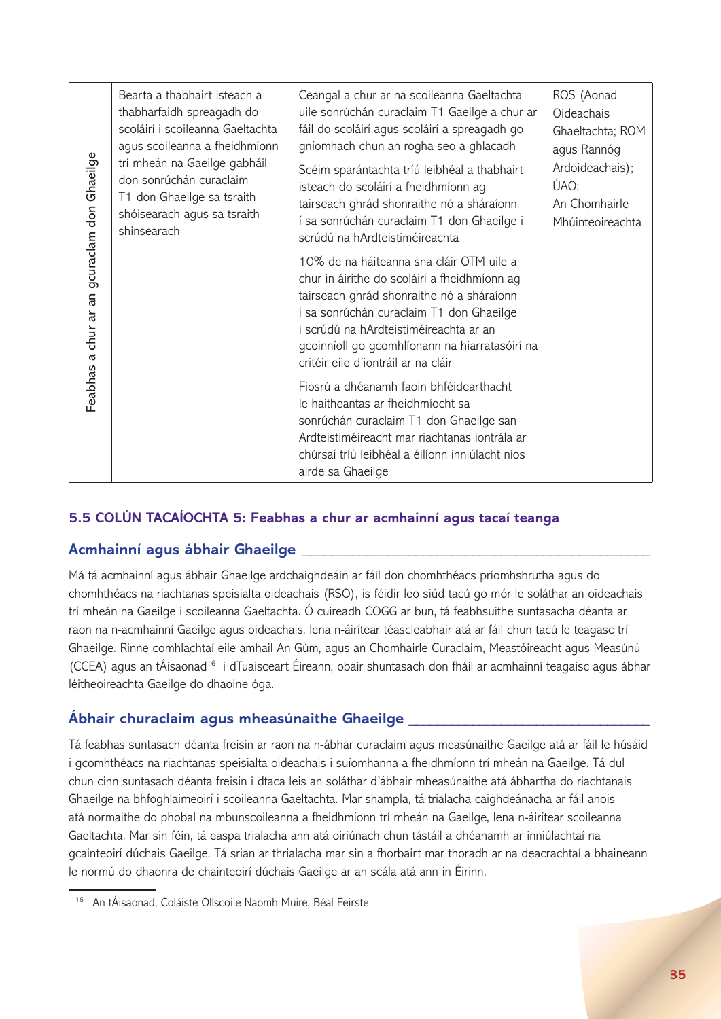|                                                                                                                                                                                                                                                                                                                                                                                                                                                                                                                                                                                                                                                                                                                                                                                                                                                                                             | Bearta a thabhairt isteach a<br>thabharfaidh spreagadh do<br>scoláirí i scoileanna Gaeltachta<br>agus scoileanna a fheidhmíonn<br>trí mheán na Gaeilge gabháil<br>don sonrúchán curaclaim<br>T1 don Ghaeilge sa tsraith<br>shóisearach agus sa tsraith<br>shinsearach | Ceangal a chur ar na scoileanna Gaeltachta<br>uile sonrúchán curaclaim T1 Gaeilge a chur ar<br>fáil do scoláirí agus scoláirí a spreagadh go<br>gníomhach chun an rogha seo a ghlacadh<br>Scéim sparántachta tríú leibhéal a thabhairt<br>isteach do scoláirí a fheidhmíonn ag<br>tairseach ghrád shonraithe nó a sháraíonn<br>í sa sonrúchán curaclaim T1 don Ghaeilge i<br>scrúdú na hArdteistiméireachta | ROS (Aonad<br>Oideachais<br>Ghaeltachta; ROM<br>agus Rannóg<br>Ardoideachais);<br>ÚAO;<br>An Chomhairle<br>Mhúinteoireachta |  |
|---------------------------------------------------------------------------------------------------------------------------------------------------------------------------------------------------------------------------------------------------------------------------------------------------------------------------------------------------------------------------------------------------------------------------------------------------------------------------------------------------------------------------------------------------------------------------------------------------------------------------------------------------------------------------------------------------------------------------------------------------------------------------------------------------------------------------------------------------------------------------------------------|-----------------------------------------------------------------------------------------------------------------------------------------------------------------------------------------------------------------------------------------------------------------------|-------------------------------------------------------------------------------------------------------------------------------------------------------------------------------------------------------------------------------------------------------------------------------------------------------------------------------------------------------------------------------------------------------------|-----------------------------------------------------------------------------------------------------------------------------|--|
| Feabhas a chur ar an gcuraclam don Ghaeilge                                                                                                                                                                                                                                                                                                                                                                                                                                                                                                                                                                                                                                                                                                                                                                                                                                                 |                                                                                                                                                                                                                                                                       | 10% de na háiteanna sna cláir OTM uile a<br>chur in áirithe do scoláirí a fheidhmíonn ag<br>tairseach ghrád shonraithe nó a sháraíonn<br>í sa sonrúchán curaclaim T1 don Ghaeilge<br>i scrúdú na hArdteistiméireachta ar an<br>gcoinníoll go gcomhlíonann na hiarratasóirí na<br>critéir eile d'iontráil ar na cláir                                                                                        |                                                                                                                             |  |
|                                                                                                                                                                                                                                                                                                                                                                                                                                                                                                                                                                                                                                                                                                                                                                                                                                                                                             |                                                                                                                                                                                                                                                                       | Fiosrú a dhéanamh faoin bhféidearthacht<br>le haitheantas ar fheidhmíocht sa<br>sonrúchán curaclaim T1 don Ghaeilge san<br>Ardteistiméireacht mar riachtanas iontrála ar<br>chúrsaí tríú leibhéal a éilíonn inniúlacht níos<br>airde sa Ghaeilge                                                                                                                                                            |                                                                                                                             |  |
|                                                                                                                                                                                                                                                                                                                                                                                                                                                                                                                                                                                                                                                                                                                                                                                                                                                                                             |                                                                                                                                                                                                                                                                       | 5.5 COLÚN TACAÍOCHTA 5: Feabhas a chur ar acmhainní agus tacaí teanga                                                                                                                                                                                                                                                                                                                                       |                                                                                                                             |  |
|                                                                                                                                                                                                                                                                                                                                                                                                                                                                                                                                                                                                                                                                                                                                                                                                                                                                                             | Acmhainní agus ábhair Ghaeilge                                                                                                                                                                                                                                        |                                                                                                                                                                                                                                                                                                                                                                                                             |                                                                                                                             |  |
| Má tá acmhainní agus ábhair Ghaeilge ardchaighdeáin ar fáil don chomhthéacs príomhshrutha agus do<br>chomhthéacs na riachtanas speisialta oideachais (RSO), is féidir leo siúd tacú go mór le soláthar an oideachais<br>rí mheán na Gaeilge i scoileanna Gaeltachta. Ó cuireadh COGG ar bun, tá feabhsuithe suntasacha déanta ar:<br>aon na n-acmhainní Gaeilge agus oideachais, lena n-áirítear téascleabhair atá ar fáil chun tacú le teagasc trí<br>Ghaeilge. Rinne comhlachtaí eile amhail An Gúm, agus an Chomhairle Curaclaim, Meastóireacht agus Measúnú<br>(CCEA) agus an tÁisaonad <sup>16</sup> i dTuaisceart Éireann, obair shuntasach don fháil ar acmhainní teagaisc agus ábhar<br>éitheoireachta Gaeilge do dhaoine óga.                                                                                                                                                      |                                                                                                                                                                                                                                                                       |                                                                                                                                                                                                                                                                                                                                                                                                             |                                                                                                                             |  |
|                                                                                                                                                                                                                                                                                                                                                                                                                                                                                                                                                                                                                                                                                                                                                                                                                                                                                             |                                                                                                                                                                                                                                                                       | Abhair churaclaim agus mheasúnaithe Ghaeilge ________________                                                                                                                                                                                                                                                                                                                                               |                                                                                                                             |  |
| Tá feabhas suntasach déanta freisin ar raon na n-ábhar curaclaim agus measúnaithe Gaeilge atá ar fáil le húsáid<br>gcomhthéacs na riachtanas speisialta oideachais i suíomhanna a fheidhmíonn trí mheán na Gaeilge. Tá dul<br>chun cinn suntasach déanta freisin i dtaca leis an soláthar d'ábhair mheasúnaithe atá ábhartha do riachtanais<br>Ghaeilge na bhfoghlaimeoirí i scoileanna Gaeltachta. Mar shampla, tá trialacha caighdeánacha ar fáil anois<br>atá normaithe do phobal na mbunscoileanna a fheidhmíonn trí mheán na Gaeilge, lena n-áirítear scoileanna<br>Gaeltachta. Mar sin féin, tá easpa trialacha ann atá oiriúnach chun tástáil a dhéanamh ar inniúlachtaí na<br>gcainteoirí dúchais Gaeilge. Tá srian ar thrialacha mar sin a fhorbairt mar thoradh ar na deacrachtaí a bhaineann<br>e normú do dhaonra de chainteoirí dúchais Gaeilge ar an scála atá ann in Éirinn. |                                                                                                                                                                                                                                                                       |                                                                                                                                                                                                                                                                                                                                                                                                             |                                                                                                                             |  |
| <sup>16</sup> An tÁisaonad, Coláiste Ollscoile Naomh Muire, Béal Feirste                                                                                                                                                                                                                                                                                                                                                                                                                                                                                                                                                                                                                                                                                                                                                                                                                    |                                                                                                                                                                                                                                                                       |                                                                                                                                                                                                                                                                                                                                                                                                             |                                                                                                                             |  |

## **5.5 COLÚN TACAÍOCHTA 5: Feabhas a chur ar acmhainní agus tacaí teanga**

## **Acmhainní agus ábhair Ghaeilge \_\_\_\_\_\_\_\_\_\_\_\_\_\_\_\_\_\_\_\_\_\_\_\_\_\_\_\_\_\_\_\_\_\_\_\_\_\_\_\_\_\_\_\_\_\_\_\_\_**

## **Ábhair churaclaim agus mheasúnaithe Ghaeilge \_\_\_\_\_\_\_\_\_\_\_\_\_\_\_\_\_\_\_\_\_\_\_\_\_\_\_\_\_\_\_\_\_\_**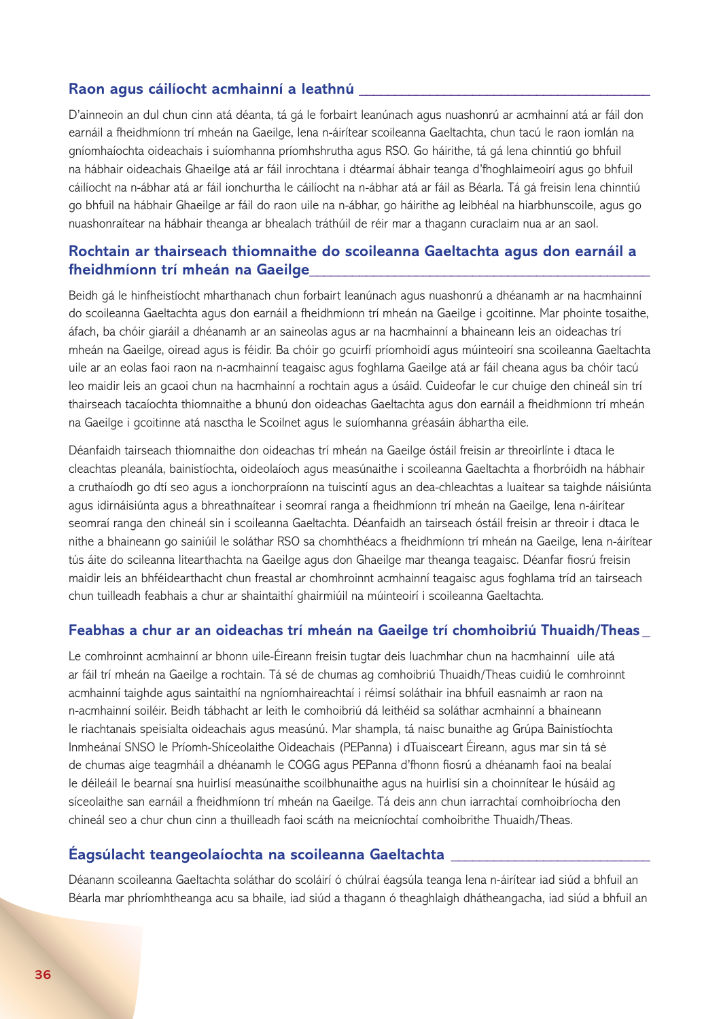#### **Raon agus cáilíocht acmhainní a leathnú \_\_\_\_\_\_\_\_\_\_\_\_\_\_\_\_\_\_\_\_\_\_\_\_\_\_\_\_\_\_\_\_\_\_\_\_\_\_\_\_\_**

D'ainneoin an dul chun cinn atá déanta, tá gá le forbairt leanúnach agus nuashonrú ar acmhainní atá ar fáil don earnáil a fheidhmíonn trí mheán na Gaeilge, lena n-áirítear scoileanna Gaeltachta, chun tacú le raon iomlán na gníomhaíochta oideachais i suíomhanna príomhshrutha agus RSO. Go háirithe, tá gá lena chinntiú go bhfuil na hábhair oideachais Ghaeilge atá ar fáil inrochtana i dtéarmaí ábhair teanga d'fhoghlaimeoirí agus go bhfuil cáilíocht na n-ábhar atá ar fáil ionchurtha le cáilíocht na n-ábhar atá ar fáil as Béarla. Tá gá freisin lena chinntiú go bhfuil na hábhair Ghaeilge ar fáil do raon uile na n-ábhar, go háirithe ag leibhéal na hiarbhunscoile, agus go nuashonraítear na hábhair theanga ar bhealach tráthúil de réir mar a thagann curaclaim nua ar an saol.

### **Rochtain ar thairseach thiomnaithe do scoileanna Gaeltachta agus don earnáil a fheidhmíonn trí mheán na Gaeilge\_\_\_\_\_\_\_\_\_\_\_\_\_\_\_\_\_\_\_\_\_\_\_\_\_\_\_\_\_\_\_\_\_\_\_\_\_\_\_\_\_\_\_\_\_\_\_\_**

Beidh gá le hinfheistíocht mharthanach chun forbairt leanúnach agus nuashonrú a dhéanamh ar na hacmhainní do scoileanna Gaeltachta agus don earnáil a fheidhmíonn trí mheán na Gaeilge i gcoitinne. Mar phointe tosaithe, áfach, ba chóir giaráil a dhéanamh ar an saineolas agus ar na hacmhainní a bhaineann leis an oideachas trí mheán na Gaeilge, oiread agus is féidir. Ba chóir go gcuirfí príomhoidí agus múinteoirí sna scoileanna Gaeltachta uile ar an eolas faoi raon na n-acmhainní teagaisc agus foghlama Gaeilge atá ar fáil cheana agus ba chóir tacú leo maidir leis an gcaoi chun na hacmhainní a rochtain agus a úsáid. Cuideofar le cur chuige den chineál sin trí thairseach tacaíochta thiomnaithe a bhunú don oideachas Gaeltachta agus don earnáil a fheidhmíonn trí mheán na Gaeilge i gcoitinne atá nasctha le Scoilnet agus le suíomhanna gréasáin ábhartha eile.

Déanfaidh tairseach thiomnaithe don oideachas trí mheán na Gaeilge óstáil freisin ar threoirlínte i dtaca le cleachtas pleanála, bainistíochta, oideolaíoch agus measúnaithe i scoileanna Gaeltachta a fhorbróidh na hábhair a cruthaíodh go dtí seo agus a ionchorpraíonn na tuiscintí agus an dea-chleachtas a luaitear sa taighde náisiúnta agus idirnáisiúnta agus a bhreathnaítear i seomraí ranga a fheidhmíonn trí mheán na Gaeilge, lena n-áirítear seomraí ranga den chineál sin i scoileanna Gaeltachta. Déanfaidh an tairseach óstáil freisin ar threoir i dtaca le nithe a bhaineann go sainiúil le soláthar RSO sa chomhthéacs a fheidhmíonn trí mheán na Gaeilge, lena n-áirítear tús áite do scileanna litearthachta na Gaeilge agus don Ghaeilge mar theanga teagaisc. Déanfar fiosrú freisin maidir leis an bhféidearthacht chun freastal ar chomhroinnt acmhainní teagaisc agus foghlama tríd an tairseach chun tuilleadh feabhais a chur ar shaintaithí ghairmiúil na múinteoirí i scoileanna Gaeltachta.

#### **Feabhas a chur ar an oideachas trí mheán na Gaeilge trí chomhoibriú Thuaidh/Theas \_**

Le comhroinnt acmhainní ar bhonn uile-Éireann freisin tugtar deis luachmhar chun na hacmhainní uile atá ar fáil trí mheán na Gaeilge a rochtain. Tá sé de chumas ag comhoibriú Thuaidh/Theas cuidiú le comhroinnt acmhainní taighde agus saintaithí na ngníomhaireachtaí i réimsí soláthair ina bhfuil easnaimh ar raon na n-acmhainní soiléir. Beidh tábhacht ar leith le comhoibriú dá leithéid sa soláthar acmhainní a bhaineann le riachtanais speisialta oideachais agus measúnú. Mar shampla, tá naisc bunaithe ag Grúpa Bainistíochta Inmheánaí SNSO le Príomh-Shíceolaithe Oideachais (PEPanna) i dTuaisceart Éireann, agus mar sin tá sé de chumas aige teagmháil a dhéanamh le COGG agus PEPanna d'fhonn fiosrú a dhéanamh faoi na bealaí le déileáil le bearnaí sna huirlisí measúnaithe scoilbhunaithe agus na huirlisí sin a choinnítear le húsáid ag síceolaithe san earnáil a fheidhmíonn trí mheán na Gaeilge. Tá deis ann chun iarrachtaí comhoibríocha den chineál seo a chur chun cinn a thuilleadh faoi scáth na meicníochtaí comhoibrithe Thuaidh/Theas.

#### **Éagsúlacht teangeolaíochta na scoileanna Gaeltachta \_\_\_\_\_\_\_\_\_\_\_\_\_\_\_\_\_\_\_\_\_\_\_\_\_\_\_\_**

Déanann scoileanna Gaeltachta soláthar do scoláirí ó chúlraí éagsúla teanga lena n-áirítear iad siúd a bhfuil an Béarla mar phríomhtheanga acu sa bhaile, iad siúd a thagann ó theaghlaigh dhátheangacha, iad siúd a bhfuil an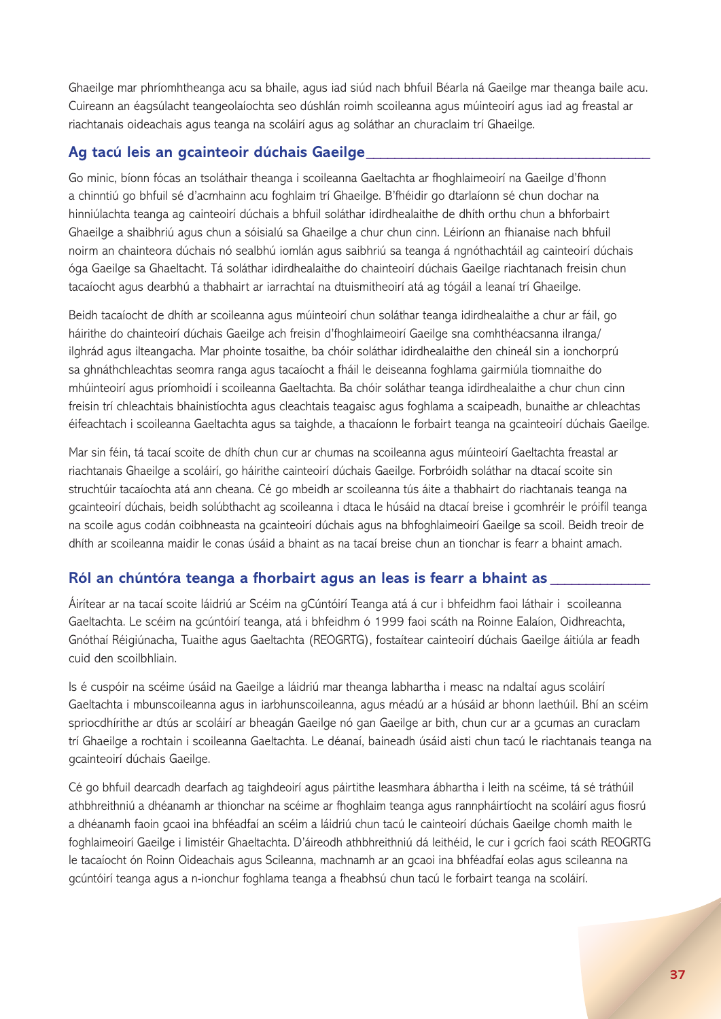Ghaeilge mar phríomhtheanga acu sa bhaile, agus iad siúd nach bhfuil Béarla ná Gaeilge mar theanga baile acu. Cuireann an éagsúlacht teangeolaíochta seo dúshlán roimh scoileanna agus múinteoirí agus iad ag freastal ar riachtanais oideachais agus teanga na scoláirí agus ag soláthar an churaclaim trí Ghaeilge.

#### **Ag tacú leis an gcainteoir dúchais Gaeilge\_\_\_\_\_\_\_\_\_\_\_\_\_\_\_\_\_\_\_\_\_\_\_\_\_\_\_\_\_\_\_\_\_\_\_\_\_\_\_\_**

Go minic, bíonn fócas an tsoláthair theanga i scoileanna Gaeltachta ar fhoghlaimeoirí na Gaeilge d'fhonn a chinntiú go bhfuil sé d'acmhainn acu foghlaim trí Ghaeilge. B'fhéidir go dtarlaíonn sé chun dochar na hinniúlachta teanga ag cainteoirí dúchais a bhfuil soláthar idirdhealaithe de dhíth orthu chun a bhforbairt Ghaeilge a shaibhriú agus chun a sóisialú sa Ghaeilge a chur chun cinn. Léiríonn an fhianaise nach bhfuil noirm an chainteora dúchais nó sealbhú iomlán agus saibhriú sa teanga á ngnóthachtáil ag cainteoirí dúchais óga Gaeilge sa Ghaeltacht. Tá soláthar idirdhealaithe do chainteoirí dúchais Gaeilge riachtanach freisin chun tacaíocht agus dearbhú a thabhairt ar iarrachtaí na dtuismitheoirí atá ag tógáil a leanaí trí Ghaeilge.

Beidh tacaíocht de dhíth ar scoileanna agus múinteoirí chun soláthar teanga idirdhealaithe a chur ar fáil, go háirithe do chainteoirí dúchais Gaeilge ach freisin d'fhoghlaimeoirí Gaeilge sna comhthéacsanna ilranga/ ilghrád agus ilteangacha. Mar phointe tosaithe, ba chóir soláthar idirdhealaithe den chineál sin a ionchorprú sa ghnáthchleachtas seomra ranga agus tacaíocht a fháil le deiseanna foghlama gairmiúla tiomnaithe do mhúinteoirí agus príomhoidí i scoileanna Gaeltachta. Ba chóir soláthar teanga idirdhealaithe a chur chun cinn freisin trí chleachtais bhainistíochta agus cleachtais teagaisc agus foghlama a scaipeadh, bunaithe ar chleachtas éifeachtach i scoileanna Gaeltachta agus sa taighde, a thacaíonn le forbairt teanga na gcainteoirí dúchais Gaeilge.

Mar sin féin, tá tacaí scoite de dhíth chun cur ar chumas na scoileanna agus múinteoirí Gaeltachta freastal ar riachtanais Ghaeilge a scoláirí, go háirithe cainteoirí dúchais Gaeilge. Forbróidh soláthar na dtacaí scoite sin struchtúir tacaíochta atá ann cheana. Cé go mbeidh ar scoileanna tús áite a thabhairt do riachtanais teanga na gcainteoirí dúchais, beidh solúbthacht ag scoileanna i dtaca le húsáid na dtacaí breise i gcomhréir le próifíl teanga na scoile agus codán coibhneasta na gcainteoirí dúchais agus na bhfoghlaimeoirí Gaeilge sa scoil. Beidh treoir de dhíth ar scoileanna maidir le conas úsáid a bhaint as na tacaí breise chun an tionchar is fearr a bhaint amach.

## **Ról an chúntóra teanga a fhorbairt agus an leas is fearr a bhaint as \_\_\_\_\_\_\_\_\_\_\_\_\_\_**

Áirítear ar na tacaí scoite láidriú ar Scéim na gCúntóirí Teanga atá á cur i bhfeidhm faoi láthair i scoileanna Gaeltachta. Le scéim na gcúntóirí teanga, atá i bhfeidhm ó 1999 faoi scáth na Roinne Ealaíon, Oidhreachta, Gnóthaí Réigiúnacha, Tuaithe agus Gaeltachta (REOGRTG), fostaítear cainteoirí dúchais Gaeilge áitiúla ar feadh cuid den scoilbhliain.

Is é cuspóir na scéime úsáid na Gaeilge a láidriú mar theanga labhartha i measc na ndaltaí agus scoláirí Gaeltachta i mbunscoileanna agus in iarbhunscoileanna, agus méadú ar a húsáid ar bhonn laethúil. Bhí an scéim spriocdhírithe ar dtús ar scoláirí ar bheagán Gaeilge nó gan Gaeilge ar bith, chun cur ar a gcumas an curaclam trí Ghaeilge a rochtain i scoileanna Gaeltachta. Le déanaí, baineadh úsáid aisti chun tacú le riachtanais teanga na gcainteoirí dúchais Gaeilge.

Cé go bhfuil dearcadh dearfach ag taighdeoirí agus páirtithe leasmhara ábhartha i leith na scéime, tá sé tráthúil athbhreithniú a dhéanamh ar thionchar na scéime ar fhoghlaim teanga agus rannpháirtíocht na scoláirí agus fiosrú a dhéanamh faoin gcaoi ina bhféadfaí an scéim a láidriú chun tacú le cainteoirí dúchais Gaeilge chomh maith le foghlaimeoirí Gaeilge i limistéir Ghaeltachta. D'áireodh athbhreithniú dá leithéid, le cur i gcrích faoi scáth REOGRTG le tacaíocht ón Roinn Oideachais agus Scileanna, machnamh ar an gcaoi ina bhféadfaí eolas agus scileanna na gcúntóirí teanga agus a n-ionchur foghlama teanga a fheabhsú chun tacú le forbairt teanga na scoláirí.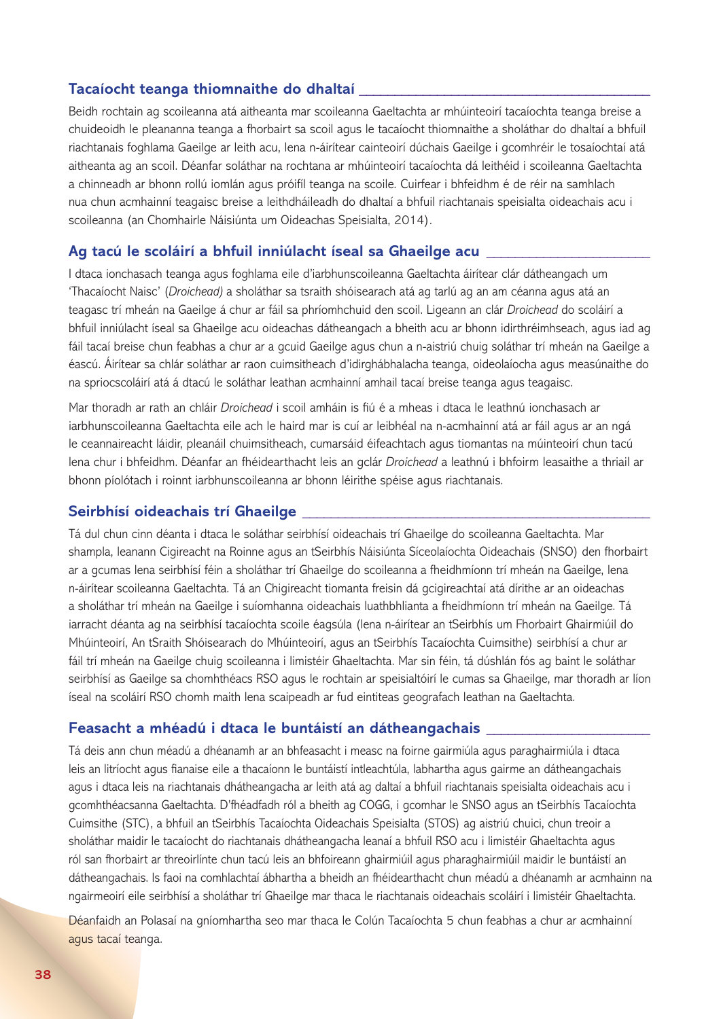#### **Tacaíocht teanga thiomnaithe do dhaltaí \_\_\_\_\_\_\_\_\_\_\_\_\_\_\_\_\_\_\_\_\_\_\_\_\_\_\_\_\_\_\_\_\_\_\_\_\_\_\_\_\_**

Beidh rochtain ag scoileanna atá aitheanta mar scoileanna Gaeltachta ar mhúinteoirí tacaíochta teanga breise a chuideoidh le pleananna teanga a fhorbairt sa scoil agus le tacaíocht thiomnaithe a sholáthar do dhaltaí a bhfuil riachtanais foghlama Gaeilge ar leith acu, lena n-áirítear cainteoirí dúchais Gaeilge i gcomhréir le tosaíochtaí atá aitheanta ag an scoil. Déanfar soláthar na rochtana ar mhúinteoirí tacaíochta dá leithéid i scoileanna Gaeltachta a chinneadh ar bhonn rollú iomlán agus próifíl teanga na scoile. Cuirfear i bhfeidhm é de réir na samhlach nua chun acmhainní teagaisc breise a leithdháileadh do dhaltaí a bhfuil riachtanais speisialta oideachais acu i scoileanna (an Chomhairle Náisiúnta um Oideachas Speisialta, 2014).

#### **Ag tacú le scoláirí a bhfuil inniúlacht íseal sa Ghaeilge acu \_\_\_\_\_\_\_\_\_\_\_\_\_\_\_\_\_\_\_\_\_\_\_**

I dtaca ionchasach teanga agus foghlama eile d'iarbhunscoileanna Gaeltachta áirítear clár dátheangach um 'Thacaíocht Naisc' (*Droichead)* a sholáthar sa tsraith shóisearach atá ag tarlú ag an am céanna agus atá an teagasc trí mheán na Gaeilge á chur ar fáil sa phríomhchuid den scoil. Ligeann an clár *Droichead* do scoláirí a bhfuil inniúlacht íseal sa Ghaeilge acu oideachas dátheangach a bheith acu ar bhonn idirthréimhseach, agus iad ag fáil tacaí breise chun feabhas a chur ar a gcuid Gaeilge agus chun a n-aistriú chuig soláthar trí mheán na Gaeilge a éascú. Áirítear sa chlár soláthar ar raon cuimsitheach d'idirghábhalacha teanga, oideolaíocha agus measúnaithe do na spriocscoláirí atá á dtacú le soláthar leathan acmhainní amhail tacaí breise teanga agus teagaisc.

Mar thoradh ar rath an chláir *Droichead* i scoil amháin is fiú é a mheas i dtaca le leathnú ionchasach ar iarbhunscoileanna Gaeltachta eile ach le haird mar is cuí ar leibhéal na n-acmhainní atá ar fáil agus ar an ngá le ceannaireacht láidir, pleanáil chuimsitheach, cumarsáid éifeachtach agus tiomantas na múinteoirí chun tacú lena chur i bhfeidhm. Déanfar an fhéidearthacht leis an gclár *Droichead* a leathnú i bhfoirm leasaithe a thriail ar bhonn píolótach i roinnt iarbhunscoileanna ar bhonn léirithe spéise agus riachtanais.

#### **Seirbhísí oideachais trí Ghaeilge \_\_\_\_\_\_\_\_\_\_\_\_\_\_\_\_\_\_\_\_\_\_\_\_\_\_\_\_\_\_\_\_\_\_\_\_\_\_\_\_\_\_\_\_\_\_\_\_\_**

Tá dul chun cinn déanta i dtaca le soláthar seirbhísí oideachais trí Ghaeilge do scoileanna Gaeltachta. Mar shampla, leanann Cigireacht na Roinne agus an tSeirbhís Náisiúnta Síceolaíochta Oideachais (SNSO) den fhorbairt ar a gcumas lena seirbhísí féin a sholáthar trí Ghaeilge do scoileanna a fheidhmíonn trí mheán na Gaeilge, lena n-áirítear scoileanna Gaeltachta. Tá an Chigireacht tiomanta freisin dá gcigireachtaí atá dírithe ar an oideachas a sholáthar trí mheán na Gaeilge i suíomhanna oideachais luathbhlianta a fheidhmíonn trí mheán na Gaeilge. Tá iarracht déanta ag na seirbhísí tacaíochta scoile éagsúla (lena n-áirítear an tSeirbhís um Fhorbairt Ghairmiúil do Mhúinteoirí, An tSraith Shóisearach do Mhúinteoirí, agus an tSeirbhís Tacaíochta Cuimsithe) seirbhísí a chur ar fáil trí mheán na Gaeilge chuig scoileanna i limistéir Ghaeltachta. Mar sin féin, tá dúshlán fós ag baint le soláthar seirbhísí as Gaeilge sa chomhthéacs RSO agus le rochtain ar speisialtóirí le cumas sa Ghaeilge, mar thoradh ar líon íseal na scoláirí RSO chomh maith lena scaipeadh ar fud eintiteas geografach leathan na Gaeltachta.

#### **Feasacht a mhéadú i dtaca le buntáistí an dátheangachais \_\_\_\_\_\_\_\_\_\_\_\_\_\_\_\_\_\_\_\_\_\_\_**

Tá deis ann chun méadú a dhéanamh ar an bhfeasacht i measc na foirne gairmiúla agus paraghairmiúla i dtaca leis an litríocht agus fianaise eile a thacaíonn le buntáistí intleachtúla, labhartha agus gairme an dátheangachais agus i dtaca leis na riachtanais dhátheangacha ar leith atá ag daltaí a bhfuil riachtanais speisialta oideachais acu i gcomhthéacsanna Gaeltachta. D'fhéadfadh ról a bheith ag COGG, i gcomhar le SNSO agus an tSeirbhís Tacaíochta Cuimsithe (STC), a bhfuil an tSeirbhís Tacaíochta Oideachais Speisialta (STOS) ag aistriú chuici, chun treoir a sholáthar maidir le tacaíocht do riachtanais dhátheangacha leanaí a bhfuil RSO acu i limistéir Ghaeltachta agus ról san fhorbairt ar threoirlínte chun tacú leis an bhfoireann ghairmiúil agus pharaghairmiúil maidir le buntáistí an dátheangachais. Is faoi na comhlachtaí ábhartha a bheidh an fhéidearthacht chun méadú a dhéanamh ar acmhainn na ngairmeoirí eile seirbhísí a sholáthar trí Ghaeilge mar thaca le riachtanais oideachais scoláirí i limistéir Ghaeltachta.

Déanfaidh an Polasaí na gníomhartha seo mar thaca le Colún Tacaíochta 5 chun feabhas a chur ar acmhainní agus tacaí teanga.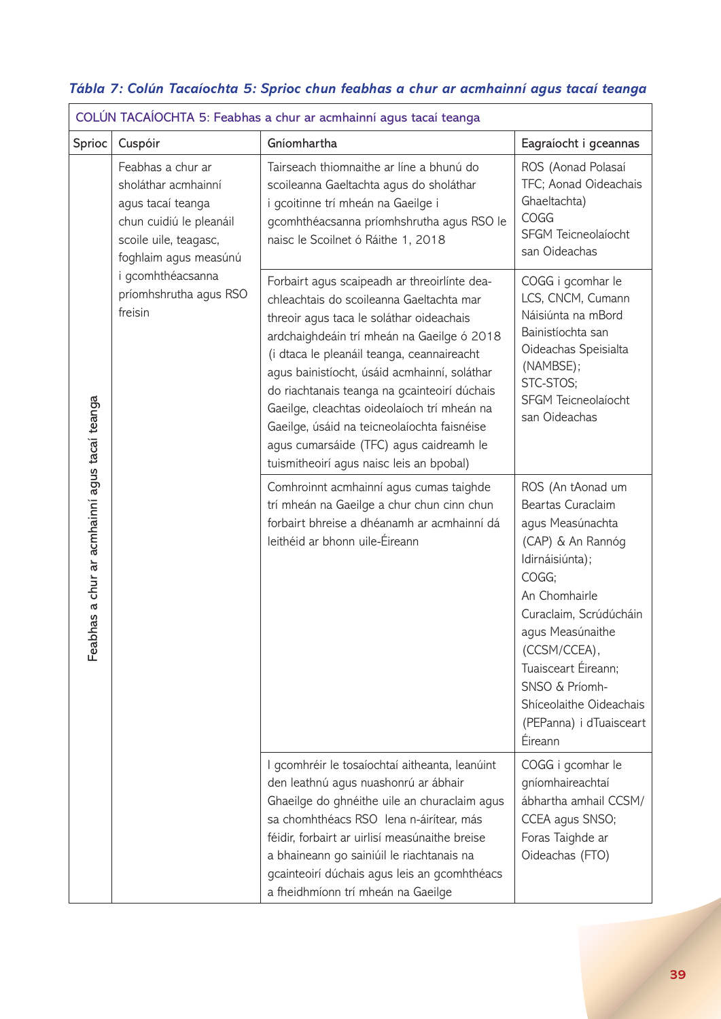|                                               | COLÚN TACAÍOCHTA 5: Feabhas a chur ar acmhainní agus tacaí teanga                                                                                                                                    |                                                                                                                                                                                                                                                                                                                                                                                                                                                                                                                       |                                                                                                                                                                                                                                                                                                     |  |  |
|-----------------------------------------------|------------------------------------------------------------------------------------------------------------------------------------------------------------------------------------------------------|-----------------------------------------------------------------------------------------------------------------------------------------------------------------------------------------------------------------------------------------------------------------------------------------------------------------------------------------------------------------------------------------------------------------------------------------------------------------------------------------------------------------------|-----------------------------------------------------------------------------------------------------------------------------------------------------------------------------------------------------------------------------------------------------------------------------------------------------|--|--|
| Sprioc                                        | Cuspóir                                                                                                                                                                                              | Gníomhartha                                                                                                                                                                                                                                                                                                                                                                                                                                                                                                           | Eagraíocht i gceannas                                                                                                                                                                                                                                                                               |  |  |
| Feabhas a chur ar acmhainní agus tacaí teanga | Feabhas a chur ar<br>sholáthar acmhainní<br>agus tacaí teanga<br>chun cuidiú le pleanáil<br>scoile uile, teagasc,<br>foghlaim agus measúnú<br>i gcomhthéacsanna<br>príomhshrutha agus RSO<br>freisin | Tairseach thiomnaithe ar líne a bhunú do<br>scoileanna Gaeltachta agus do sholáthar<br>i gcoitinne trí mheán na Gaeilge i<br>gcomhthéacsanna príomhshrutha agus RSO le<br>naisc le Scoilnet ó Ráithe 1, 2018                                                                                                                                                                                                                                                                                                          | ROS (Aonad Polasaí<br>TFC; Aonad Oideachais<br>Ghaeltachta)<br>COGG<br>SFGM Teicneolaíocht<br>san Oideachas                                                                                                                                                                                         |  |  |
|                                               |                                                                                                                                                                                                      | Forbairt agus scaipeadh ar threoirlínte dea-<br>chleachtais do scoileanna Gaeltachta mar<br>threoir agus taca le soláthar oideachais<br>ardchaighdeáin trí mheán na Gaeilge ó 2018<br>(i dtaca le pleanáil teanga, ceannaireacht<br>agus bainistíocht, úsáid acmhainní, soláthar<br>do riachtanais teanga na gcainteoirí dúchais<br>Gaeilge, cleachtas oideolaíoch trí mheán na<br>Gaeilge, úsáid na teicneolaíochta faisnéise<br>agus cumarsáide (TFC) agus caidreamh le<br>tuismitheoirí agus naisc leis an bpobal) | COGG i gcomhar le<br>LCS, CNCM, Cumann<br>Náisiúnta na mBord<br>Bainistíochta san<br>Oideachas Speisialta<br>(NAMBSE);<br>STC-STOS;<br>SFGM Teicneolaíocht<br>san Oideachas                                                                                                                         |  |  |
|                                               |                                                                                                                                                                                                      | Comhroinnt acmhainní agus cumas taighde<br>trí mheán na Gaeilge a chur chun cinn chun<br>forbairt bhreise a dhéanamh ar acmhainní dá<br>leithéid ar bhonn uile-Éireann                                                                                                                                                                                                                                                                                                                                                | ROS (An tAonad um<br>Beartas Curaclaim<br>agus Measúnachta<br>(CAP) & An Rannóg<br>Idirnáisiúnta);<br>COGG;<br>An Chomhairle<br>Curaclaim, Scrúdúcháin<br>agus Measúnaithe<br>(CCSM/CCEA)<br>Tuaisceart Éireann;<br>SNSO & Príomh-<br>Shíceolaithe Oideachais<br>(PEPanna) i dTuaisceart<br>Éireann |  |  |
|                                               |                                                                                                                                                                                                      | I gcomhréir le tosaíochtaí aitheanta, leanúint<br>den leathnú agus nuashonrú ar ábhair<br>Ghaeilge do ghnéithe uile an churaclaim agus<br>sa chomhthéacs RSO lena n-áirítear, más<br>féidir, forbairt ar uirlisí measúnaithe breise<br>a bhaineann go sainiúil le riachtanais na<br>gcainteoirí dúchais agus leis an gcomhthéacs<br>a fheidhmíonn trí mheán na Gaeilge                                                                                                                                                | COGG i gcomhar le<br>gníomhaireachtaí<br>ábhartha amhail CCSM/<br>CCEA agus SNSO;<br>Foras Taighde ar<br>Oideachas (FTO)                                                                                                                                                                            |  |  |

## *Tábla 7: Colún Tacaíochta 5: Sprioc chun feabhas a chur ar acmhainní agus tacaí teanga*  $\Gamma$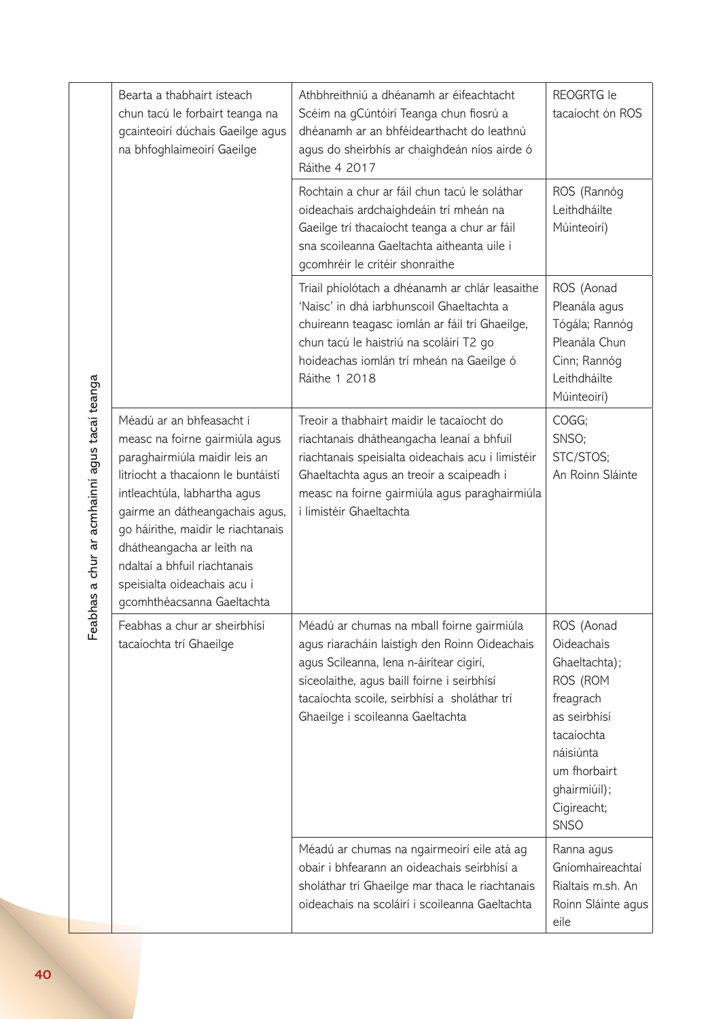| Feabhas a chur ar acmhainní agus tacaí teanga | Bearta a thabhairt isteach<br>chun tacú le forbairt teanga na<br>gcainteoirí dúchais Gaeilge agus<br>na bhfoghlaimeoirí Gaeilge                                                                                                                                                                                                                                     | Athbhreithniú a dhéanamh ar éifeachtacht<br>Scéim na gCúntóirí Teanga chun fiosrú a<br>dhéanamh ar an bhféidearthacht do leathnú<br>agus do sheirbhís ar chaighdeán níos airde ó<br>Ráithe 4 2017                                                                       | <b>REOGRTG</b> le<br>tacaíocht ón ROS                                                                                                                                       |
|-----------------------------------------------|---------------------------------------------------------------------------------------------------------------------------------------------------------------------------------------------------------------------------------------------------------------------------------------------------------------------------------------------------------------------|-------------------------------------------------------------------------------------------------------------------------------------------------------------------------------------------------------------------------------------------------------------------------|-----------------------------------------------------------------------------------------------------------------------------------------------------------------------------|
|                                               |                                                                                                                                                                                                                                                                                                                                                                     | Rochtain a chur ar fáil chun tacú le soláthar<br>oideachais ardchaighdeáin trí mheán na<br>Gaeilge trí thacaíocht teanga a chur ar fáil<br>sna scoileanna Gaeltachta aitheanta uile i<br>gcomhréir le critéir shonraithe                                                | ROS (Rannóg<br>Leithdháilte<br>Múinteoirí)                                                                                                                                  |
|                                               |                                                                                                                                                                                                                                                                                                                                                                     | Triail phíolótach a dhéanamh ar chlár leasaithe<br>'Naisc' in dhá iarbhunscoil Ghaeltachta a<br>chuireann teagasc iomlán ar fáil trí Ghaeilge,<br>chun tacú le haistriú na scoláirí T2 go<br>hoideachas iomlán trí mheán na Gaeilge ó<br>Ráithe 1 2018                  | ROS (Aonad<br>Pleanála agus<br>Tógála; Rannóg<br>Pleanála Chun<br>Cinn; Rannóg<br>Leithdháilte<br>Múinteoirí)                                                               |
|                                               | Méadú ar an bhfeasacht i<br>measc na foirne gairmiúla agus<br>paraghairmiúla maidir leis an<br>litríocht a thacaíonn le buntáistí<br>intleachtúla, labhartha agus<br>gairme an dátheangachais agus,<br>go háirithe, maidir le riachtanais<br>dhátheangacha ar leith na<br>ndaltaí a bhfuil riachtanais<br>speisialta oideachais acu i<br>gcomhthéacsanna Gaeltachta | Treoir a thabhairt maidir le tacaíocht do<br>riachtanais dhátheangacha leanaí a bhfuil<br>riachtanais speisialta oideachais acu i limistéir<br>Ghaeltachta agus an treoir a scaipeadh i<br>measc na foirne gairmiúla agus paraghairmiúla<br>i limistéir Ghaeltachta     | COGG;<br>SNSO;<br>STC/STOS;<br>An Roinn Sláinte                                                                                                                             |
|                                               | Feabhas a chur ar sheirbhísí<br>tacaíochta trí Ghaeilge                                                                                                                                                                                                                                                                                                             | Méadú ar chumas na mball foirne gairmiúla<br>agus riaracháin laistigh den Roinn Oideachais<br>agus Scileanna, lena n-áirítear cigirí,<br>síceolaithe, agus baill foirne i seirbhísí<br>tacaíochta scoile, seirbhísí a sholáthar trí<br>Ghaeilge i scoileanna Gaeltachta | ROS (Aonad<br>Oideachais<br>Ghaeltachta);<br>ROS (ROM<br>freagrach<br>as seirbhísí<br>tacaíochta<br>náisiúnta<br>um fhorbairt<br>ghairmiúil);<br>Cigireacht;<br><b>SNSO</b> |
|                                               |                                                                                                                                                                                                                                                                                                                                                                     | Méadú ar chumas na ngairmeoirí eile atá ag<br>obair i bhfearann an oideachais seirbhísí a<br>sholáthar trí Ghaeilge mar thaca le riachtanais<br>oideachais na scoláirí i scoileanna Gaeltachta                                                                          | Ranna agus<br>Gníomhaireachtaí<br>Rialtais m.sh. An<br>Roinn Sláinte agus<br>eile                                                                                           |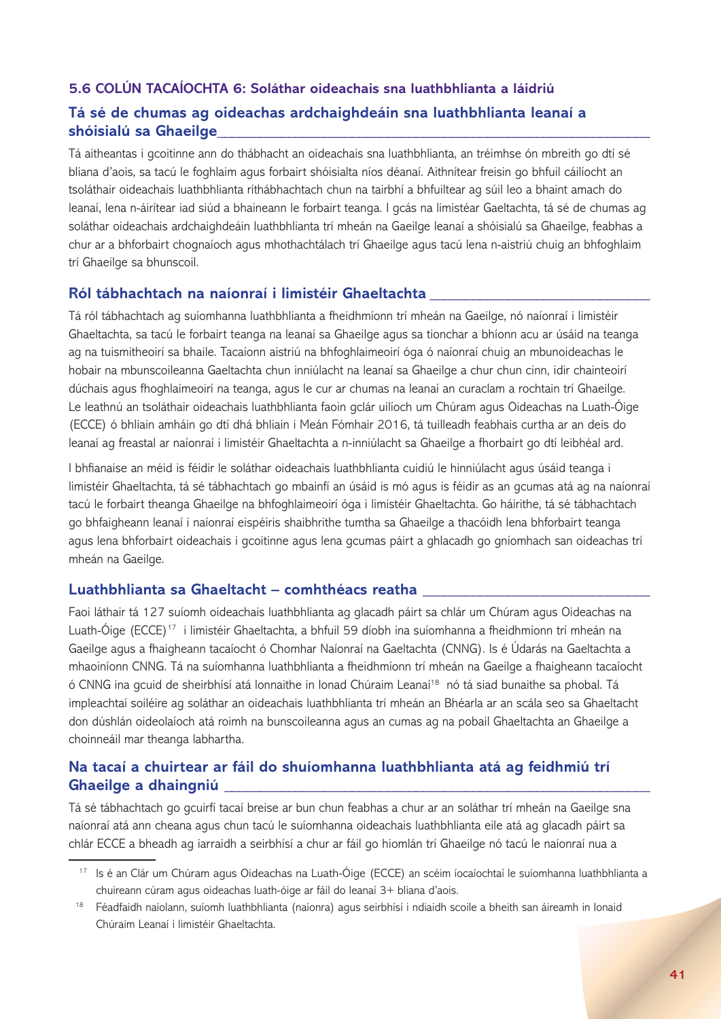## **5.6 COLÚN TACAÍOCHTA 6: Soláthar oideachais sna luathbhlianta a láidriú Tá sé de chumas ag oideachas ardchaighdeáin sna luathbhlianta leanaí a shóisialú sa Ghaeilge\_\_\_\_\_\_\_\_\_\_\_\_\_\_\_\_\_\_\_\_\_\_\_\_\_\_\_\_\_\_\_\_\_\_\_\_\_\_\_\_\_\_\_\_\_\_\_\_\_\_\_\_\_\_\_\_\_\_\_\_\_**

Tá aitheantas i gcoitinne ann do thábhacht an oideachais sna luathbhlianta, an tréimhse ón mbreith go dtí sé bliana d'aois, sa tacú le foghlaim agus forbairt shóisialta níos déanaí. Aithnítear freisin go bhfuil cáilíocht an tsoláthair oideachais luathbhlianta ríthábhachtach chun na tairbhí a bhfuiltear ag súil leo a bhaint amach do leanaí, lena n-áirítear iad siúd a bhaineann le forbairt teanga. I gcás na limistéar Gaeltachta, tá sé de chumas ag soláthar oideachais ardchaighdeáin luathbhlianta trí mheán na Gaeilge leanaí a shóisialú sa Ghaeilge, feabhas a chur ar a bhforbairt chognaíoch agus mhothachtálach trí Ghaeilge agus tacú lena n-aistriú chuig an bhfoghlaim trí Ghaeilge sa bhunscoil.

## **Ról tábhachtach na naíonraí i limistéir Ghaeltachta \_\_\_\_\_\_\_\_\_\_\_\_\_\_\_\_\_\_\_\_\_\_\_\_\_\_\_\_\_\_\_**

Tá ról tábhachtach ag suíomhanna luathbhlianta a fheidhmíonn trí mheán na Gaeilge, nó naíonraí i limistéir Ghaeltachta, sa tacú le forbairt teanga na leanaí sa Ghaeilge agus sa tionchar a bhíonn acu ar úsáid na teanga ag na tuismitheoirí sa bhaile. Tacaíonn aistriú na bhfoghlaimeoirí óga ó naíonraí chuig an mbunoideachas le hobair na mbunscoileanna Gaeltachta chun inniúlacht na leanaí sa Ghaeilge a chur chun cinn, idir chainteoirí dúchais agus fhoghlaimeoirí na teanga, agus le cur ar chumas na leanaí an curaclam a rochtain trí Ghaeilge. Le leathnú an tsoláthair oideachais luathbhlianta faoin gclár uilíoch um Chúram agus Oideachas na Luath-Óige (ECCE) ó bhliain amháin go dtí dhá bhliain i Meán Fómhair 2016, tá tuilleadh feabhais curtha ar an deis do leanaí ag freastal ar naíonraí i limistéir Ghaeltachta a n-inniúlacht sa Ghaeilge a fhorbairt go dtí leibhéal ard.

I bhfianaise an méid is féidir le soláthar oideachais luathbhlianta cuidiú le hinniúlacht agus úsáid teanga i limistéir Ghaeltachta, tá sé tábhachtach go mbainfí an úsáid is mó agus is féidir as an gcumas atá ag na naíonraí tacú le forbairt theanga Ghaeilge na bhfoghlaimeoirí óga i limistéir Ghaeltachta. Go háirithe, tá sé tábhachtach go bhfaigheann leanaí i naíonraí eispéiris shaibhrithe tumtha sa Ghaeilge a thacóidh lena bhforbairt teanga agus lena bhforbairt oideachais i gcoitinne agus lena gcumas páirt a ghlacadh go gníomhach san oideachas trí mheán na Gaeilge.

## **Luathbhlianta sa Ghaeltacht – comhthéacs reatha \_\_\_\_\_\_\_\_\_\_\_\_\_\_\_\_\_\_\_\_\_\_\_\_\_\_\_\_\_\_\_\_**

Faoi láthair tá 127 suíomh oideachais luathbhlianta ag glacadh páirt sa chlár um Chúram agus Oideachas na Luath-Óige (ECCE)<sup>17</sup> i limistéir Ghaeltachta, a bhfuil 59 díobh ina suíomhanna a fheidhmíonn trí mheán na Gaeilge agus a fhaigheann tacaíocht ó Chomhar Naíonraí na Gaeltachta (CNNG). Is é Údarás na Gaeltachta a mhaoiníonn CNNG. Tá na suíomhanna luathbhlianta a fheidhmíonn trí mheán na Gaeilge a fhaigheann tacaíocht ó CNNG ina gcuid de sheirbhísí atá lonnaithe in lonad Chúraim Leanaí<sup>18</sup> nó tá siad bunaithe sa phobal. Tá impleachtaí soiléire ag soláthar an oideachais luathbhlianta trí mheán an Bhéarla ar an scála seo sa Ghaeltacht don dúshlán oideolaíoch atá roimh na bunscoileanna agus an cumas ag na pobail Ghaeltachta an Ghaeilge a choinneáil mar theanga labhartha.

## **Na tacaí a chuirtear ar fáil do shuíomhanna luathbhlianta atá ag feidhmiú trí Ghaeilge a dhaingniú \_\_\_\_\_\_\_\_\_\_\_\_\_\_\_\_\_\_\_\_\_\_\_\_\_\_\_\_\_\_\_\_\_\_\_\_\_\_\_\_\_\_\_\_\_\_\_\_\_\_\_\_\_\_\_\_\_\_\_\_**

Tá sé tábhachtach go gcuirfí tacaí breise ar bun chun feabhas a chur ar an soláthar trí mheán na Gaeilge sna naíonraí atá ann cheana agus chun tacú le suíomhanna oideachais luathbhlianta eile atá ag glacadh páirt sa chlár ECCE a bheadh ag iarraidh a seirbhísí a chur ar fáil go hiomlán trí Ghaeilge nó tacú le naíonraí nua a

<sup>17</sup> Is é an Clár um Chúram agus Oideachas na Luath-Óige (ECCE) an scéim íocaíochtaí le suíomhanna luathbhlianta a chuireann cúram agus oideachas luath-óige ar fáil do leanaí 3+ bliana d'aois.

<sup>&</sup>lt;sup>18</sup> Féadfaidh naíolann, suíomh luathbhlianta (naíonra) agus seirbhísí i ndiaidh scoile a bheith san áireamh in Ionaid Chúraim Leanaí i limistéir Ghaeltachta.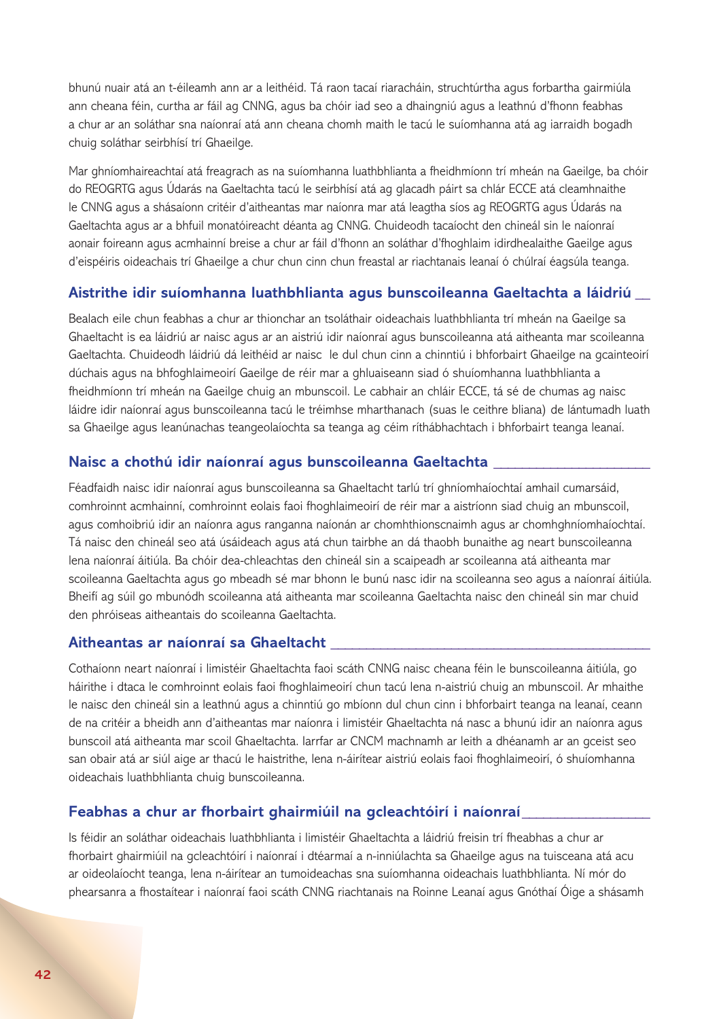bhunú nuair atá an t-éileamh ann ar a leithéid. Tá raon tacaí riaracháin, struchtúrtha agus forbartha gairmiúla ann cheana féin, curtha ar fáil ag CNNG, agus ba chóir iad seo a dhaingniú agus a leathnú d'fhonn feabhas a chur ar an soláthar sna naíonraí atá ann cheana chomh maith le tacú le suíomhanna atá ag iarraidh bogadh chuig soláthar seirbhísí trí Ghaeilge.

Mar ghníomhaireachtaí atá freagrach as na suíomhanna luathbhlianta a fheidhmíonn trí mheán na Gaeilge, ba chóir do REOGRTG agus Údarás na Gaeltachta tacú le seirbhísí atá ag glacadh páirt sa chlár ECCE atá cleamhnaithe le CNNG agus a shásaíonn critéir d'aitheantas mar naíonra mar atá leagtha síos ag REOGRTG agus Údarás na Gaeltachta agus ar a bhfuil monatóireacht déanta ag CNNG. Chuideodh tacaíocht den chineál sin le naíonraí aonair foireann agus acmhainní breise a chur ar fáil d'fhonn an soláthar d'fhoghlaim idirdhealaithe Gaeilge agus d'eispéiris oideachais trí Ghaeilge a chur chun cinn chun freastal ar riachtanais leanaí ó chúlraí éagsúla teanga.

#### **Aistrithe idir suíomhanna luathbhlianta agus bunscoileanna Gaeltachta a láidriú \_\_**

Bealach eile chun feabhas a chur ar thionchar an tsoláthair oideachais luathbhlianta trí mheán na Gaeilge sa Ghaeltacht is ea láidriú ar naisc agus ar an aistriú idir naíonraí agus bunscoileanna atá aitheanta mar scoileanna Gaeltachta. Chuideodh láidriú dá leithéid ar naisc le dul chun cinn a chinntiú i bhforbairt Ghaeilge na gcainteoirí dúchais agus na bhfoghlaimeoirí Gaeilge de réir mar a ghluaiseann siad ó shuíomhanna luathbhlianta a fheidhmíonn trí mheán na Gaeilge chuig an mbunscoil. Le cabhair an chláir ECCE, tá sé de chumas ag naisc láidre idir naíonraí agus bunscoileanna tacú le tréimhse mharthanach (suas le ceithre bliana) de lántumadh luath sa Ghaeilge agus leanúnachas teangeolaíochta sa teanga ag céim ríthábhachtach i bhforbairt teanga leanaí.

#### **Naisc a chothú idir naíonraí agus bunscoileanna Gaeltachta \_\_\_\_\_\_\_\_\_\_\_\_\_\_\_\_\_\_\_\_\_\_**

Féadfaidh naisc idir naíonraí agus bunscoileanna sa Ghaeltacht tarlú trí ghníomhaíochtaí amhail cumarsáid, comhroinnt acmhainní, comhroinnt eolais faoi fhoghlaimeoirí de réir mar a aistríonn siad chuig an mbunscoil, agus comhoibriú idir an naíonra agus ranganna naíonán ar chomhthionscnaimh agus ar chomhghníomhaíochtaí. Tá naisc den chineál seo atá úsáideach agus atá chun tairbhe an dá thaobh bunaithe ag neart bunscoileanna lena naíonraí áitiúla. Ba chóir dea-chleachtas den chineál sin a scaipeadh ar scoileanna atá aitheanta mar scoileanna Gaeltachta agus go mbeadh sé mar bhonn le bunú nasc idir na scoileanna seo agus a naíonraí áitiúla. Bheifí ag súil go mbunódh scoileanna atá aitheanta mar scoileanna Gaeltachta naisc den chineál sin mar chuid den phróiseas aitheantais do scoileanna Gaeltachta.

#### **Aitheantas ar naíonraí sa Ghaeltacht \_\_\_\_\_\_\_\_\_\_\_\_\_\_\_\_\_\_\_\_\_\_\_\_\_\_\_\_\_\_\_\_\_\_\_\_\_\_\_\_\_\_\_\_\_**

Cothaíonn neart naíonraí i limistéir Ghaeltachta faoi scáth CNNG naisc cheana féin le bunscoileanna áitiúla, go háirithe i dtaca le comhroinnt eolais faoi fhoghlaimeoirí chun tacú lena n-aistriú chuig an mbunscoil. Ar mhaithe le naisc den chineál sin a leathnú agus a chinntiú go mbíonn dul chun cinn i bhforbairt teanga na leanaí, ceann de na critéir a bheidh ann d'aitheantas mar naíonra i limistéir Ghaeltachta ná nasc a bhunú idir an naíonra agus bunscoil atá aitheanta mar scoil Ghaeltachta. Iarrfar ar CNCM machnamh ar leith a dhéanamh ar an gceist seo san obair atá ar siúl aige ar thacú le haistrithe, lena n-áirítear aistriú eolais faoi fhoghlaimeoirí, ó shuíomhanna oideachais luathbhlianta chuig bunscoileanna.

#### **Feabhas a chur ar fhorbairt ghairmiúil na gcleachtóirí i naíonraí\_\_\_\_\_\_\_\_\_\_\_\_\_\_\_\_\_\_**

Is féidir an soláthar oideachais luathbhlianta i limistéir Ghaeltachta a láidriú freisin trí fheabhas a chur ar fhorbairt ghairmiúil na gcleachtóirí i naíonraí i dtéarmaí a n-inniúlachta sa Ghaeilge agus na tuisceana atá acu ar oideolaíocht teanga, lena n-áirítear an tumoideachas sna suíomhanna oideachais luathbhlianta. Ní mór do phearsanra a fhostaítear i naíonraí faoi scáth CNNG riachtanais na Roinne Leanaí agus Gnóthaí Óige a shásamh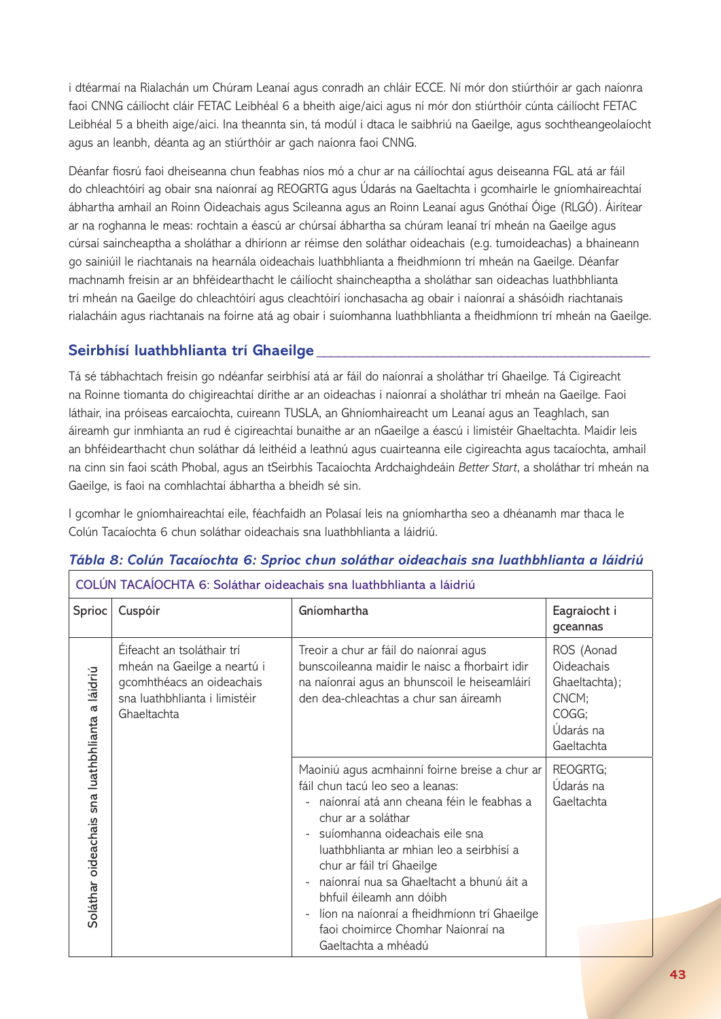i dtéarmaí na Rialachán um Chúram Leanaí agus conradh an chláir ECCE. Ní mór don stiúrthóir ar gach naíonra faoi CNNG cáilíocht cláir FETAC Leibhéal 6 a bheith aige/aici agus ní mór don stiúrthóir cúnta cáilíocht FETAC Leibhéal 5 a bheith aige/aici. Ina theannta sin, tá modúl i dtaca le saibhriú na Gaeilge, agus sochtheangeolaíocht agus an leanbh, déanta ag an stiúrthóir ar gach naíonra faoi CNNG.

Déanfar fiosrú faoi dheiseanna chun feabhas níos mó a chur ar na cáilíochtaí agus deiseanna FGL atá ar fáil do chleachtóirí ag obair sna naíonraí ag REOGRTG agus Údarás na Gaeltachta i gcomhairle le gníomhaireachtaí ábhartha amhail an Roinn Oideachais agus Scileanna agus an Roinn Leanaí agus Gnóthaí Óige (RLGÓ). Áirítear ar na roghanna le meas: rochtain a éascú ar chúrsaí ábhartha sa chúram leanaí trí mheán na Gaeilge agus cúrsaí saincheaptha a sholáthar a dhíríonn ar réimse den soláthar oideachais (e.g. tumoideachas) a bhaineann go sainiúil le riachtanais na hearnála oideachais luathbhlianta a fheidhmíonn trí mheán na Gaeilge. Déanfar machnamh freisin ar an bhféidearthacht le cáilíocht shaincheaptha a sholáthar san oideachas luathbhlianta trí mheán na Gaeilge do chleachtóirí agus cleachtóirí ionchasacha ag obair i naíonraí a shásóidh riachtanais rialacháin agus riachtanais na foirne atá ag obair i suíomhanna luathbhlianta a fheidhmíonn trí mheán na Gaeilge.

## **Seirbhísí luathbhlianta trí Ghaeilge \_\_\_\_\_\_\_\_\_\_\_\_\_\_\_\_\_\_\_\_\_\_\_\_\_\_\_\_\_\_\_\_\_\_\_\_\_\_\_\_\_\_\_\_\_\_\_**

Tá sé tábhachtach freisin go ndéanfar seirbhísí atá ar fáil do naíonraí a sholáthar trí Ghaeilge. Tá Cigireacht na Roinne tiomanta do chigireachtaí dírithe ar an oideachas i naíonraí a sholáthar trí mheán na Gaeilge. Faoi láthair, ina próiseas earcaíochta, cuireann TUSLA, an Ghníomhaireacht um Leanaí agus an Teaghlach, san áireamh gur inmhianta an rud é cigireachtaí bunaithe ar an nGaeilge a éascú i limistéir Ghaeltachta. Maidir leis an bhféidearthacht chun soláthar dá leithéid a leathnú agus cuairteanna eile cigireachta agus tacaíochta, amhail na cinn sin faoi scáth Phobal, agus an tSeirbhís Tacaíochta Ardchaighdeáin *Better Start*, a sholáthar trí mheán na Gaeilge, is faoi na comhlachtaí ábhartha a bheidh sé sin.

I gcomhar le gníomhaireachtaí eile, féachfaidh an Polasaí leis na gníomhartha seo a dhéanamh mar thaca le Colún Tacaíochta 6 chun soláthar oideachais sna luathbhlianta a láidriú.

| COLÚN TACAÍOCHTA 6: Soláthar oideachais sna luathbhlianta a láidriú |                                                                                                                                        |                                                                                                                                                                                                                                                                                                                                                                                                                                                                                  |                                                                                               |
|---------------------------------------------------------------------|----------------------------------------------------------------------------------------------------------------------------------------|----------------------------------------------------------------------------------------------------------------------------------------------------------------------------------------------------------------------------------------------------------------------------------------------------------------------------------------------------------------------------------------------------------------------------------------------------------------------------------|-----------------------------------------------------------------------------------------------|
| Sprioc                                                              | Cuspóir                                                                                                                                | Gníomhartha                                                                                                                                                                                                                                                                                                                                                                                                                                                                      | Eagraíocht i<br>gceannas                                                                      |
| Soláthar oideachais sna luathbhlianta a láidriú                     | Éifeacht an tsoláthair trí<br>mheán na Gaeilge a neartú i<br>gcomhthéacs an oideachais<br>sna luathbhlianta i limistéir<br>Ghaeltachta | Treoir a chur ar fáil do naíonraí agus<br>bunscoileanna maidir le naisc a fhorbairt idir<br>na naíonraí agus an bhunscoil le heiseamláirí<br>den dea-chleachtas a chur san áireamh                                                                                                                                                                                                                                                                                               | ROS (Aonad<br><b>Oideachais</b><br>Ghaeltachta);<br>CNCM;<br>COGG;<br>Údarás na<br>Gaeltachta |
|                                                                     |                                                                                                                                        | Maoiniú agus acmhainní foirne breise a chur ar<br>fáil chun tacú leo seo a leanas:<br>naíonraí atá ann cheana féin le feabhas a<br>chur ar a soláthar<br>suíomhanna oideachais eile sna<br>luathbhlianta ar mhian leo a seirbhísí a<br>chur ar fáil trí Ghaeilge<br>naíonraí nua sa Ghaeltacht a bhunú áit a<br>bhfuil éileamh ann dóibh<br>líon na naíonraí a fheidhmíonn trí Ghaeilge<br>$\overline{\phantom{a}}$<br>faoi choimirce Chomhar Naíonraí na<br>Gaeltachta a mhéadú | REOGRTG;<br>Údarás na<br>Gaeltachta                                                           |

## *Tábla 8: Colún Tacaíochta 6: Sprioc chun soláthar oideachais sna luathbhlianta a láidriú*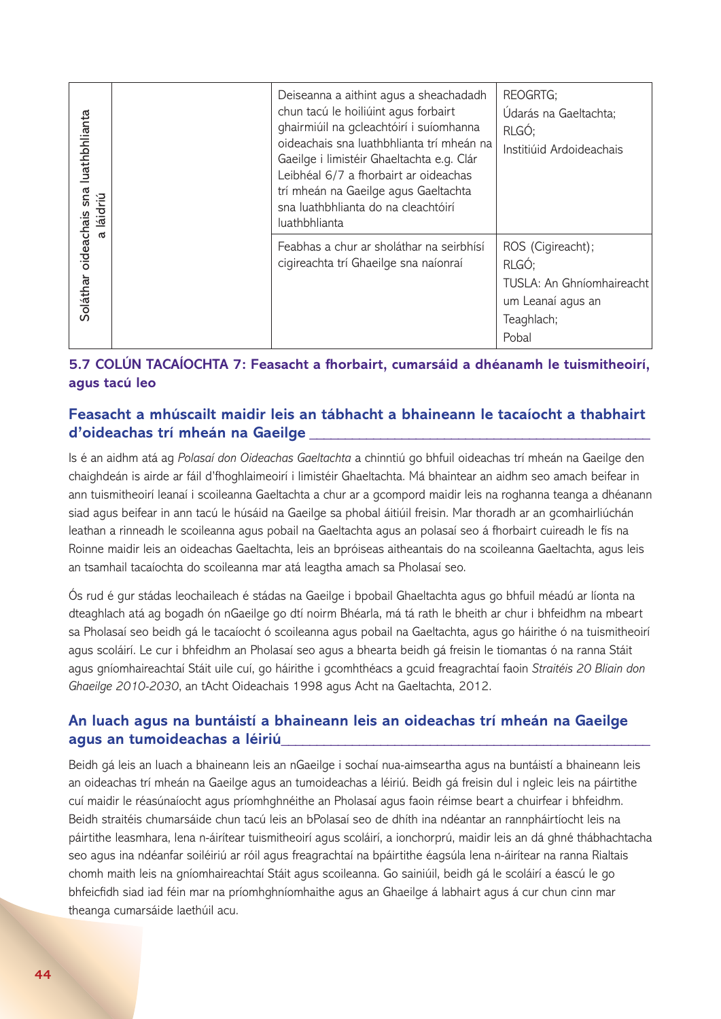| Soláthar oideachais sna luathbhlianta<br>a láidriú |                                  | Deiseanna a aithint agus a sheachadadh<br>chun tacú le hoiliúint agus forbairt<br>ghairmiúil na gcleachtóirí i suíomhanna<br>oideachais sna luathbhlianta trí mheán na<br>Gaeilge i limistéir Ghaeltachta e.g. Clár<br>Leibhéal 6/7 a fhorbairt ar oideachas<br>trí mheán na Gaeilge agus Gaeltachta<br>sna luathbhlianta do na cleachtóirí<br>luathbhlianta                                                                                                                                                                                                                                                                                                                                                                                                                                                                                                                                                                           | REOGRTG;<br>Údarás na Gaeltachta;<br>RLGÓ;<br>Institiúid Ardoideachais                              |
|----------------------------------------------------|----------------------------------|----------------------------------------------------------------------------------------------------------------------------------------------------------------------------------------------------------------------------------------------------------------------------------------------------------------------------------------------------------------------------------------------------------------------------------------------------------------------------------------------------------------------------------------------------------------------------------------------------------------------------------------------------------------------------------------------------------------------------------------------------------------------------------------------------------------------------------------------------------------------------------------------------------------------------------------|-----------------------------------------------------------------------------------------------------|
|                                                    |                                  | Feabhas a chur ar sholáthar na seirbhísí<br>cigireachta trí Ghaeilge sna naíonraí                                                                                                                                                                                                                                                                                                                                                                                                                                                                                                                                                                                                                                                                                                                                                                                                                                                      | ROS (Cigireacht);<br>RLGÓ;<br>TUSLA: An Ghníomhaireacht<br>um Leanaí agus an<br>Teaghlach;<br>Pobal |
|                                                    | agus tacú leo                    | 5.7 COLÚN TACAÍOCHTA 7: Feasacht a fhorbairt, cumarsáid a dhéanamh le tuismitheoirí,                                                                                                                                                                                                                                                                                                                                                                                                                                                                                                                                                                                                                                                                                                                                                                                                                                                   |                                                                                                     |
|                                                    | d'oideachas trí mheán na Gaeilge | Feasacht a mhúscailt maidir leis an tábhacht a bhaineann le tacaíocht a thabhairt                                                                                                                                                                                                                                                                                                                                                                                                                                                                                                                                                                                                                                                                                                                                                                                                                                                      |                                                                                                     |
|                                                    |                                  | Is é an aidhm atá ag Polasaí don Oideachas Gaeltachta a chinntiú go bhfuil oideachas trí mheán na Gaeilge den<br>chaighdeán is airde ar fáil d'fhoghlaimeoirí i limistéir Ghaeltachta. Má bhaintear an aidhm seo amach beifear in<br>ann tuismitheoirí leanaí i scoileanna Gaeltachta a chur ar a gcompord maidir leis na roghanna teanga a dhéanann<br>siad agus beifear in ann tacú le húsáid na Gaeilge sa phobal áitiúil freisin. Mar thoradh ar an gcomhairliúchán<br>leathan a rinneadh le scoileanna agus pobail na Gaeltachta agus an polasaí seo á fhorbairt cuireadh le fís na<br>Roinne maidir leis an oideachas Gaeltachta, leis an bpróiseas aitheantais do na scoileanna Gaeltachta, agus leis<br>an tsamhail tacaíochta do scoileanna mar atá leagtha amach sa Pholasaí seo.                                                                                                                                            |                                                                                                     |
|                                                    |                                  | Ós rud é gur stádas leochaileach é stádas na Gaeilge i bpobail Ghaeltachta agus go bhfuil méadú ar líonta na<br>dteaghlach atá ag bogadh ón nGaeilge go dtí noirm Bhéarla, má tá rath le bheith ar chur i bhfeidhm na mbeart<br>sa Pholasaí seo beidh gá le tacaíocht ó scoileanna agus pobail na Gaeltachta, agus go háirithe ó na tuismitheoirí<br>agus scoláirí. Le cur i bhfeidhm an Pholasaí seo agus a bhearta beidh gá freisin le tiomantas ó na ranna Stáit<br>agus gníomhaireachtaí Stáit uile cuí, go háirithe i gcomhthéacs a gcuid freagrachtaí faoin Straitéis 20 Bliain don<br>Ghaeilge 2010-2030, an tAcht Oideachais 1998 agus Acht na Gaeltachta, 2012.                                                                                                                                                                                                                                                               |                                                                                                     |
|                                                    | agus an tumoideachas a léiriú    | An luach agus na buntáistí a bhaineann leis an oideachas trí mheán na Gaeilge                                                                                                                                                                                                                                                                                                                                                                                                                                                                                                                                                                                                                                                                                                                                                                                                                                                          |                                                                                                     |
|                                                    | theanga cumarsáide laethúil acu. | Beidh gá leis an luach a bhaineann leis an nGaeilge i sochaí nua-aimseartha agus na buntáistí a bhaineann leis<br>an oideachas trí mheán na Gaeilge agus an tumoideachas a léiriú. Beidh gá freisin dul i ngleic leis na páirtithe<br>cuí maidir le réasúnaíocht agus príomhghnéithe an Pholasaí agus faoin réimse beart a chuirfear i bhfeidhm.<br>Beidh straitéis chumarsáide chun tacú leis an bPolasaí seo de dhíth ina ndéantar an rannpháirtíocht leis na<br>páirtithe leasmhara, lena n-áirítear tuismitheoirí agus scoláirí, a ionchorprú, maidir leis an dá ghné thábhachtacha<br>seo agus ina ndéanfar soiléiriú ar róil agus freagrachtaí na bpáirtithe éagsúla lena n-áirítear na ranna Rialtais<br>chomh maith leis na gníomhaireachtaí Stáit agus scoileanna. Go sainiúil, beidh gá le scoláirí a éascú le go<br>bhfeicfidh siad iad féin mar na príomhghníomhaithe agus an Ghaeilge á labhairt agus á cur chun cinn mar |                                                                                                     |

## **5.7 COLÚN TACAÍOCHTA 7: Feasacht a fhorbairt, cumarsáid a dhéanamh le tuismitheoirí, agus tacú leo**

## **Feasacht a mhúscailt maidir leis an tábhacht a bhaineann le tacaíocht a thabhairt d'oideachas trí mheán na Gaeilge \_\_\_\_\_\_\_\_\_\_\_\_\_\_\_\_\_\_\_\_\_\_\_\_\_\_\_\_\_\_\_\_\_\_\_\_\_\_\_\_\_\_\_\_\_\_\_\_**

## **An luach agus na buntáistí a bhaineann leis an oideachas trí mheán na Gaeilge agus an tumoideachas a léiriú\_\_\_\_\_\_\_\_\_\_\_\_\_\_\_\_\_\_\_\_\_\_\_\_\_\_\_\_\_\_\_\_\_\_\_\_\_\_\_\_\_\_\_\_\_\_\_\_\_\_\_\_**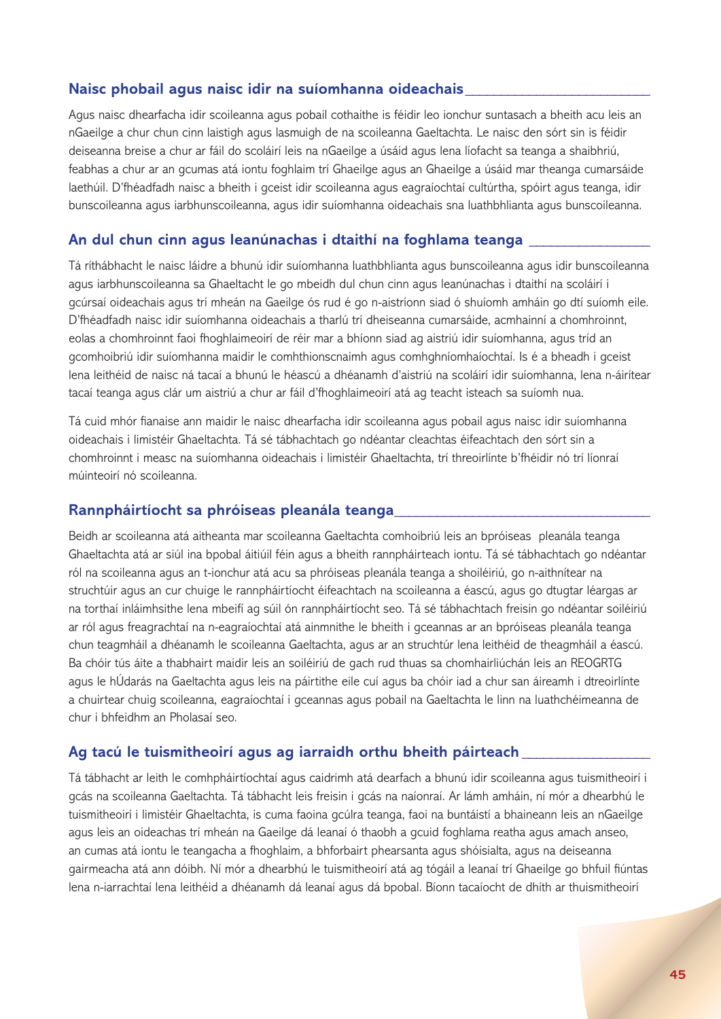#### **Naisc phobail agus naisc idir na suíomhanna oideachais\_\_\_\_\_\_\_\_\_\_\_\_\_\_\_\_\_\_\_\_\_\_\_\_\_\_**

Agus naisc dhearfacha idir scoileanna agus pobail cothaithe is féidir leo ionchur suntasach a bheith acu leis an nGaeilge a chur chun cinn laistigh agus lasmuigh de na scoileanna Gaeltachta. Le naisc den sórt sin is féidir deiseanna breise a chur ar fáil do scoláirí leis na nGaeilge a úsáid agus lena líofacht sa teanga a shaibhriú, feabhas a chur ar an gcumas atá iontu foghlaim trí Ghaeilge agus an Ghaeilge a úsáid mar theanga cumarsáide laethúil. D'fhéadfadh naisc a bheith i gceist idir scoileanna agus eagraíochtaí cultúrtha, spóirt agus teanga, idir bunscoileanna agus iarbhunscoileanna, agus idir suíomhanna oideachais sna luathbhlianta agus bunscoileanna.

#### **An dul chun cinn agus leanúnachas i dtaithí na foghlama teanga \_\_\_\_\_\_\_\_\_\_\_\_\_\_\_\_\_**

Tá ríthábhacht le naisc láidre a bhunú idir suíomhanna luathbhlianta agus bunscoileanna agus idir bunscoileanna agus iarbhunscoileanna sa Ghaeltacht le go mbeidh dul chun cinn agus leanúnachas i dtaithí na scoláirí i gcúrsaí oideachais agus trí mheán na Gaeilge ós rud é go n-aistríonn siad ó shuíomh amháin go dtí suíomh eile. D'fhéadfadh naisc idir suíomhanna oideachais a tharlú trí dheiseanna cumarsáide, acmhainní a chomhroinnt, eolas a chomhroinnt faoi fhoghlaimeoirí de réir mar a bhíonn siad ag aistriú idir suíomhanna, agus tríd an gcomhoibriú idir suíomhanna maidir le comhthionscnaimh agus comhghníomhaíochtaí. Is é a bheadh i gceist lena leithéid de naisc ná tacaí a bhunú le héascú a dhéanamh d'aistriú na scoláirí idir suíomhanna, lena n-áirítear tacaí teanga agus clár um aistriú a chur ar fáil d'fhoghlaimeoirí atá ag teacht isteach sa suíomh nua.

Tá cuid mhór fianaise ann maidir le naisc dhearfacha idir scoileanna agus pobail agus naisc idir suíomhanna oideachais i limistéir Ghaeltachta. Tá sé tábhachtach go ndéantar cleachtas éifeachtach den sórt sin a chomhroinnt i measc na suíomhanna oideachais i limistéir Ghaeltachta, trí threoirlínte b'fhéidir nó trí líonraí múinteoirí nó scoileanna.

#### **Rannpháirtíocht sa phróiseas pleanála teanga\_\_\_\_\_\_\_\_\_\_\_\_\_\_\_\_\_\_\_\_\_\_\_\_\_\_\_\_\_\_\_\_\_\_\_\_**

Beidh ar scoileanna atá aitheanta mar scoileanna Gaeltachta comhoibriú leis an bpróiseas pleanála teanga Ghaeltachta atá ar siúl ina bpobal áitiúil féin agus a bheith rannpháirteach iontu. Tá sé tábhachtach go ndéantar ról na scoileanna agus an t-ionchur atá acu sa phróiseas pleanála teanga a shoiléiriú, go n-aithnítear na struchtúir agus an cur chuige le rannpháirtíocht éifeachtach na scoileanna a éascú, agus go dtugtar léargas ar na torthaí inláimhsithe lena mbeifí ag súil ón rannpháirtíocht seo. Tá sé tábhachtach freisin go ndéantar soiléiriú ar ról agus freagrachtaí na n-eagraíochtaí atá ainmnithe le bheith i gceannas ar an bpróiseas pleanála teanga chun teagmháil a dhéanamh le scoileanna Gaeltachta, agus ar an struchtúr lena leithéid de theagmháil a éascú. Ba chóir tús áite a thabhairt maidir leis an soiléiriú de gach rud thuas sa chomhairliúchán leis an REOGRTG agus le hÚdarás na Gaeltachta agus leis na páirtithe eile cuí agus ba chóir iad a chur san áireamh i dtreoirlínte a chuirtear chuig scoileanna, eagraíochtaí i gceannas agus pobail na Gaeltachta le linn na luathchéimeanna de chur i bhfeidhm an Pholasaí seo.

#### **Ag tacú le tuismitheoirí agus ag iarraidh orthu bheith páirteach \_\_\_\_\_\_\_\_\_\_\_\_\_\_\_\_\_\_**

Tá tábhacht ar leith le comhpháirtíochtaí agus caidrimh atá dearfach a bhunú idir scoileanna agus tuismitheoirí i gcás na scoileanna Gaeltachta. Tá tábhacht leis freisin i gcás na naíonraí. Ar lámh amháin, ní mór a dhearbhú le tuismitheoirí i limistéir Ghaeltachta, is cuma faoina gcúlra teanga, faoi na buntáistí a bhaineann leis an nGaeilge agus leis an oideachas trí mheán na Gaeilge dá leanaí ó thaobh a gcuid foghlama reatha agus amach anseo, an cumas atá iontu le teangacha a fhoghlaim, a bhforbairt phearsanta agus shóisialta, agus na deiseanna gairmeacha atá ann dóibh. Ní mór a dhearbhú le tuismitheoirí atá ag tógáil a leanaí trí Ghaeilge go bhfuil fiúntas lena n-iarrachtaí lena leithéid a dhéanamh dá leanaí agus dá bpobal. Bíonn tacaíocht de dhíth ar thuismitheoirí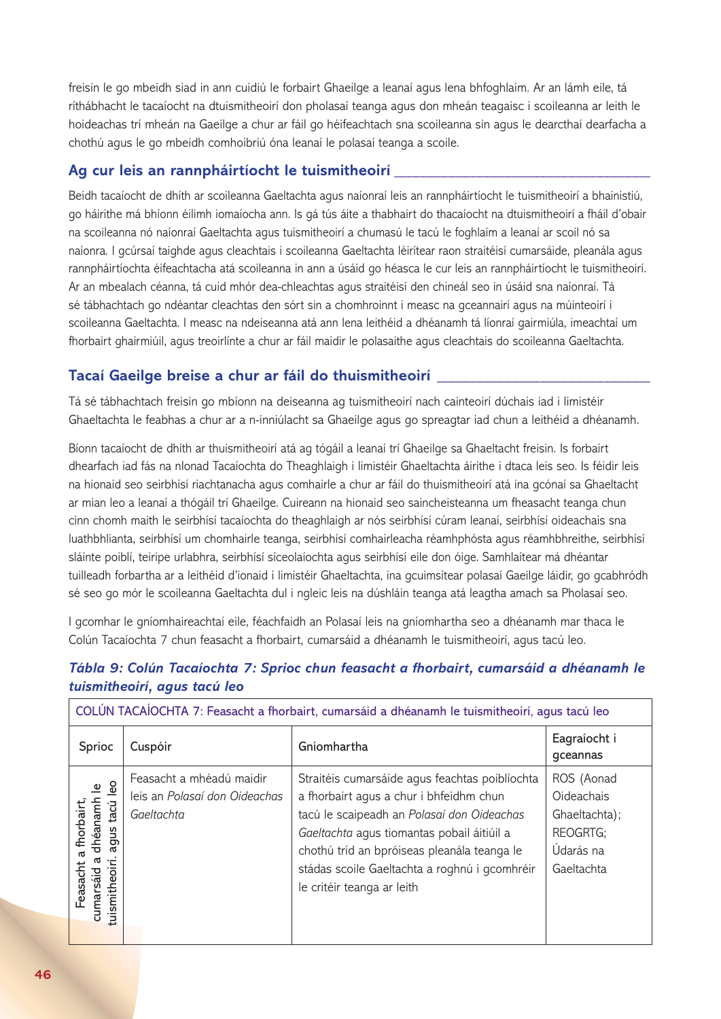freisin le go mbeidh siad in ann cuidiú le forbairt Ghaeilge a leanaí agus lena bhfoghlaim. Ar an lámh eile, tá ríthábhacht le tacaíocht na dtuismitheoirí don pholasaí teanga agus don mheán teagaisc i scoileanna ar leith le hoideachas trí mheán na Gaeilge a chur ar fáil go héifeachtach sna scoileanna sin agus le dearcthaí dearfacha a chothú agus le go mbeidh comhoibriú óna leanaí le polasaí teanga a scoile.

## **Ag cur leis an rannpháirtíocht le tuismitheoirí \_\_\_\_\_\_\_\_\_\_\_\_\_\_\_\_\_\_\_\_\_\_\_\_\_\_\_\_\_\_\_\_\_\_\_\_**

Beidh tacaíocht de dhíth ar scoileanna Gaeltachta agus naíonraí leis an rannpháirtíocht le tuismitheoirí a bhainistiú, go háirithe má bhíonn éilimh iomaíocha ann. Is gá tús áite a thabhairt do thacaíocht na dtuismitheoirí a fháil d'obair na scoileanna nó naíonraí Gaeltachta agus tuismitheoirí a chumasú le tacú le foghlaim a leanaí ar scoil nó sa naíonra*.* I gcúrsaí taighde agus cleachtais i scoileanna Gaeltachta léirítear raon straitéisí cumarsáide, pleanála agus rannpháirtíochta éifeachtacha atá scoileanna in ann a úsáid go héasca le cur leis an rannpháirtíocht le tuismitheoirí. Ar an mbealach céanna, tá cuid mhór dea-chleachtas agus straitéisí den chineál seo in úsáid sna naíonraí. Tá sé tábhachtach go ndéantar cleachtas den sórt sin a chomhroinnt i measc na gceannairí agus na múinteoirí i scoileanna Gaeltachta. I measc na ndeiseanna atá ann lena leithéid a dhéanamh tá líonraí gairmiúla, imeachtaí um fhorbairt ghairmiúil, agus treoirlínte a chur ar fáil maidir le polasaithe agus cleachtais do scoileanna Gaeltachta.

## **Tacaí Gaeilge breise a chur ar fáil do thuismitheoirí \_\_\_\_\_\_\_\_\_\_\_\_\_\_\_\_\_\_\_\_\_\_\_\_\_\_\_\_\_\_**

Tá sé tábhachtach freisin go mbíonn na deiseanna ag tuismitheoirí nach cainteoirí dúchais iad i limistéir Ghaeltachta le feabhas a chur ar a n-inniúlacht sa Ghaeilge agus go spreagtar iad chun a leithéid a dhéanamh.

Bíonn tacaíocht de dhíth ar thuismitheoirí atá ag tógáil a leanaí trí Ghaeilge sa Ghaeltacht freisin. Is forbairt dhearfach iad fás na nIonad Tacaíochta do Theaghlaigh i limistéir Ghaeltachta áirithe i dtaca leis seo. Is féidir leis na hionaid seo seirbhísí riachtanacha agus comhairle a chur ar fáil do thuismitheoirí atá ina gcónaí sa Ghaeltacht ar mian leo a leanaí a thógáil trí Ghaeilge. Cuireann na hionaid seo saincheisteanna um fheasacht teanga chun cinn chomh maith le seirbhísí tacaíochta do theaghlaigh ar nós seirbhísí cúram leanaí, seirbhísí oideachais sna luathbhlianta, seirbhísí um chomhairle teanga, seirbhísí comhairleacha réamhphósta agus réamhbhreithe, seirbhísí sláinte poiblí, teiripe urlabhra, seirbhísí síceolaíochta agus seirbhísí eile don óige. Samhlaítear má dhéantar tuilleadh forbartha ar a leithéid d'ionaid i limistéir Ghaeltachta, ina gcuimsítear polasaí Gaeilge láidir, go gcabhródh sé seo go mór le scoileanna Gaeltachta dul i ngleic leis na dúshláin teanga atá leagtha amach sa Pholasaí seo.

I gcomhar le gníomhaireachtaí eile, féachfaidh an Polasaí leis na gníomhartha seo a dhéanamh mar thaca le Colún Tacaíochta 7 chun feasacht a fhorbairt, cumarsáid a dhéanamh le tuismitheoirí, agus tacú leo.

## *Tábla 9: Colún Tacaíochta 7: Sprioc chun feasacht a fhorbairt, cumarsáid a dhéanamh le tuismitheoirí, agus tacú leo*

| COLÚN TACAÍOCHTA 7: Feasacht a fhorbairt, cumarsáid a dhéanamh le tuismitheoirí, agus tacú leo |                                                                         |                                                                                                                                                                                                                                                                                                                     |                                                                                  |
|------------------------------------------------------------------------------------------------|-------------------------------------------------------------------------|---------------------------------------------------------------------------------------------------------------------------------------------------------------------------------------------------------------------------------------------------------------------------------------------------------------------|----------------------------------------------------------------------------------|
| Sprioc                                                                                         | Cuspóir                                                                 | Gníomhartha                                                                                                                                                                                                                                                                                                         | Eagraíocht i<br>gceannas                                                         |
| dhéanamh<br>tacú<br>fhorbair<br>Sn<br>త్లా<br>ത<br>Feasacht<br>cumarsaid<br>o<br>tuismithe     | Feasacht a mhéadú maidir<br>leis an Polasaí don Oideachas<br>Gaeltachta | Straitéis cumarsáide agus feachtas poiblíochta<br>a fhorbairt agus a chur i bhfeidhm chun<br>tacú le scaipeadh an Polasaí don Oideachas<br>Gaeltachta agus tiomantas pobail áitiúil a<br>chothú tríd an bpróiseas pleanála teanga le<br>stádas scoile Gaeltachta a roghnú i gcomhréir<br>le critéir teanga ar leith | ROS (Aonad<br>Oideachais<br>Ghaeltachta);<br>REOGRTG;<br>Údarás na<br>Gaeltachta |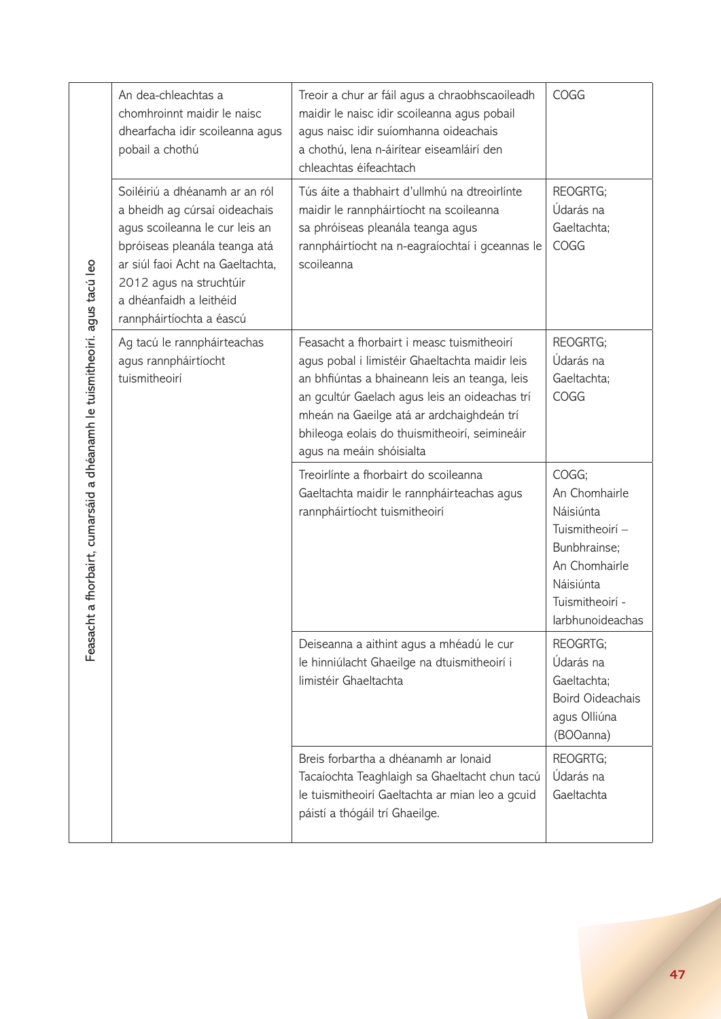| a fhorbairt, cumarsáid a dhéanamh le tuismitheoirí. agus tacú leo<br>Ë<br>Feasac | An dea-chleachtas a<br>chomhroinnt maidir le naisc<br>dhearfacha idir scoileanna agus<br>pobail a chothú                                                                                                                                                 | Treoir a chur ar fáil agus a chraobhscaoileadh<br>maidir le naisc idir scoileanna agus pobail<br>agus naisc idir suíomhanna oideachais<br>a chothú, lena n-áirítear eiseamláirí den<br>chleachtas éifeachtach                                                                                                            | COGG                                                                                                                                        |
|----------------------------------------------------------------------------------|----------------------------------------------------------------------------------------------------------------------------------------------------------------------------------------------------------------------------------------------------------|--------------------------------------------------------------------------------------------------------------------------------------------------------------------------------------------------------------------------------------------------------------------------------------------------------------------------|---------------------------------------------------------------------------------------------------------------------------------------------|
|                                                                                  | Soiléiriú a dhéanamh ar an ról<br>a bheidh ag cúrsaí oideachais<br>agus scoileanna le cur leis an<br>bpróiseas pleanála teanga atá<br>ar siúl faoi Acht na Gaeltachta,<br>2012 agus na struchtúir<br>a dhéanfaidh a leithéid<br>rannpháirtíochta a éascú | Tús áite a thabhairt d'ullmhú na dtreoirlínte<br>maidir le rannpháirtíocht na scoileanna<br>sa phróiseas pleanála teanga agus<br>rannpháirtíocht na n-eagraíochtaí i gceannas le<br>scoileanna                                                                                                                           | REOGRTG;<br>Údarás na<br>Gaeltachta;<br>COGG                                                                                                |
|                                                                                  | Ag tacú le rannpháirteachas<br>agus rannpháirtíocht<br>tuismitheoirí                                                                                                                                                                                     | Feasacht a fhorbairt i measc tuismitheoirí<br>agus pobal i limistéir Ghaeltachta maidir leis<br>an bhfiúntas a bhaineann leis an teanga, leis<br>an gcultúr Gaelach agus leis an oideachas trí<br>mheán na Gaeilge atá ar ardchaighdeán trí<br>bhileoga eolais do thuismitheoirí, seimineáir<br>agus na meáin shóisialta | REOGRTG;<br>Údarás na<br>Gaeltachta;<br>COGG                                                                                                |
|                                                                                  |                                                                                                                                                                                                                                                          | Treoirlínte a fhorbairt do scoileanna<br>Gaeltachta maidir le rannpháirteachas agus<br>rannpháirtíocht tuismitheoirí                                                                                                                                                                                                     | COGG;<br>An Chomhairle<br>Náisiúnta<br>Tuismitheoirí -<br>Bunbhrainse;<br>An Chomhairle<br>Náisiúnta<br>Tuismitheoirí -<br>larbhunoideachas |
|                                                                                  |                                                                                                                                                                                                                                                          | Deiseanna a aithint agus a mhéadú le cur<br>le hinniúlacht Ghaeilge na dtuismitheoirí i<br>limistéir Ghaeltachta                                                                                                                                                                                                         | REOGRTG;<br>Údarás na<br>Gaeltachta;<br><b>Boird Oideachais</b><br>agus Olliúna<br>(BOOanna)                                                |
|                                                                                  |                                                                                                                                                                                                                                                          | Breis forbartha a dhéanamh ar lonaid<br>Tacaíochta Teaghlaigh sa Ghaeltacht chun tacú<br>le tuismitheoirí Gaeltachta ar mian leo a gcuid<br>páistí a thógáil trí Ghaeilge.                                                                                                                                               | REOGRTG;<br>Údarás na<br>Gaeltachta                                                                                                         |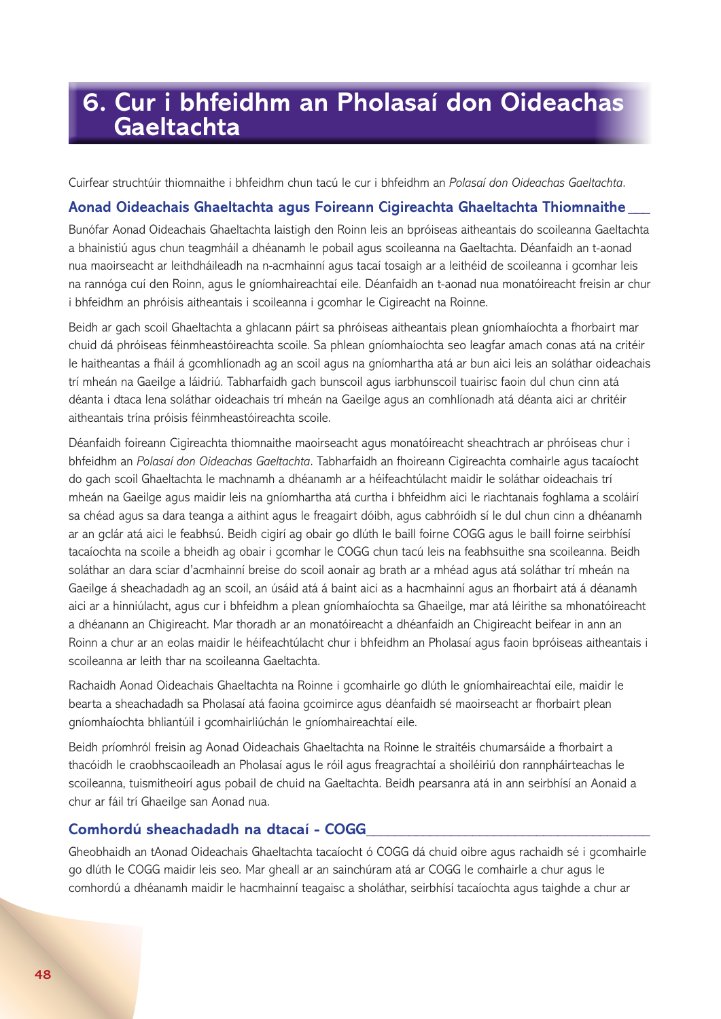## **6. Cur i bhfeidhm an Pholasaí don Oideachas Gaeltachta**

Cuirfear struchtúir thiomnaithe i bhfeidhm chun tacú le cur i bhfeidhm an *Polasaí don Oideachas Gaeltachta*.

#### **Aonad Oideachais Ghaeltachta agus Foireann Cigireachta Ghaeltachta Thiomnaithe \_\_\_**

Bunófar Aonad Oideachais Ghaeltachta laistigh den Roinn leis an bpróiseas aitheantais do scoileanna Gaeltachta a bhainistiú agus chun teagmháil a dhéanamh le pobail agus scoileanna na Gaeltachta. Déanfaidh an t-aonad nua maoirseacht ar leithdháileadh na n-acmhainní agus tacaí tosaigh ar a leithéid de scoileanna i gcomhar leis na rannóga cuí den Roinn, agus le gníomhaireachtaí eile. Déanfaidh an t-aonad nua monatóireacht freisin ar chur i bhfeidhm an phróisis aitheantais i scoileanna i gcomhar le Cigireacht na Roinne.

Beidh ar gach scoil Ghaeltachta a ghlacann páirt sa phróiseas aitheantais plean gníomhaíochta a fhorbairt mar chuid dá phróiseas féinmheastóireachta scoile. Sa phlean gníomhaíochta seo leagfar amach conas atá na critéir le haitheantas a fháil á gcomhlíonadh ag an scoil agus na gníomhartha atá ar bun aici leis an soláthar oideachais trí mheán na Gaeilge a láidriú. Tabharfaidh gach bunscoil agus iarbhunscoil tuairisc faoin dul chun cinn atá déanta i dtaca lena soláthar oideachais trí mheán na Gaeilge agus an comhlíonadh atá déanta aici ar chritéir aitheantais trína próisis féinmheastóireachta scoile.

Déanfaidh foireann Cigireachta thiomnaithe maoirseacht agus monatóireacht sheachtrach ar phróiseas chur i bhfeidhm an *Polasaí don Oideachas Gaeltachta*. Tabharfaidh an fhoireann Cigireachta comhairle agus tacaíocht do gach scoil Ghaeltachta le machnamh a dhéanamh ar a héifeachtúlacht maidir le soláthar oideachais trí mheán na Gaeilge agus maidir leis na gníomhartha atá curtha i bhfeidhm aici le riachtanais foghlama a scoláirí sa chéad agus sa dara teanga a aithint agus le freagairt dóibh, agus cabhróidh sí le dul chun cinn a dhéanamh ar an gclár atá aici le feabhsú. Beidh cigirí ag obair go dlúth le baill foirne COGG agus le baill foirne seirbhísí tacaíochta na scoile a bheidh ag obair i gcomhar le COGG chun tacú leis na feabhsuithe sna scoileanna. Beidh soláthar an dara sciar d'acmhainní breise do scoil aonair ag brath ar a mhéad agus atá soláthar trí mheán na Gaeilge á sheachadadh ag an scoil, an úsáid atá á baint aici as a hacmhainní agus an fhorbairt atá á déanamh aici ar a hinniúlacht, agus cur i bhfeidhm a plean gníomhaíochta sa Ghaeilge, mar atá léirithe sa mhonatóireacht a dhéanann an Chigireacht. Mar thoradh ar an monatóireacht a dhéanfaidh an Chigireacht beifear in ann an Roinn a chur ar an eolas maidir le héifeachtúlacht chur i bhfeidhm an Pholasaí agus faoin bpróiseas aitheantais i scoileanna ar leith thar na scoileanna Gaeltachta.

Rachaidh Aonad Oideachais Ghaeltachta na Roinne i gcomhairle go dlúth le gníomhaireachtaí eile, maidir le bearta a sheachadadh sa Pholasaí atá faoina gcoimirce agus déanfaidh sé maoirseacht ar fhorbairt plean gníomhaíochta bhliantúil i gcomhairliúchán le gníomhaireachtaí eile.

Beidh príomhról freisin ag Aonad Oideachais Ghaeltachta na Roinne le straitéis chumarsáide a fhorbairt a thacóidh le craobhscaoileadh an Pholasaí agus le róil agus freagrachtaí a shoiléiriú don rannpháirteachas le scoileanna, tuismitheoirí agus pobail de chuid na Gaeltachta. Beidh pearsanra atá in ann seirbhísí an Aonaid a chur ar fáil trí Ghaeilge san Aonad nua.

#### **Comhordú sheachadadh na dtacaí - COGG\_\_\_\_\_\_\_\_\_\_\_\_\_\_\_\_\_\_\_\_\_\_\_\_\_\_\_\_\_\_\_\_\_\_\_\_\_\_\_\_**

Gheobhaidh an tAonad Oideachais Ghaeltachta tacaíocht ó COGG dá chuid oibre agus rachaidh sé i gcomhairle go dlúth le COGG maidir leis seo. Mar gheall ar an sainchúram atá ar COGG le comhairle a chur agus le comhordú a dhéanamh maidir le hacmhainní teagaisc a sholáthar, seirbhísí tacaíochta agus taighde a chur ar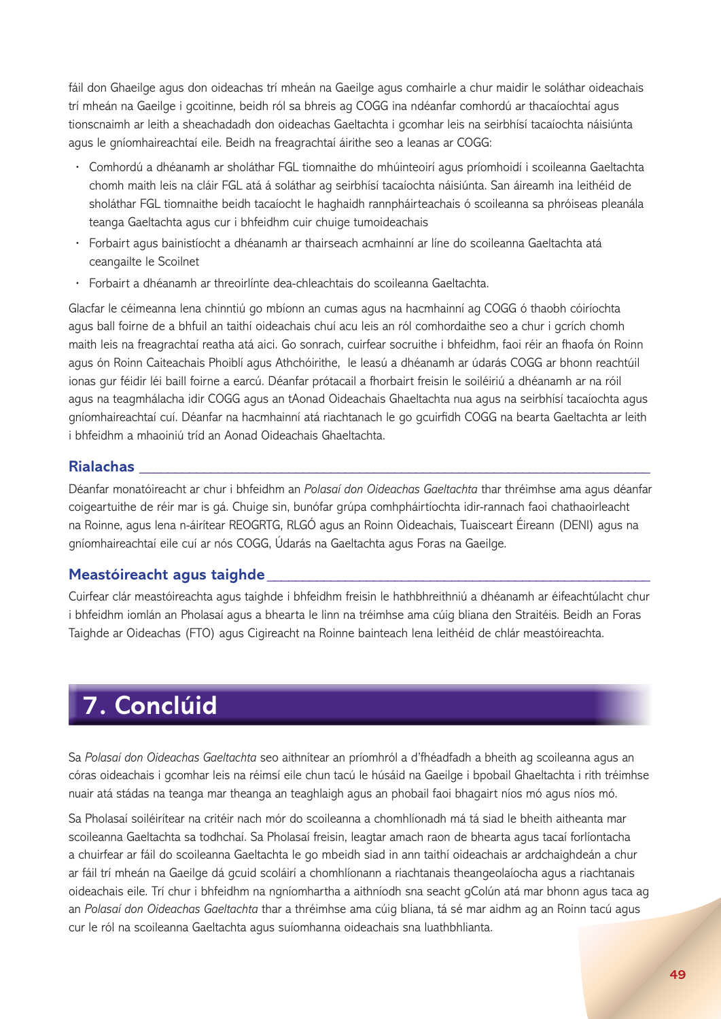fáil don Ghaeilge agus don oideachas trí mheán na Gaeilge agus comhairle a chur maidir le soláthar oideachais trí mheán na Gaeilge i gcoitinne, beidh ról sa bhreis ag COGG ina ndéanfar comhordú ar thacaíochtaí agus tionscnaimh ar leith a sheachadadh don oideachas Gaeltachta i gcomhar leis na seirbhísí tacaíochta náisiúnta agus le gníomhaireachtaí eile. Beidh na freagrachtaí áirithe seo a leanas ar COGG:

- **·** Comhordú a dhéanamh ar sholáthar FGL tiomnaithe do mhúinteoirí agus príomhoidí i scoileanna Gaeltachta chomh maith leis na cláir FGL atá á soláthar ag seirbhísí tacaíochta náisiúnta. San áireamh ina leithéid de sholáthar FGL tiomnaithe beidh tacaíocht le haghaidh rannpháirteachais ó scoileanna sa phróiseas pleanála teanga Gaeltachta agus cur i bhfeidhm cuir chuige tumoideachais
- **·** Forbairt agus bainistíocht a dhéanamh ar thairseach acmhainní ar líne do scoileanna Gaeltachta atá ceangailte le Scoilnet
- **·** Forbairt a dhéanamh ar threoirlínte dea-chleachtais do scoileanna Gaeltachta.

Glacfar le céimeanna lena chinntiú go mbíonn an cumas agus na hacmhainní ag COGG ó thaobh cóiríochta agus ball foirne de a bhfuil an taithí oideachais chuí acu leis an ról comhordaithe seo a chur i gcrích chomh maith leis na freagrachtaí reatha atá aici. Go sonrach, cuirfear socruithe i bhfeidhm, faoi réir an fhaofa ón Roinn agus ón Roinn Caiteachais Phoiblí agus Athchóirithe, le leasú a dhéanamh ar údarás COGG ar bhonn reachtúil ionas gur féidir léi baill foirne a earcú. Déanfar prótacail a fhorbairt freisin le soiléiriú a dhéanamh ar na róil agus na teagmhálacha idir COGG agus an tAonad Oideachais Ghaeltachta nua agus na seirbhísí tacaíochta agus gníomhaireachtaí cuí. Déanfar na hacmhainní atá riachtanach le go gcuirfidh COGG na bearta Gaeltachta ar leith i bhfeidhm a mhaoiniú tríd an Aonad Oideachais Ghaeltachta.

#### **Rialachas \_\_\_\_\_\_\_\_\_\_\_\_\_\_\_\_\_\_\_\_\_\_\_\_\_\_\_\_\_\_\_\_\_\_\_\_\_\_\_\_\_\_\_\_\_\_\_\_\_\_\_\_\_\_\_\_\_\_\_\_\_\_\_\_\_\_\_\_\_\_\_\_**

Déanfar monatóireacht ar chur i bhfeidhm an *Polasaí don Oideachas Gaeltachta* thar thréimhse ama agus déanfar coigeartuithe de réir mar is gá. Chuige sin, bunófar grúpa comhpháirtíochta idir-rannach faoi chathaoirleacht na Roinne, agus lena n-áirítear REOGRTG, RLGÓ agus an Roinn Oideachais, Tuaisceart Éireann (DENI) agus na gníomhaireachtaí eile cuí ar nós COGG, Údarás na Gaeltachta agus Foras na Gaeilge.

#### **Meastóireacht agus taighde\_\_\_\_\_\_\_\_\_\_\_\_\_\_\_\_\_\_\_\_\_\_\_\_\_\_\_\_\_\_\_\_\_\_\_\_\_\_\_\_\_\_\_\_\_\_\_\_\_\_\_\_\_\_**

Cuirfear clár meastóireachta agus taighde i bhfeidhm freisin le hathbhreithniú a dhéanamh ar éifeachtúlacht chur i bhfeidhm iomlán an Pholasaí agus a bhearta le linn na tréimhse ama cúig bliana den Straitéis. Beidh an Foras Taighde ar Oideachas (FTO) agus Cigireacht na Roinne bainteach lena leithéid de chlár meastóireachta.

## **7. Conclúid**

Sa *Polasaí don Oideachas Gaeltachta* seo aithnítear an príomhról a d'fhéadfadh a bheith ag scoileanna agus an córas oideachais i gcomhar leis na réimsí eile chun tacú le húsáid na Gaeilge i bpobail Ghaeltachta i rith tréimhse nuair atá stádas na teanga mar theanga an teaghlaigh agus an phobail faoi bhagairt níos mó agus níos mó.

Sa Pholasaí soiléirítear na critéir nach mór do scoileanna a chomhlíonadh má tá siad le bheith aitheanta mar scoileanna Gaeltachta sa todhchaí. Sa Pholasaí freisin, leagtar amach raon de bhearta agus tacaí forlíontacha a chuirfear ar fáil do scoileanna Gaeltachta le go mbeidh siad in ann taithí oideachais ar ardchaighdeán a chur ar fáil trí mheán na Gaeilge dá gcuid scoláirí a chomhlíonann a riachtanais theangeolaíocha agus a riachtanais oideachais eile. Trí chur i bhfeidhm na ngníomhartha a aithníodh sna seacht gColún atá mar bhonn agus taca ag an *Polasaí don Oideachas Gaeltachta* thar a thréimhse ama cúig bliana, tá sé mar aidhm ag an Roinn tacú agus cur le ról na scoileanna Gaeltachta agus suíomhanna oideachais sna luathbhlianta.